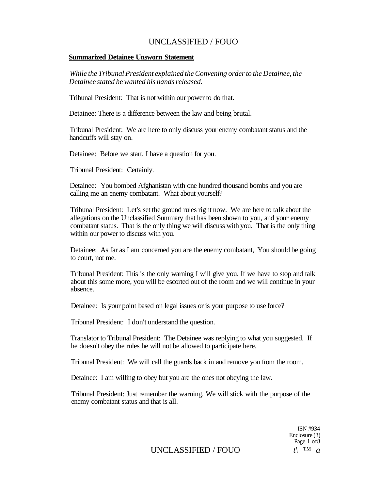#### **Summarized Detainee Unsworn Statement**

*While the Tribunal President explained the Convening order to the Detainee, the Detainee stated he wanted his hands released.* 

Tribunal President: That is not within our power to do that.

Detainee: There is a difference between the law and being brutal.

Tribunal President: We are here to only discuss your enemy combatant status and the handcuffs will stay on.

Detainee: Before we start, I have a question for you.

Tribunal President: Certainly.

Detainee: You bombed Afghanistan with one hundred thousand bombs and you are calling me an enemy combatant. What about yourself?

Tribunal President: Let's set the ground rules right now. We are here to talk about the allegations on the Unclassified Summary that has been shown to you, and your enemy combatant status. That is the only thing we will discuss with you. That is the only thing within our power to discuss with you.

Detainee: As far as I am concerned you are the enemy combatant, You should be going to court, not me.

Tribunal President: This is the only warning I will give you. If we have to stop and talk about this some more, you will be escorted out of the room and we will continue in your absence.

Detainee: Is your point based on legal issues or is your purpose to use force?

Tribunal President: I don't understand the question.

Translator to Tribunal President: The Detainee was replying to what you suggested. If he doesn't obey the rules he will not be allowed to participate here.

Tribunal President: We will call the guards back in and remove you from the room.

Detainee: I am willing to obey but you are the ones not obeying the law.

Tribunal President: Just remember the warning. We will stick with the purpose of the enemy combatant status and that is all.

> ISN #934 Enclosure (3) Page 1 of8

UNCLASSIFIED / FOUO  $t\lambda$ <sup>TM</sup> *a*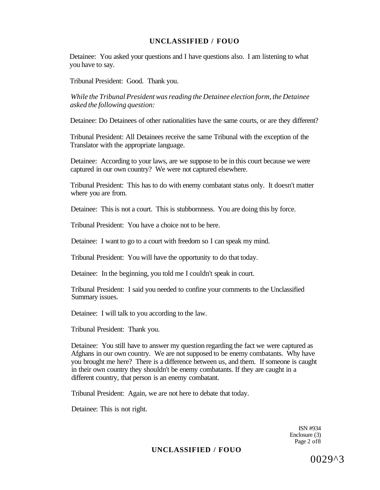Detainee: You asked your questions and I have questions also. I am listening to what you have to say.

Tribunal President: Good. Thank you.

*While the Tribunal President was reading the Detainee election form, the Detainee asked the following question:* 

Detainee: Do Detainees of other nationalities have the same courts, or are they different?

Tribunal President: All Detainees receive the same Tribunal with the exception of the Translator with the appropriate language.

Detainee: According to your laws, are we suppose to be in this court because we were captured in our own country? We were not captured elsewhere.

Tribunal President: This has to do with enemy combatant status only. It doesn't matter where you are from.

Detainee: This is not a court. This is stubbornness. You are doing this by force.

Tribunal President: You have a choice not to be here.

Detainee: I want to go to a court with freedom so I can speak my mind.

Tribunal President: You will have the opportunity to do that today.

Detainee: In the beginning, you told me I couldn't speak in court.

Tribunal President: I said you needed to confine your comments to the Unclassified Summary issues.

Detainee: I will talk to you according to the law.

Tribunal President: Thank you.

Detainee: You still have to answer my question regarding the fact we were captured as Afghans in our own country. We are not supposed to be enemy combatants. Why have you brought me here? There is a difference between us, and them. If someone is caught in their own country they shouldn't be enemy combatants. If they are caught in a different country, that person is an enemy combatant.

Tribunal President: Again, we are not here to debate that today.

Detainee: This is not right.

ISN #934 Enclosure (3) Page 2 of8

#### **UNCLASSIFIED / FOUO**

0029^3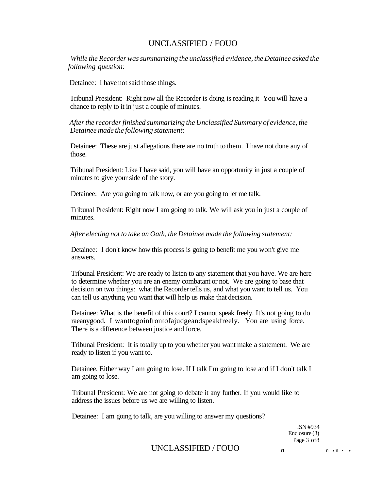*While the Recorder was summarizing the unclassified evidence, the Detainee asked the following question:* 

Detainee: I have not said those things.

Tribunal President: Right now all the Recorder is doing is reading it You will have a chance to reply to it in just a couple of minutes.

*After the recorder finished summarizing the Unclassified Summary of evidence, the Detainee made the following statement:* 

Detainee: These are just allegations there are no truth to them. I have not done any of those.

Tribunal President: Like I have said, you will have an opportunity in just a couple of minutes to give your side of the story.

Detainee: Are you going to talk now, or are you going to let me talk.

Tribunal President: Right now I am going to talk. We will ask you in just a couple of minutes.

*After electing not to take an Oath, the Detainee made the following statement:* 

Detainee: I don't know how this process is going to benefit me you won't give me answers.

Tribunal President: We are ready to listen to any statement that you have. We are here to determine whether you are an enemy combatant or not. We are going to base that decision on two things: what the Recorder tells us, and what you want to tell us. You can tell us anything you want that will help us make that decision.

Detainee: What is the benefit of this court? I cannot speak freely. It's not going to do raeanygood. I wanttogoinfrontofajudgeandspeakfreely. You are using force. There is a difference between justice and force.

Tribunal President: It is totally up to you whether you want make a statement. We are ready to listen if you want to.

Detainee. Either way I am going to lose. If I talk I'm going to lose and if I don't talk I am going to lose.

Tribunal President: We are not going to debate it any further. If you would like to address the issues before us we are willing to listen.

Detainee: I am going to talk, are you willing to answer my questions?

ISN #934 Enclosure (3) Page 3 of8

UNCLASSIFIED / FOUO  $r_t$  n , n . ,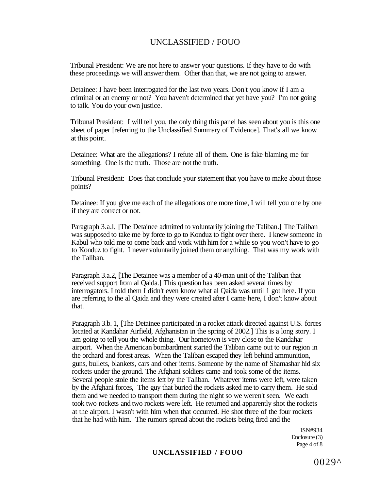Tribunal President: We are not here to answer your questions. If they have to do with these proceedings we will answer them. Other than that, we are not going to answer.

Detainee: I have been interrogated for the last two years. Don't you know if I am a criminal or an enemy or not? You haven't determined that yet have you? I'm not going to talk. You do your own justice.

Tribunal President: I will tell you, the only thing this panel has seen about you is this one sheet of paper [referring to the Unclassified Summary of Evidence]. That's all we know at this point.

Detainee: What are the allegations? I refute all of them. One is fake blaming me for something. One is the truth. Those are not the truth.

Tribunal President: Does that conclude your statement that you have to make about those points?

Detainee: If you give me each of the allegations one more time, I will tell you one by one if they are correct or not.

Paragraph 3.a.l, [The Detainee admitted to voluntarily joining the Taliban.] The Taliban was supposed to take me by force to go to Konduz to fight over there. I knew someone in Kabul who told me to come back and work with him for a while so you won't have to go to Konduz to fight. I never voluntarily joined them or anything. That was my work with the Taliban.

Paragraph 3.a.2, [The Detainee was a member of a 40-man unit of the Taliban that received support from al Qaida.] This question has been asked several times by interrogators. I told them I didn't even know what al Qaida was until 1 got here. If you are referring to the al Qaida and they were created after I came here, I don't know about that.

Paragraph 3.b. 1, [The Detainee participated in a rocket attack directed against U.S. forces located at Kandahar Airfield, Afghanistan in the spring of 2002.] This is a long story. I am going to tell you the whole thing. Our hometown is very close to the Kandahar airport. When the American bombardment started the Taliban came out to our region in the orchard and forest areas. When the Taliban escaped they left behind ammunition, guns, bullets, blankets, cars and other items. Someone by the name of Shamashar hid six rockets under the ground. The Afghani soldiers came and took some of the items. Several people stole the items left by the Taliban. Whatever items were left, were taken by the Afghani forces, The guy that buried the rockets asked me to carry them. He sold them and we needed to transport them during the night so we weren't seen. We each took two rockets and two rockets were left. He returned and apparently shot the rockets at the airport. I wasn't with him when that occurred. He shot three of the four rockets that he had with him. The rumors spread about the rockets being fired and the

> ISN#934 Enclosure (3) Page 4 of 8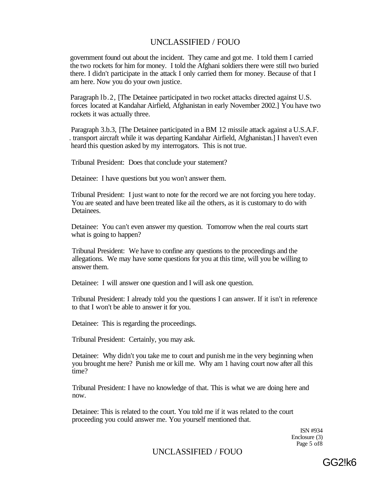government found out about the incident. They came and got me. I told them I carried the two rockets for him for money. I told the Afghani soldiers there were still two buried there. I didn't participate in the attack I only carried them for money. Because of that I am here. Now you do your own justice.

Paragraph lb.2, [The Detainee participated in two rocket attacks directed against U.S. forces located at Kandahar Airfield, Afghanistan in early November 2002.] You have two rockets it was actually three.

Paragraph 3.b.3, [The Detainee participated in a BM 12 missile attack against a U.S.A.F. . transport aircraft while it was departing Kandahar Airfield, Afghanistan.] I haven't even heard this question asked by my interrogators. This is not true.

Tribunal President: Does that conclude your statement?

Detainee: I have questions but you won't answer them.

Tribunal President: I just want to note for the record we are not forcing you here today. You are seated and have been treated like ail the others, as it is customary to do with Detainees.

Detainee: You can't even answer my question. Tomorrow when the real courts start what is going to happen?

Tribunal President: We have to confine any questions to the proceedings and the allegations. We may have some questions for you at this time, will you be willing to answer them.

Detainee: I will answer one question and I will ask one question.

Tribunal President: I already told you the questions I can answer. If it isn't in reference to that I won't be able to answer it for you.

Detainee: This is regarding the proceedings.

Tribunal President: Certainly, you may ask.

Detainee: Why didn't you take me to court and punish me in the very beginning when you brought me here? Punish me or kill me. Why am 1 having court now after all this time?

Tribunal President: I have no knowledge of that. This is what we are doing here and now.

Detainee: This is related to the court. You told me if it was related to the court proceeding you could answer me. You yourself mentioned that.

> ISN #934 Enclosure (3) Page 5 of8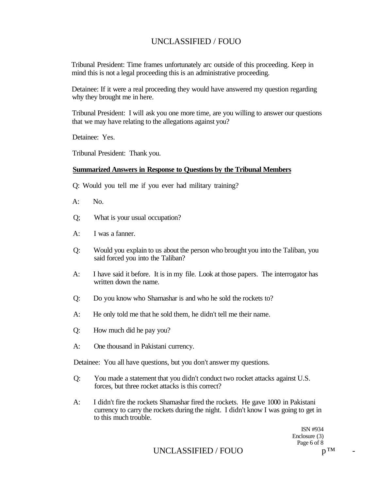Tribunal President: Time frames unfortunately arc outside of this proceeding. Keep in mind this is not a legal proceeding this is an administrative proceeding.

Detainee: If it were a real proceeding they would have answered my question regarding why they brought me in here.

Tribunal President: I will ask you one more time, are you willing to answer our questions that we may have relating to the allegations against you?

Detainee: Yes.

Tribunal President: Thank you.

#### **Summarized Answers in Response to Questions by the Tribunal Members**

- Q: Would you tell me if you ever had military training?
- $A: N<sub>0</sub>$
- Q; What is your usual occupation?
- A: I was a fanner.
- Q: Would you explain to us about the person who brought you into the Taliban, you said forced you into the Taliban?
- A: I have said it before. It is in my file. Look at those papers. The interrogator has written down the name.
- Q: Do you know who Shamashar is and who he sold the rockets to?
- A: He only told me that he sold them, he didn't tell me their name.
- Q: How much did he pay you?
- A: One thousand in Pakistani currency.

Detainee: You all have questions, but you don't answer my questions.

- Q: You made a statement that you didn't conduct two rocket attacks against U.S. forces, but three rocket attacks is this correct?
- A: I didn't fire the rockets Shamashar fired the rockets. He gave 1000 in Pakistani currency to carry the rockets during the night. I didn't know I was going to get in to this much trouble.

ISN #934 Enclosure (3) Page 6 of 8  $n^{TM}$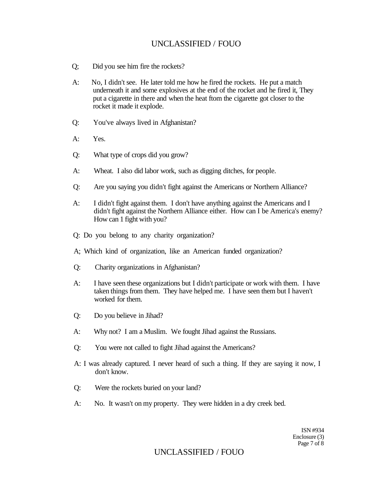- Q; Did you see him fire the rockets?
- A: No, I didn't see. He later told me how he fired the rockets. He put a match underneath it and some explosives at the end of the rocket and he fired it, They put a cigarette in there and when the heat ftom the cigarette got closer to the rocket it made it explode.
- Q: You've always lived in Afghanistan?
- A: Yes.
- Q: What type of crops did you grow?
- A: Wheat. I also did labor work, such as digging ditches, for people.
- Q: Are you saying you didn't fight against the Americans or Northern Alliance?
- A: I didn't fight against them. I don't have anything against the Americans and I didn't fight against the Northern Alliance either. How can I be America's enemy? How can 1 fight with you?
- Q: Do you belong to any charity organization?
- A; Which kind of organization, like an American funded organization?
- Q: Charity organizations in Afghanistan?
- A: I have seen these organizations but I didn't participate or work with them. I have taken things from them. They have helped me. I have seen them but I haven't worked for them.
- Q: Do you believe in Jihad?
- A: Why not? I am a Muslim. We fought Jihad against the Russians.
- Q: You were not called to fight Jihad against the Americans?
- A: I was already captured. I never heard of such a thing. If they are saying it now, I don't know.
- Q: Were the rockets buried on your land?
- A: No. It wasn't on my property. They were hidden in a dry creek bed.

ISN #934 Enclosure (3) Page 7 of 8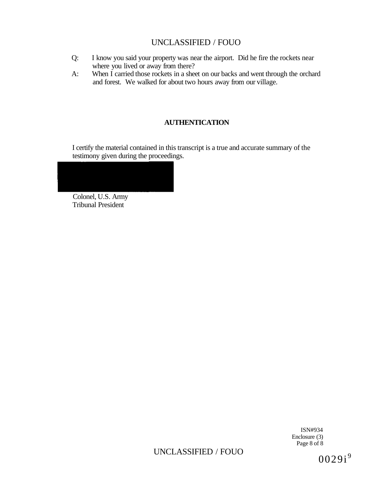- Q: I know you said your property was near the airport. Did he fire the rockets near where you lived or away from there?
- A: When I carried those rockets in a sheet on our backs and went through the orchard and forest. We walked for about two hours away from our village.

## **AUTHENTICATION**

I certify the material contained in this transcript is a true and accurate summary of the testimony given during the proceedings.



Tribunal President

ISN#934 Enclosure (3) Page 8 of 8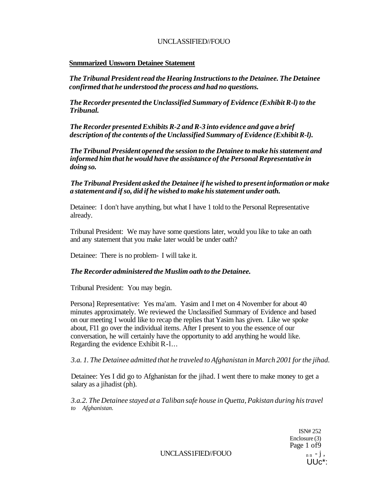#### **Snmmarized Unsworn Detainee Statement**

*The Tribunal President read the Hearing Instructions to the Detainee. The Detainee confirmed that he understood the process and had no questions.* 

*The Recorder presented the Unclassified Summary of Evidence (Exhibit R-l) to the Tribunal.* 

*The Recorder presented Exhibits R-2 and R-3 into evidence and gave a brief description of the contents of the Unclassified Summary of Evidence (Exhibit R-l).* 

*The Tribunal President opened the session to the Detainee to make his statement and informed him that he would have the assistance of the Personal Representative in doing so.* 

*The Tribunal President asked the Detainee if he wished to present information or make a statement and if so, did if he wished to make his statement under oath.* 

Detainee: I don't have anything, but what I have 1 told to the Personal Representative already.

Tribunal President: We may have some questions later, would you like to take an oath and any statement that you make later would be under oath?

Detainee: There is no problem- I will take it.

#### *The Recorder administered the Muslim oath to the Detainee.*

Tribunal President: You may begin.

Persona] Representative: Yes ma'am. Yasim and I met on 4 November for about 40 minutes approximately. We reviewed the Unclassified Summary of Evidence and based on our meeting I would like to recap the replies that Yasim has given. Like we spoke about, F11 go over the individual items. After I present to you the essence of our conversation, he will certainly have the opportunity to add anything he would like. Regarding the evidence Exhibit R-l...

*3.a. 1. The Detainee admitted that he traveled to Afghanistan in March 2001 for the jihad.* 

Detainee: Yes I did go to Afghanistan for the jihad. I went there to make money to get a salary as a jihadist (ph).

*3.a.2. The Detainee stayed at a Taliban safe house in Quetta, Pakistan during his travel to Afghanistan.* 

> ISN# 252 Enclosure (3) Page 1 of 9 UUc\*:

 $UNCLASS1FIED/FOUO$   $n n - j$ ,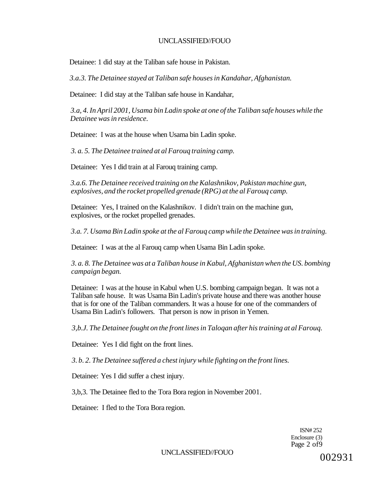Detainee: 1 did stay at the Taliban safe house in Pakistan.

*3.a.3. The Detainee stayed at Taliban safe houses in Kandahar, Afghanistan.* 

Detainee: I did stay at the Taliban safe house in Kandahar,

*3.a, 4. In April 2001, Usama bin Ladin spoke at one of the Taliban safe houses while the Detainee was in residence.* 

Detainee: I was at the house when Usama bin Ladin spoke.

*3. a. 5. The Detainee trained at al Farouq training camp.* 

Detainee: Yes I did train at al Farouq training camp.

*3.a.6. The Detainee received training on the Kalashnikov, Pakistan machine gun, explosives, and the rocket propelled grenade (RPG) at the al Farouq camp.* 

Detainee: Yes, I trained on the Kalashnikov. I didn't train on the machine gun, explosives, or the rocket propelled grenades.

*3.a. 7. Usama Bin Ladin spoke at the al Farouq camp while the Detainee was in training.* 

Detainee: I was at the al Farouq camp when Usama Bin Ladin spoke.

*3. a. 8. The Detainee was at a Taliban house in Kabul, Afghanistan when the US. bombing campaign began.* 

Detainee: I was at the house in Kabul when U.S. bombing campaign began. It was not a Taliban safe house. It was Usama Bin Ladin's private house and there was another house that is for one of the Taliban commanders. It was a house for one of the commanders of Usama Bin Ladin's followers. That person is now in prison in Yemen.

*3,b.J. The Detainee fought on the front lines in Taloqan after his training at al Farouq.* 

Detainee: Yes I did fight on the front lines.

*3. b. 2. The Detainee suffered a chest injury while fighting on the front lines.* 

Detainee: Yes I did suffer a chest injury.

3,b,3. The Detainee fled to the Tora Bora region in November 2001.

Detainee: I fled to the Tora Bora region.

ISN# 252 Enclosure (3) Page 2 of9

UNCLASSIFIED//FOUO

002931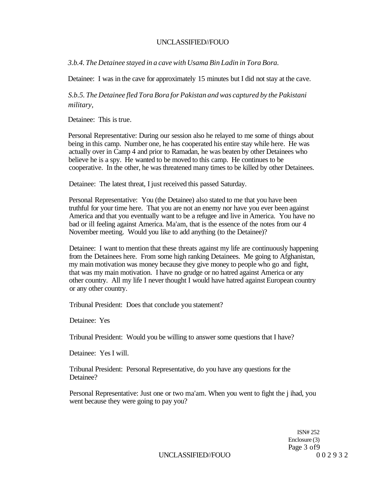*3.b.4. The Detainee stayed in a cave with Usama Bin Ladin in Tora Bora.* 

Detainee: I was in the cave for approximately 15 minutes but I did not stay at the cave.

*S.b.5. The Detainee fled Tora Bora for Pakistan and was captured by the Pakistani military,* 

Detainee: This is true.

Personal Representative: During our session also he relayed to me some of things about being in this camp. Number one, he has cooperated his entire stay while here. He was actually over in Camp 4 and prior to Ramadan, he was beaten by other Detainees who believe he is a spy. He wanted to be moved to this camp. He continues to be cooperative. In the other, he was threatened many times to be killed by other Detainees.

Detainee: The latest threat, I just received this passed Saturday.

Personal Representative: You (the Detainee) also stated to me that you have been truthful for your time here. That you are not an enemy nor have you ever been against America and that you eventually want to be a refugee and live in America. You have no bad or ill feeling against America. Ma'am, that is the essence of the notes from our 4 November meeting. Would you like to add anything (to the Detainee)?

Detainee: I want to mention that these threats against my life are continuously happening from the Detainees here. From some high ranking Detainees. Me going to Afghanistan, my main motivation was money because they give money to people who go and fight, that was my main motivation. I have no grudge or no hatred against America or any other country. All my life I never thought I would have hatred against European country or any other country.

Tribunal President: Does that conclude you statement?

Detainee: Yes

Tribunal President: Would you be willing to answer some questions that I have?

Detainee: Yes I will.

Tribunal President: Personal Representative, do you have any questions for the Detainee?

Personal Representative: Just one or two ma'am. When you went to fight the j ihad, you went because they were going to pay you?

> ISN# 252 Enclosure (3) Page 3 of 9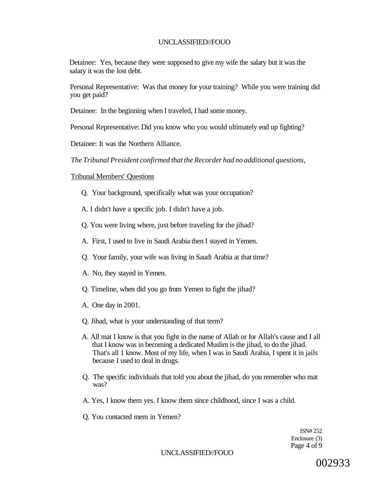Detainee: Yes, because they were supposed to give my wife the salary but it was the salary it was the lost debt.

Personal Representative: Was that money for your training? While you were training did you get paid?

Detainee: In the beginning when I traveled, I had some money.

Personal Representative: Did you know who you would ultimately end up fighting?

Detainee: It was the Northern Alliance.

*The Tribunal President confirmed that the Recorder had no additional questions,* 

Tribunal Members' Questions

Q. Your background, specifically what was your occupation?

A. I didn't have a specific job. I didn't have a job.

- Q. You were living where, just before traveling for the jihad?
- A. First, I used to live in Saudi Arabia then I stayed in Yemen.
- Q. Your family, your wife was living in Saudi Arabia at that time?
- A. No, they stayed in Yemen.
- Q. Timeline, when did you go from Yemen to fight the jihad?
- A. One day in 2001.
- Q. Jihad, what is your understanding of that term?
- A. All mat I know is that you fight in the name of Allah or for Allah's cause and I all that I know was in becoming a dedicated Muslim is the jihad, to do the jihad. That's all 1 know. Most of my life, when I was in Saudi Arabia, I spent it in jails because I used to deal in drugs.
- Q. The specific individuals that told you about the jihad, do you remember who mat was?
- A. Yes, I know them yes. I know them since childhood, since I was a child.
- Q. You contacted mem in Yemen?

ISN# 252 Enclosure (3) Page 4 of 9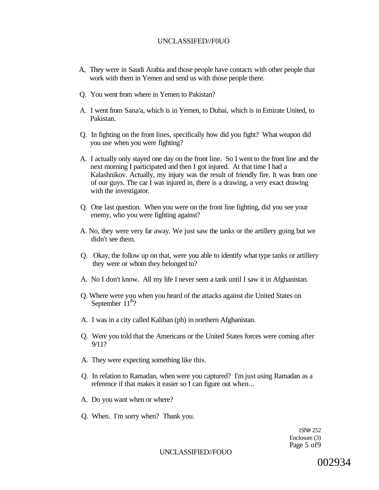- A, They were in Saudi Arabia and those people have contacts with other people that work with them in Yemen and send us with those people there.
- Q. You went from where in Yemen to Pakistan?
- A. I went from Sana'a, which is in Yemen, to Dubai, which is in Emirate United, to Pakistan.
- Q. In fighting on the front lines, specifically how did you fight? What weapon did you use when you were fighting?
- A. I actually only stayed one day on the front line. So I went to the front line and the next morning I participated and then I got injured. At that time I had a Kalashnikov. Actually, my injury was the result of friendly fire. It was from one of our guys. The car I was injured in, there is a drawing, a very exact drawing with the investigator.
- Q. One last question. When you were on the front line fighting, did you see your enemy, who you were fighting against?
- A. No, they were very far away. We just saw the tanks or the artillery going but we didn't see them.
- Q. Okay, the follow up on that, were you able to identify what type tanks or artillery they were or whom they belonged to?
- A. No I don't know. All my life I never seen a tank until I saw it in Afghanistan.
- Q. Where were you when you heard of the attacks against die United States on September  $11^{\text{th}}$ ?
- A. I was in a city called Kaliban (ph) in northern Afghanistan.
- Q. Were you told that the Americans or the United States forces were coming after 9/11?
- A. They were expecting something like this.
- Q. In relation to Ramadan, when were you captured? I'm just using Ramadan as a reference if that makes it easier so I can figure out when...
- A. Do you want when or where?
- Q. When. I'm sorry when? Thank you.

1SN# 252 Enclosure (3) Page 5 of9

UNCLASSIFIED//FOUO

002934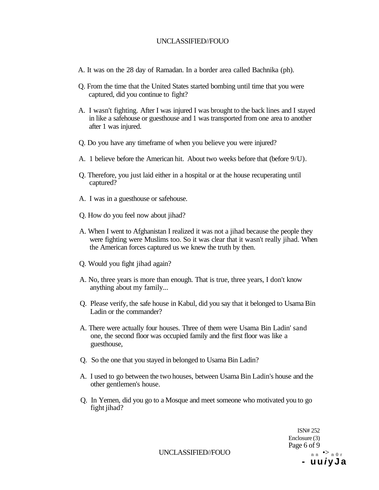- A. It was on the 28 day of Ramadan. In a border area called Bachnika (ph).
- Q. From the time that the United States started bombing until time that you were captured, did you continue to fight?
- A. I wasn't fighting. After I was injured I was brought to the back lines and I stayed in like a safehouse or guesthouse and 1 was transported from one area to another after 1 was injured.
- Q. Do you have any timeframe of when you believe you were injured?
- A. 1 believe before the American hit. About two weeks before that (before 9/U).
- Q. Therefore, you just laid either in a hospital or at the house recuperating until captured?
- A. I was in a guesthouse or safehouse.
- Q. How do you feel now about jihad?
- A. When I went to Afghanistan I realized it was not a jihad because the people they were fighting were Muslims too. So it was clear that it wasn't really jihad. When the American forces captured us we knew the truth by then.
- Q. Would you fight jihad again?
- A. No, three years is more than enough. That is true, three years, I don't know anything about my family...
- Q. Please verify, the safe house in Kabul, did you say that it belonged to Usama Bin Ladin or the commander?
- A. There were actually four houses. Three of them were Usama Bin Ladin' sand one, the second floor was occupied family and the first floor was like a guesthouse,
- Q. So the one that you stayed in belonged to Usama Bin Ladin?
- A. I used to go between the two houses, between Usama Bin Ladin's house and the other gentlemen's house.
- Q. In Yemen, did you go to a Mosque and meet someone who motivated you to go fight jihad?

ISN# 252 Enclosure (3) Page 6 of 9 **- u u i y J a** 

UNCLASSIFIED//FOUO  $n n \rightarrow n 0 r$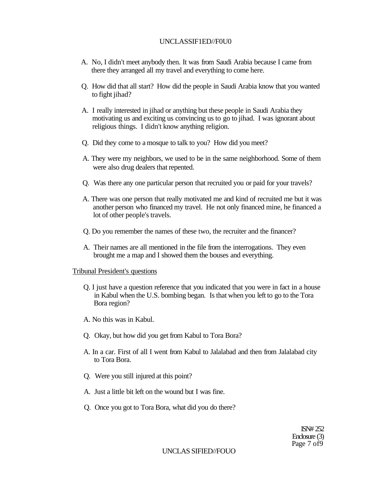#### UNCLASSIF1ED//F0U0

- A. No, I didn't meet anybody then. It was from Saudi Arabia because I came from there they arranged all my travel and everything to come here.
- Q. How did that all start? How did the people in Saudi Arabia know that you wanted to fight jihad?
- A. I really interested in jihad or anything but these people in Saudi Arabia they motivating us and exciting us convincing us to go to jihad. I was ignorant about religious things. I didn't know anything religion.
- Q. Did they come to a mosque to talk to you? How did you meet?
- A. They were my neighbors, we used to be in the same neighborhood. Some of them were also drug dealers that repented.
- Q. Was there any one particular person that recruited you or paid for your travels?
- A. There was one person that really motivated me and kind of recruited me but it was another person who financed my travel. He not only financed mine, he financed a lot of other people's travels.
- Q. Do you remember the names of these two, the recruiter and the financer?
- A. Their names are all mentioned in the file from the interrogations. They even brought me a map and I showed them the bouses and everything.

#### Tribunal President's questions

- Q. I just have a question reference that you indicated that you were in fact in a house in Kabul when the U.S. bombing began. Is that when you left to go to the Tora Bora region?
- A. No this was in Kabul.
- Q. Okay, but how did you get from Kabul to Tora Bora?
- A. In a car. First of all I went from Kabul to Jalalabad and then from Jalalabad city to Tora Bora.
- Q. Were you still injured at this point?
- A. Just a little bit left on the wound but I was fine.
- Q. Once you got to Tora Bora, what did you do there?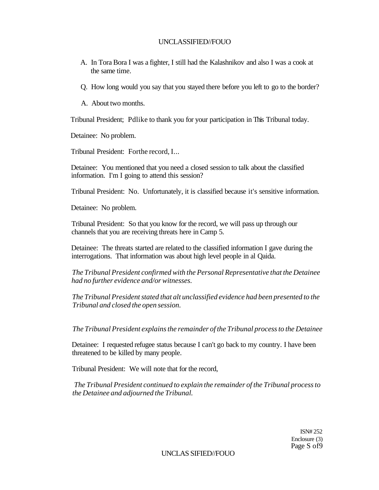- A. In Tora Bora I was a fighter, I still had the Kalashnikov and also I was a cook at the same time.
- Q. How long would you say that you stayed there before you left to go to the border?
- A. About two months.

Tribunal President; Pdlike to thank you for your participation in This Tribunal today.

Detainee: No problem.

Tribunal President: Forthe record, I...

Detainee: You mentioned that you need a closed session to talk about the classified information. I'm I going to attend this session?

Tribunal President: No. Unfortunately, it is classified because it's sensitive information.

Detainee: No problem.

Tribunal President: So that you know for the record, we will pass up through our channels that you are receiving threats here in Camp 5.

Detainee: The threats started are related to the classified information I gave during the interrogations. That information was about high level people in al Qaida.

*The Tribunal President confirmed with the Personal Representative that the Detainee had no further evidence and/or witnesses.* 

*The Tribunal President stated that alt unclassified evidence had been presented to the Tribunal and closed the open session.* 

*The Tribunal President explains the remainder of the Tribunal process to the Detainee* 

Detainee: I requested refugee status because I can't go back to my country. I have been threatened to be killed by many people.

Tribunal President: We will note that for the record,

*The Tribunal President continued to explain the remainder of the Tribunal process to the Detainee and adjourned the Tribunal.* 

> ISN# 252 Enclosure (3) Page S of9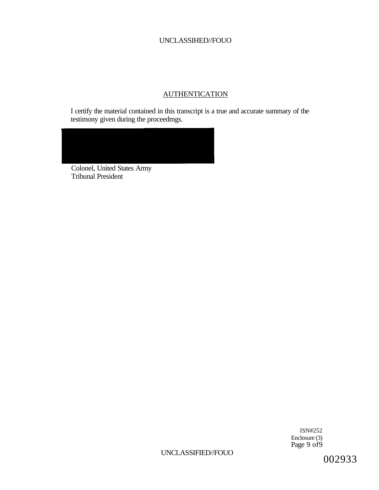## **AUTHENTICATION**

I certify the material contained in this transcript is a true and accurate summary of the testimony given during the proceedmgs.



Colonel, United States Army Tribunal President

> ISN#252 Enclosure (3) Page 9 of 9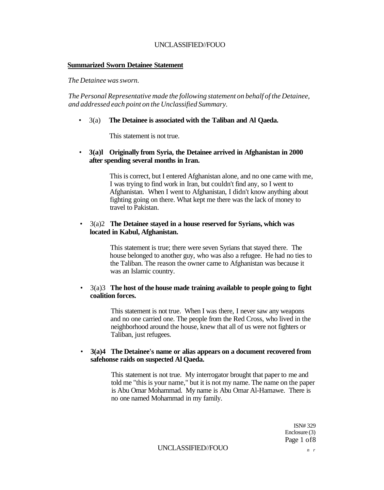#### **Summarized Sworn Detainee Statement**

*The Detainee was sworn.* 

*The Personal Representative made the following statement on behalf of the Detainee, and addressed each point on the Unclassified Summary.* 

#### • 3(a) **The Detainee is associated with the Taliban and Al Qaeda.**

This statement is not true.

#### • **3(a)l Originally from Syria, the Detainee arrived in Afghanistan in 2000 after spending several months in Iran.**

This is correct, but I entered Afghanistan alone, and no one came with me, I was trying to find work in Iran, but couldn't find any, so I went to Afghanistan. When I went to Afghanistan, I didn't know anything about fighting going on there. What kept me there was the lack of money to travel to Pakistan.

#### • 3(a)2 **The Detainee stayed in a house reserved for Syrians, which was located in Kabul, Afghanistan.**

This statement is true; there were seven Syrians that stayed there. The house belonged to another guy, who was also a refugee. He had no ties to the Taliban. The reason the owner came to Afghanistan was because it was an Islamic country.

#### • 3(a)3 **The host of the house made training available to people going to fight coalition forces.**

This statement is not true. When I was there, I never saw any weapons and no one carried one. The people from the Red Cross, who lived in the neighborhood around the house, knew that all of us were not fighters or Taliban, just refugees.

#### • **3(a)4 The Detainee's name or alias appears on a document recovered from safehonse raids on suspected Al Qaeda.**

This statement is not true. My interrogator brought that paper to me and told me "this is your name," but it is not my name. The name on the paper is Abu Omar Mohammad. My name is Abu Omar Al-Hamawe. There is no one named Mohammad in my family.

> ISN# 329 Enclosure (3) Page 1 of8

UNCLASSIFIED//FOUO *n r*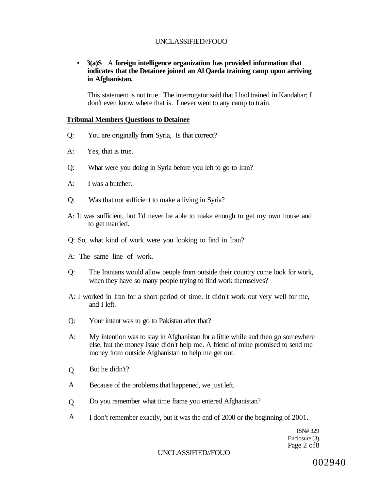### • **3(a)S** A **foreign intelligence organization has provided information that indicates that the Detainee joined an Al Qaeda training camp upon arriving in Afghanistan.**

This statement is not true. The interrogator said that I had trained in Kandahar; I don't even know where that is. I never went to any camp to train.

#### **Tribunal Members Questions to Detainee**

- Q: You are originally from Syria, Is that correct?
- A: Yes, that is true.
- Q: What were you doing in Syria before you left to go to Iran?
- A: I was a butcher.
- Q: Was that not sufficient to make a living in Syria?
- A: It was sufficient, but I'd never be able to make enough to get my own house and to get married.
- Q: So, what kind of work were you looking to find in Iran?
- A: The same line of work.
- Q: The Iranians would allow people from outside their country come look for work, when they have so many people trying to find work themselves?
- A: I worked in Iran for a short period of time. It didn't work out very well for me, and I left.
- Q: Your intent was to go to Pakistan after that?
- A: My intention was to stay in Afghanistan for a little while and then go somewhere else, but the money issue didn't help me. A friend of mine promised to send me money from outside Afghanistan to help me get out.
- Q But he didn't?
- A Because of the problems that happened, we just left.
- $\overline{O}$ Do you remember what time frame you entered Afghanistan?
- A I don't remember exactly, but it was the end of 2000 or the beginning of 2001.

ISN# 329 Enclosure (3) Page 2 of8

UNCLASSIFIED//FOUO

002940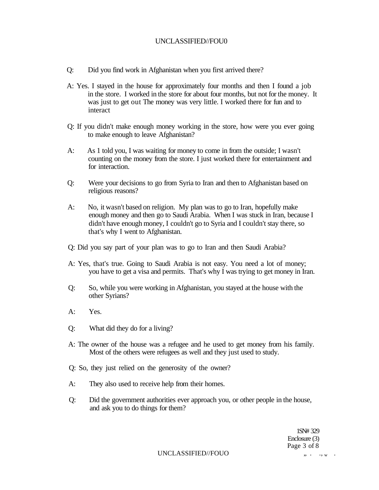- Q: Did you find work in Afghanistan when you first arrived there?
- A: Yes. I stayed in the house for approximately four months and then I found a job in the store. I worked in the store for about four months, but not for the money. It was just to get out The money was very little. I worked there for fun and to interact
- Q: If you didn't make enough money working in the store, how were you ever going to make enough to leave Afghanistan?
- A: As 1 told you, I was waiting for money to come in from the outside; I wasn't counting on the money from the store. I just worked there for entertainment and for interaction.
- Q: Were your decisions to go from Syria to Iran and then to Afghanistan based on religious reasons?
- A: No, it wasn't based on religion. My plan was to go to Iran, hopefully make enough money and then go to Saudi Arabia. When I was stuck in Iran, because I didn't have enough money, I couldn't go to Syria and I couldn't stay there, so that's why I went to Afghanistan.
- Q: Did you say part of your plan was to go to Iran and then Saudi Arabia?
- A: Yes, that's true. Going to Saudi Arabia is not easy. You need a lot of money; you have to get a visa and permits. That's why I was trying to get money in Iran.
- Q: So, while you were working in Afghanistan, you stayed at the house with the other Syrians?
- A: Yes.
- Q: What did they do for a living?
- A: The owner of the house was a refugee and he used to get money from his family. Most of the others were refugees as well and they just used to study.
- Q: So, they just relied on the generosity of the owner?
- A: They also used to receive help from their homes.
- Q: Did the government authorities ever approach you, or other people in the house, and ask you to do things for them?

1SN# 329 Enclosure (3) Page 3 of 8

UNCLASSIFIED//FOUO  $\cdots$ ,  $\cdots$ ,  $\cdots$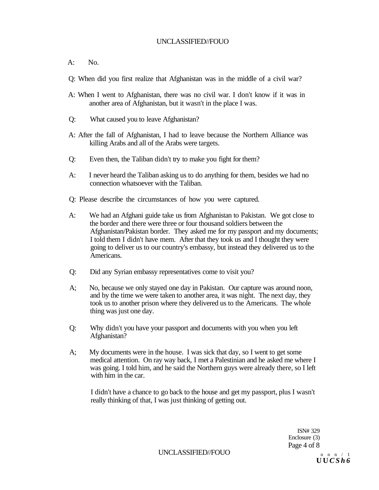- A: No.
- Q: When did you first realize that Afghanistan was in the middle of a civil war?
- A: When I went to Afghanistan, there was no civil war. I don't know if it was in another area of Afghanistan, but it wasn't in the place I was.
- Q: What caused you to leave Afghanistan?
- A: After the fall of Afghanistan, I had to leave because the Northern Alliance was killing Arabs and all of the Arabs were targets.
- Q: Even then, the Taliban didn't try to make you fight for them?
- A: I never heard the Taliban asking us to do anything for them, besides we had no connection whatsoever with the Taliban.
- Q: Please describe the circumstances of how you were captured.
- A: We had an Afghani guide take us from Afghanistan to Pakistan. We got close to the border and there were three or four thousand soldiers between the Afghanistan/Pakistan border. They asked me for my passport and my documents; I told them I didn't have mem. After that they took us and I thought they were going to deliver us to our country's embassy, but instead they delivered us to the Americans.
- Q: Did any Syrian embassy representatives come to visit you?
- A; No, because we only stayed one day in Pakistan. Our capture was around noon, and by the time we were taken to another area, it was night. The next day, they took us to another prison where they delivered us to the Americans. The whole thing was just one day.
- Q: Why didn't you have your passport and documents with you when you left Afghanistan?
- A; My documents were in the house. I was sick that day, so I went to get some medical attention. On ray way back, I met a Palestinian and he asked me where I was going. I told him, and he said the Northern guys were already there, so I left with him in the car.

I didn't have a chance to go back to the house and get my passport, plus I wasn't really thinking of that, I was just thinking of getting out.

> ISN# 329 Enclosure (3) Page 4 of 8

UNCLASSIFIED//FOUO  $n \t n \t n \t n$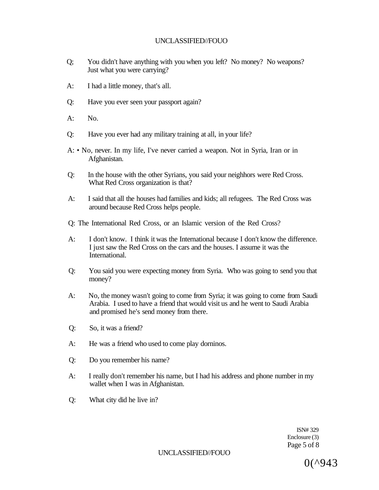- Q; You didn't have anything with you when you left? No money? No weapons? Just what you were carrying?
- A: I had a little money, that's all.
- Q: Have you ever seen your passport again?
- A: No.
- Q: Have you ever had any military training at all, in your life?
- A: No, never. In my life, I've never carried a weapon. Not in Syria, Iran or in Afghanistan.
- Q: In the house with the other Syrians, you said your neighhors were Red Cross. What Red Cross organization is that?
- A: I said that all the houses had families and kids; all refugees. The Red Cross was around because Red Cross helps people.
- Q: The International Red Cross, or an Islamic version of the Red Cross?
- A: I don't know. I think it was the International because I don't know the difference. I just saw the Red Cross on the cars and the houses. I assume it was the International.
- Q: You said you were expecting money from Syria. Who was going to send you that money?
- A: No, the money wasn't going to come from Syria; it was going to come from Saudi Arabia. I used to have a friend that would visit us and he went to Saudi Arabia and promised he's send money from there.
- Q: So, it was a friend?
- A: He was a friend who used to come play dorninos.
- Q: Do you remember his name?
- A: I really don't remember his name, but I had his address and phone number in my wallet when I was in Afghanistan.
- Q: What city did he live in?

ISN# 329 Enclosure (3) Page 5 of 8

UNCLASSIFIED//FOUO

0(^943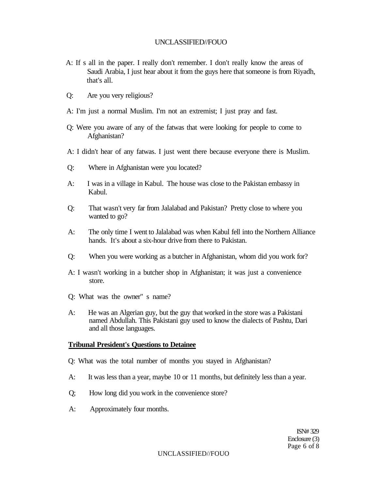- A: If s all in the paper. I really don't remember. I don't really know the areas of Saudi Arabia, I just hear about it from the guys here that someone is from Riyadh, that's all.
- Q: Are you very religious?
- A: I'm just a normal Muslim. I'm not an extremist; I just pray and fast.
- Q: Were you aware of any of the fatwas that were looking for people to come to Afghanistan?
- A: I didn't hear of any fatwas. I just went there because everyone there is Muslim.
- Q: Where in Afghanistan were you located?
- A: I was in a village in Kabul. The house was close to the Pakistan embassy in Kabul.
- Q: That wasn't very far from Jalalabad and Pakistan? Pretty close to where you wanted to go?
- A: The only time I went to Jalalabad was when Kabul fell into the Northern Alliance hands. It's about a six-hour drive from there to Pakistan.
- Q: When you were working as a butcher in Afghanistan, whom did you work for?
- A: I wasn't working in a butcher shop in Afghanistan; it was just a convenience store.
- Q: What was the owner" s name?
- A: He was an Algerian guy, but the guy that worked in the store was a Pakistani named Abdullah. This Pakistani guy used to know the dialects of Pashtu, Dari and all those languages.

### **Tribunal President's Questions to Detainee**

- Q: What was the total number of months you stayed in Afghanistan?
- A: It was less than a year, maybe 10 or 11 months, but definitely less than a year.
- Q; How long did you work in the convenience store?
- A: Approximately four months.

ISN# 329 Enclosure (3) Page 6 of 8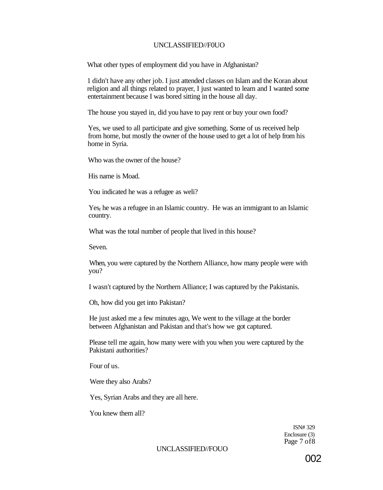What other types of employment did you have in Afghanistan?

1 didn't have any other job. I just attended classes on Islam and the Koran about religion and all things related to prayer, I just wanted to learn and I wanted some entertainment because I was bored sitting in the house all day.

The house you stayed in, did you have to pay rent or buy your own food?

Yes, we used to all participate and give something. Some of us received help from home, but mostly the owner of the house used to get a lot of help from his home in Syria.

Who was the owner of the house?

His name is Moad.

You indicated he was a refugee as weli?

 $Yes<sub>f</sub>$  he was a refugee in an Islamic country. He was an immigrant to an Islamic country.

What was the total number of people that lived in this house?

Seven.

When, you were captured by the Northern Alliance, how many people were with you?

I wasn't captured by the Northern Alliance; I was captured by the Pakistanis.

Oh, how did you get into Pakistan?

He just asked me a few minutes ago, We went to the village at the border between Afghanistan and Pakistan and that's how we got captured.

Please tell me again, how many were with you when you were captured by the Pakistani authorities?

Four of us.

Were they also Arabs?

Yes, Syrian Arabs and they are all here.

You knew them all?

ISN# 329 Enclosure (3) Page 7 of8

#### UNCLASSIFIED//FOUO

002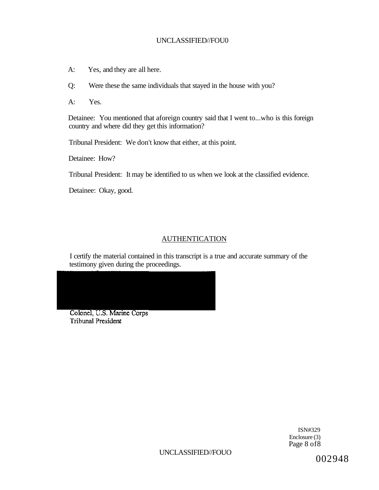- A: Yes, and they are all here.
- Q: Were these the same individuals that stayed in the house with you?
- A: Yes.

Detainee: You mentioned that aforeign country said that I went to...who is this foreign country and where did they get this information?

Tribunal President: We don't know that either, at this point.

Detainee: How?

Tribunal President: It may be identified to us when we look at the classified evidence.

Detainee: Okay, good.

## AUTHENTICATION

I certify the material contained in this transcript is a true and accurate summary of the testimony given during the proceedings.

Colonel, U.S. Marine Corps **Tribunal President** 

> ISN#329 Enclosure (3) Page 8 of 8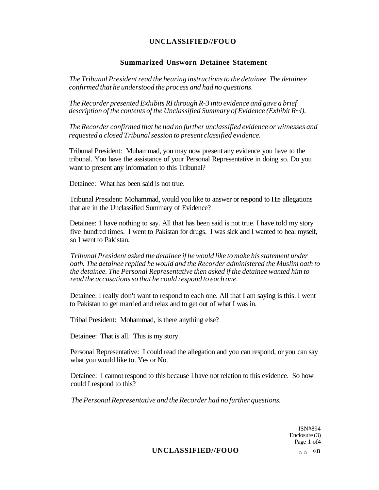#### **Summarized Unsworn Detainee Statement**

*The Tribunal President read the hearing instructions to the detainee. The detainee confirmed that he understood the process and had no questions.* 

*The Recorder presented Exhibits RI through R-3 into evidence and gave a brief description of the contents of the Unclassified Summary of Evidence (Exhibit R~l).* 

*The Recorder confirmed that he had no further unclassified evidence or witnesses and requested a closed Tribunal session to present classified evidence.* 

Tribunal President: Muhammad, you may now present any evidence you have to the tribunal. You have the assistance of your Personal Representative in doing so. Do you want to present any information to this Tribunal?

Detainee: What has been said is not true.

Tribunal President: Mohammad, would you like to answer or respond to Hie allegations that are in the Unclassified Summary of Evidence?

Detainee: 1 have nothing to say. All that has been said is not true. I have told my story five hundred times. I went to Pakistan for drugs. I was sick and I wanted to heal myself, so I went to Pakistan.

*Tribunal President asked the detainee if he would like to make his statement under oath. The detainee replied he would and the Recorder administered the Muslim oath to the detainee. The Personal Representative then asked if the detainee wanted him to read the accusations so that he could respond to each one.* 

Detainee: I really don't want to respond to each one. All that I am saying is this. I went to Pakistan to get married and relax and to get out of what I was in.

Tribal President: Mohammad, is there anything else?

Detainee: That is all. This is my story.

Personal Representative: I could read the allegation and you can respond, or you can say what you would like to. Yes or No.

Detainee: I cannot respond to this because I have not relation to this evidence. So how could I respond to this?

*The Personal Representative and the Recorder had no further questions.* 

ISN#894 Enclosure (3) Page 1 of4

### UNCLASSIFIED//FOUO n n > n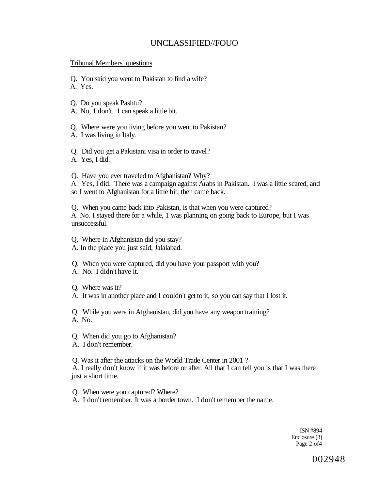#### Tribunal Members' questions

Q. You said you went to Pakistan to find a wife?

A. Yes.

- Q. Do you speak Pashtu?
- A. No, 1 don't. 1 can speak a little bit.

Q. Where were you living before you went to Pakistan?

A. I was living in Italy.

Q. Did you get a Pakistani visa in order to travel? A. Yes, I did.

Q. Have you ever traveled to Afghanistan? Why? A. Yes, I did. There was a campaign against Arabs in Pakistan. I was a little scared, and so I went to Afghanistan for a little bit, then came back.

Q. When you came back into Pakistan, is that when you were captured? A. No. I stayed there for a while, 1 was planning on going back to Europe, but I was unsuccessful.

Q. Where in Afghanistan did you stay? A. In the place you just said, Jalalabad.

Q. When you were captured, did you have your passport with you?

- A. No. I didn't have it.
- Q. Where was it?
- A. It was in another place and I couldn't get to it, so you can say that I lost it.

Q. While you were in Afghanistan, did you have any weapon training? A. No.

Q. When did you go to Afghanistan?

A. I don't remember.

Q. Was it after the attacks on the World Trade Center in 2001 ? A. I really don't know if it was before or after. All that I can tell you is that I was there just a short time.

Q. When were you captured? Where?

A. I don't remember. It was a border town. I don't remember the name.

ISN #894 Enclosure (3) Page 2 of4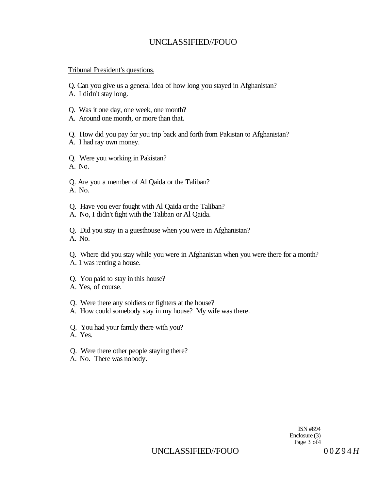#### Tribunal President's questions.

Q. Can you give us a general idea of how long you stayed in Afghanistan?

- A. I didn't stay long.
- Q. Was it one day, one week, one month?
- A. Around one month, or more than that.

Q. How did you pay for you trip back and forth from Pakistan to Afghanistan? A. I had ray own money.

Q. Were you working in Pakistan?

A. No.

Q. Are you a member of Al Qaida or the Taliban? A. No.

- Q. Have you ever fought with Al Qaida or the Taliban?
- A. No, I didn't fight with the Taliban or Al Qaida.

Q. Did you stay in a guesthouse when you were in Afghanistan? A. No.

Q. Where did you stay while you were in Afghanistan when you were there for a month? A. 1 was renting a house.

- Q. You paid to stay in this house?
- A. Yes, of course.

Q. Were there any soldiers or fighters at the house?

- A. How could somebody stay in my house? My wife was there.
- Q. You had your family there with you?
- A. Yes.
- Q. Were there other people staying there?
- A. No. There was nobody.

ISN #894 Enclosure (3) Page 3 of4

UNCLASSIFIED//FOUO 00*Z*94*H*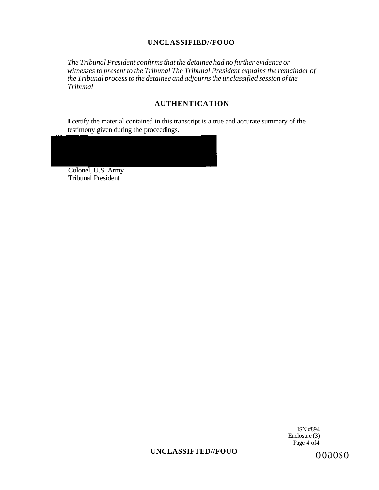*The Tribunal President confirms that the detainee had no further evidence or witnesses to present to the Tribunal The Tribunal President explains the remainder of the Tribunal process to the detainee and adjourns the unclassified session of the Tribunal* 

### **AUTHENTICATION**

**I** certify the material contained in this transcript is a true and accurate summary of the testimony given during the proceedings.

Colonel, U.S. Army Tribunal President

> ISN #894 Enclosure (3) Page 4 of 4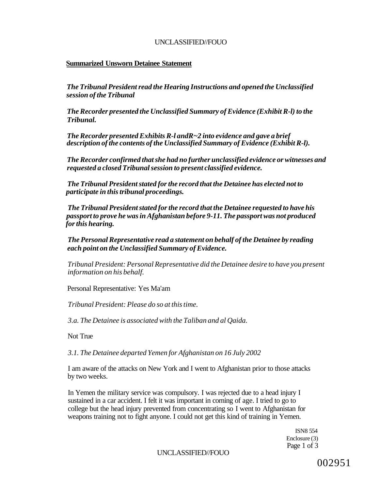#### **Summarized Unsworn Detainee Statement**

*The Tribunal President read the Hearing Instructions and opened the Unclassified session of the Tribunal* 

*The Recorder presented the Unclassified Summary of Evidence (Exhibit R-l) to the Tribunal.* 

*The Recorder presented Exhibits R-l andR~2 into evidence and gave a brief description of the contents of the Unclassified Summary of Evidence (Exhibit R-l).* 

*The Recorder confirmed that she had no further unclassified evidence or witnesses and requested a closed Tribunal session to present classified evidence.* 

*The Tribunal President stated for the record that the Detainee has elected not to participate in this tribunal proceedings.* 

*The Tribunal President stated for the record that the Detainee requested to have his passport to prove he was in Afghanistan before 9-11. The passport was not produced for this hearing.* 

*The Personal Representative read a statement on behalf of the Detainee by reading each point on the Unclassified Summary of Evidence.* 

*Tribunal President: Personal Representative did the Detainee desire to have you present information on his behalf.* 

Personal Representative: Yes Ma'am

*Tribunal President: Please do so at this time.* 

*3.a. The Detainee is associated with the Taliban and al Qaida.* 

Not True

*3.1. The Detainee departed Yemen for Afghanistan on 16 July 2002* 

I am aware of the attacks on New York and I went to Afghanistan prior to those attacks by two weeks.

In Yemen the military service was compulsory. I was rejected due to a head injury I sustained in a car accident. I felt it was important in corning of age. I tried to go to college but the head injury prevented from concentrating so I went to Afghanistan for weapons training not to fight anyone. I could not get this kind of training in Yemen.

> ISN8 554 Enclosure (3) Page 1 of 3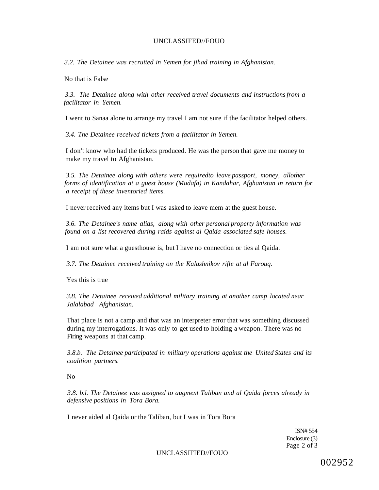*3.2. The Detainee was recruited in Yemen for jihad training in Afghanistan.* 

No that is False

*3.3. The Detainee along with other received travel documents and instructions from a facilitator in Yemen.* 

I went to Sanaa alone to arrange my travel I am not sure if the facilitator helped others.

*3.4. The Detainee received tickets from a facilitator in Yemen.* 

I don't know who had the tickets produced. He was the person that gave me money to make my travel to Afghanistan.

*3.5. The Detainee along with others were requiredto leave passport, money, allother forms of identification at a guest house (Mudafa) in Kandahar, Afghanistan in return for a receipt of these inventoried items.* 

I never received any items but I was asked to leave mem at the guest house.

*3.6. The Detainee's name alias, along with other personal property information was found on a list recovered during raids against al Qaida associated safe houses.* 

I am not sure what a guesthouse is, but I have no connection or ties al Qaida.

*3.7. The Detainee received training on the Kalashnikov rifle at al Farouq.* 

Yes this is true

*3.8. The Detainee received additional military training at another camp located near Jalalabad Afghanistan.* 

That place is not a camp and that was an interpreter error that was something discussed during my interrogations. It was only to get used to holding a weapon. There was no Firing weapons at that camp.

*3.8.b. The Detainee participated in military operations against the United States and its coalition partners.* 

No

*3.8. b.l. The Detainee was assigned to augment Taliban and al Qaida forces already in defensive positions in Tora Bora.* 

I never aided al Qaida or the Taliban, but I was in Tora Bora

ISN# 554 Enclosure (3) Page 2 of 3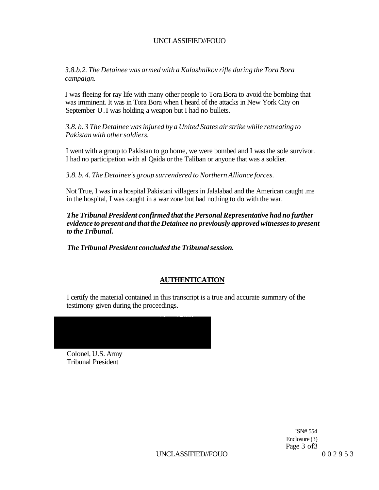*3.8.b.2. The Detainee was armed with a Kalashnikov rifle during the Tora Bora campaign.* 

I was fleeing for ray life with many other people to Tora Bora to avoid the bombing that was imminent. It was in Tora Bora when I heard of the attacks in New York City on September U.I was holding a weapon but I had no bullets.

*3.8. b. 3 The Detainee was injured by a United States air strike while retreating to Pakistan with other soldiers.* 

I went with a group to Pakistan to go home, we were bombed and I was the sole survivor. I had no participation with al Qaida or the Taliban or anyone that was a soldier.

*3.8. b. 4. The Detainee's group surrendered to Northern Alliance forces.* 

Not True, I was in a hospital Pakistani villagers in Jalalabad and the American caught .me in the hospital, I was caught in a war zone but had nothing to do with the war.

*The Tribunal President confirmed that the Personal Representative had no further evidence to present and that the Detainee no previously approved witnesses to present to the Tribunal.* 

*The Tribunal President concluded the Tribunal session.* 

## **AUTHENTICATION**

I certify the material contained in this transcript is a true and accurate summary of the testimony given during the proceedings.

Colonel, U.S. Army Tribunal President

> ISN# 554 Enclosure (3) Page 3 of3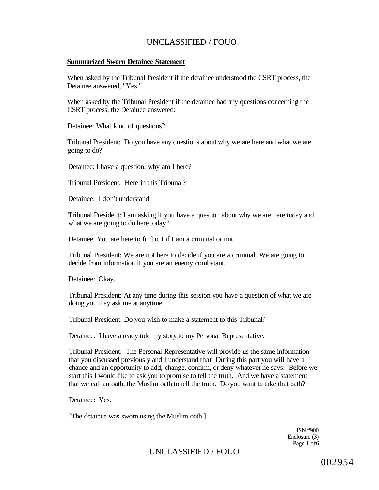#### **Summarized Sworn Detainee Statement**

When asked by the Tribunal President if the detainee understood the CSRT process, the Detainee answered, "Yes."

When asked by the Tribunal President if the detainee had any questions concerning the CSRT process, the Detainee answered:

Detainee: What kind of questions?

Tribunal President: Do you have any questions about why we are here and what we are going to do?

Detainee: I have a question, why am I here?

Tribunal President: Here in this Tribunal?

Detainee: I don't understand.

Tribunal President: I am asking if you have a question about why we are here today and what we are going to do here today?

Detainee: You are here to find out if I am a criminal or not.

Tribunal President: We are not here to decide if you are a criminal. We are going to decide from information if you are an enemy combatant.

Detainee: Okay.

Tribunal President: At any time during this session you have a question of what we are doing you may ask me at anytime.

Tribunal President: Do you wish to make a statement to this Tribunal?

Detainee: I have already told my story to my Personal Representative.

Tribunal President: The Personal Representative will provide us the same information that you discussed previously and I understand that During this part you will have a chance and an opportunity to add, change, confirm, or deny whatever he says. Before we start this I would like to ask you to promise to tell the truth. And we have a statement that we call an oath, the Muslim oath to tell the truth. Do you want to take that oath?

Detainee: Yes.

[The detainee was sworn using the Muslim oath.]

ISN #900 Enclosure (3) Page 1 of6

UNCLASSIFIED / FOUO

002954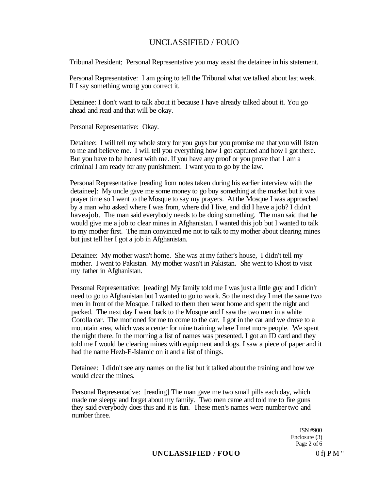Tribunal President; Personal Representative you may assist the detainee in his statement.

Personal Representative: I am going to tell the Tribunal what we talked about last week. If I say something wrong you correct it.

Detainee: I don't want to talk about it because I have already talked about it. You go ahead and read and that will be okay.

Personal Representative: Okay.

Detainee: I will tell my whole story for you guys but you promise me that you will listen to me and believe me. I will tell you everything how I got captured and how I got there. But you have to be honest with me. If you have any proof or you prove that 1 am a criminal I am ready for any punishment. I want you to go by the law.

Personal Representative [reading from notes taken during his earlier interview with the detainee]: My uncle gave me some money to go buy something at the market but it was prayer time so I went to the Mosque to say my prayers. At the Mosque I was approached by a man who asked where I was from, where did I live, and did I have a job? I didn't haveajob. The man said everybody needs to be doing something. The man said that he would give me a job to clear mines in Afghanistan. I wanted this job but I wanted to talk to my mother first. The man convinced me not to talk to my mother about clearing mines but just tell her I got a job in Afghanistan.

Detainee: My mother wasn't home. She was at my father's house, I didn't tell my mother. I went to Pakistan. My mother wasn't in Pakistan. She went to Khost to visit my father in Afghanistan.

Personal Representative: [reading] My family told me I was just a little guy and I didn't need to go to Afghanistan but I wanted to go to work. So the next day I met the same two men in front of the Mosque. I talked to them then went home and spent the night and packed. The next day I went back to the Mosque and I saw the two men in a white Corolla car. The motioned for me to come to the car. I got in the car and we drove to a mountain area, which was a center for mine training where I met more people. We spent the night there. In the morning a list of names was presented. I got an ID card and they told me I would be clearing mines with equipment and dogs. I saw a piece of paper and it had the name Hezb-E-Islamic on it and a list of things.

Detainee: I didn't see any names on the list but it talked about the training and how we would clear the mines.

Personal Representative: [reading] The man gave me two small pills each day, which made me sleepy and forget about my family. Two men came and told me to fire guns they said everybody does this and it is fun. These men's names were number two and number three.

> ISN #900 Enclosure (3) Page 2 of 6

## **UNCLASSIFIED** / **FOUO** 0 fj P M "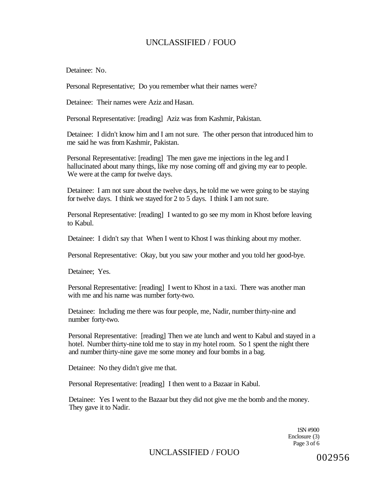Detainee: No.

Personal Representative; Do you remember what their names were?

Detainee: Their names were Aziz and Hasan.

Personal Representative: [reading] Aziz was from Kashmir, Pakistan.

Detainee: I didn't know him and I am not sure. The other person that introduced him to me said he was from Kashmir, Pakistan.

Personal Representative: [reading] The men gave me injections in the leg and I hallucinated about many things, like my nose coming off and giving my ear to people. We were at the camp for twelve days.

Detainee: I am not sure about the twelve days, he told me we were going to be staying for twelve days. I think we stayed for 2 to 5 days. I think I am not sure.

Personal Representative: [reading] I wanted to go see my mom in Khost before leaving to Kabul.

Detainee: I didn't say that When I went to Khost I was thinking about my mother.

Personal Representative: Okay, but you saw your mother and you told her good-bye.

Detainee; Yes.

Personal Representative: [reading] I went to Khost in a taxi. There was another man with me and his name was number forty-two.

Detainee: Including me there was four people, me, Nadir, number thirty-nine and number forty-two.

Personal Representative: [reading] Then we ate lunch and went to Kabul and stayed in a hotel. Number thirty-nine told me to stay in my hotel room. So 1 spent the night there and number thirty-nine gave me some money and four bombs in a bag.

Detainee: No they didn't give me that.

Personal Representative: [reading] I then went to a Bazaar in Kabul.

Detainee: Yes I went to the Bazaar but they did not give me the bomb and the money. They gave it to Nadir.

> 1SN #900 Enclosure (3) Page 3 of 6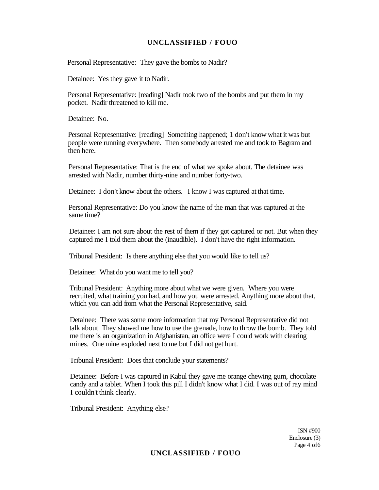Personal Representative: They gave the bombs to Nadir?

Detainee: Yes they gave it to Nadir.

Personal Representative: [reading] Nadir took two of the bombs and put them in my pocket. Nadir threatened to kill me.

Detainee: No.

Personal Representative: [reading] Something happened; 1 don't know what it was but people were running everywhere. Then somebody arrested me and took to Bagram and then here.

Personal Representative: That is the end of what we spoke about. The detainee was arrested with Nadir, number thirty-nine and number forty-two.

Detainee: I don't know about the others. I know I was captured at that time.

Personal Representative: Do you know the name of the man that was captured at the same time?

Detainee: I am not sure about the rest of them if they got captured or not. But when they captured me I told them about the (inaudible). I don't have the right information.

Tribunal President: Is there anything else that you would like to tell us?

Detainee: What do you want me to tell you?

Tribunal President: Anything more about what we were given. Where you were recruited, what training you had, and how you were arrested. Anything more about that, which you can add from what the Personal Representative, said.

Detainee: There was some more information that my Personal Representative did not talk about They showed me how to use the grenade, how to throw the bomb. They told me there is an organization in Afghanistan, an office were I could work with clearing mines. One mine exploded next to me but I did not get hurt.

Tribunal President: Does that conclude your statements?

Detainee: Before I was captured in Kabul they gave me orange chewing gum, chocolate candy and a tablet. When I took this pill I didn't know what I did. I was out of ray mind I couldn't think clearly.

Tribunal President: Anything else?

ISN #900 Enclosure (3) Page 4 of6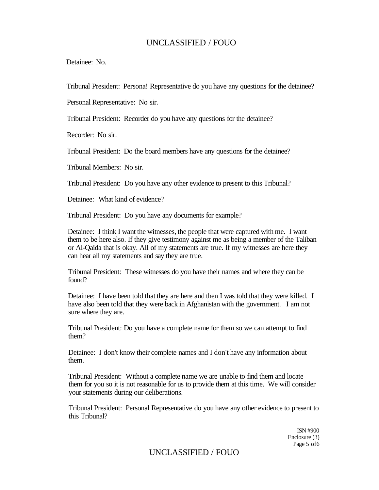Detainee: No.

Tribunal President: Persona! Representative do you have any questions for the detainee?

Personal Representative: No sir.

Tribunal President: Recorder do you have any questions for the detainee?

Recorder: No sir.

Tribunal President: Do the board members have any questions for the detainee?

Tribunal Members: No sir.

Tribunal President: Do you have any other evidence to present to this Tribunal?

Detainee: What kind of evidence?

Tribunal President: Do you have any documents for example?

Detainee: I think I want the witnesses, the people that were captured with me. I want them to be here also. If they give testimony against me as being a member of the Taliban or Al-Qaida that is okay. All of my statements are true. If my witnesses are here they can hear all my statements and say they are true.

Tribunal President: These witnesses do you have their names and where they can be found?

Detainee: I have been told that they are here and then I was told that they were killed. I have also been told that they were back in Afghanistan with the government. I am not sure where they are.

Tribunal President: Do you have a complete name for them so we can attempt to find them?

Detainee: I don't know their complete names and I don't have any information about them.

Tribunal President: Without a complete name we are unable to find them and locate them for you so it is not reasonable for us to provide them at this time. We will consider your statements during our deliberations.

Tribunal President: Personal Representative do you have any other evidence to present to this Tribunal?

> ISN #900 Enclosure (3) Page 5 of6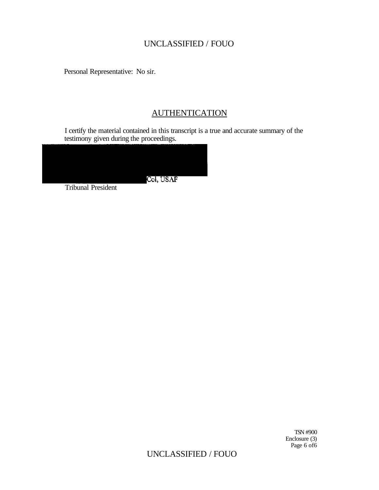Personal Representative: No sir.

# **AUTHENTICATION**

I certify the material contained in this transcript is a true and accurate summary of the testimony given during the proceedings.



Tribunal President

TSN #900 Enclosure (3) Page 6 of 6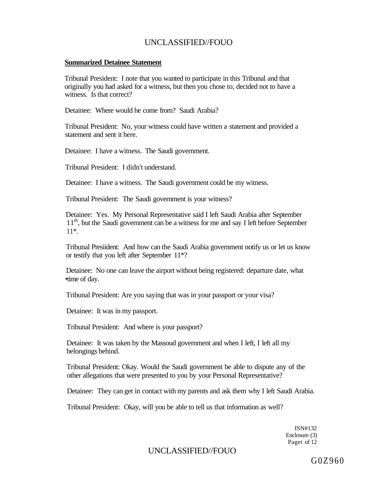#### **Summarized Detainee Statement**

Tribunal President: I note that you wanted to participate in this Tribunal and that originally you had asked for a witness, but then you chose to, decided not to have a witness. Is that correct?

Detainee: Where would he come from? Saudi Arabia?

Tribunal President: No, your witness could have written a statement and provided a statement and sent it here.

Detainee: I have a witness. The Saudi government.

Tribunal President: I didn't understand.

Detainee: I have a witness. The Saudi government could be my witness.

Tribunal President: The Saudi government is your witness?

Detainee: Yes. My Personal Representative said I left Saudi Arabia after September 11<sup>th</sup>, but the Saudi government can be a witness for me and say I left before September 11\*.

Tribunal Presiident: And how can the Saudi Arabia government notify us or let us know or testify that you left after September 11\*?

Detainee: No one can leave the airport without being registered: departure date, what •time of day.

Tribunal President: Are you saying that was in your passport or your visa?

Detainee: It was in my passport.

Tribunal President: And where is your passport?

Detainee: It was taken by the Massoud government and when I left, I left all my belongings behind.

Tribunal President: Okay. Would the Saudi government be able to dispute any of the other allegations that were presented to you by your Personal Representative?

Detainee: They can get in contact with my parents and ask them why I left Saudi Arabia.

Tribunal President: Okay, will you be able to tell us that information as well?

ISN#132 Enclosure (3) Paget of 12

### UNCLASSIFIED//FOUO

 $G0Z960$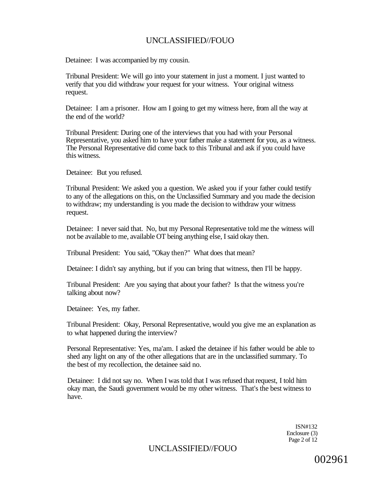Detainee: I was accompanied by my cousin.

Tribunal President: We will go into your statement in just a moment. I just wanted to verify that you did withdraw your request for your witness. Your original witness request.

Detainee: I am a prisoner. How am I going to get my witness here, from all the way at the end of the world?

Tribunal President: During one of the interviews that you had with your Personal Representative, you asked him to have your father make a statement for you, as a witness. The Personal Representative did come back to this Tribunal and ask if you could have this witness.

Detainee: But you refused.

Tribunal President: We asked you a question. We asked you if your father could testify to any of the allegations on this, on the Unclassified Summary and you made the decision to withdraw; my understanding is you made the decision to withdraw your witness request.

Detainee: I never said that. No, but my Personal Representative told me the witness will not be available to me, available OT being anything else, I said okay then.

Tribunal President: You said, "Okay then?" What does that mean?

Detainee: I didn't say anything, but if you can bring that witness, then I'll be happy.

Tribunal President: Are you saying that about your father? Is that the witness you're talking about now?

Detainee: Yes, my father.

Tribunal President: Okay, Personal Representative, would you give me an explanation as to what happened during the interview?

Personal Representative: Yes, ma'am. I asked the detainee if his father would be able to shed any light on any of the other allegations that are in the unclassified summary. To the best of my recollection, the detainee said no.

Detainee: I did not say no. When I was told that I was refused that request, I told him okay man, the Saudi government would be my other witness. That's the best witness to have.

> ISN#132 Enclosure (3) Page 2 of 12

UNCLASSIFIED//FOUO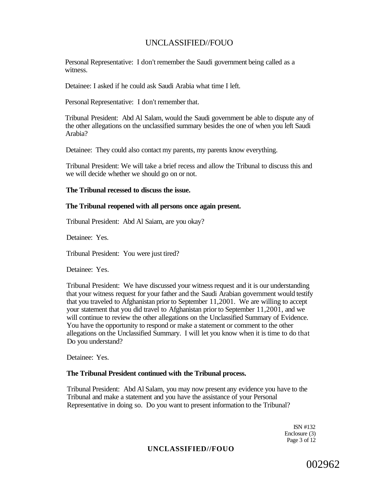Personal Representative: I don't remember the Saudi government being called as a witness.

Detainee: I asked if he could ask Saudi Arabia what time I left.

Personal Representative: I don't remember that.

Tribunal President: Abd Al Salam, would the Saudi government be able to dispute any of the other allegations on the unclassified summary besides the one of when you left Saudi Arabia?

Detainee: They could also contact my parents, my parents know everything.

Tribunal President: We will take a brief recess and allow the Tribunal to discuss this and we will decide whether we should go on or not.

#### **The Tribunal recessed to discuss the issue.**

#### **The Tribunal reopened with all persons once again present.**

Tribunal President: Abd Al Saiam, are you okay?

Detainee: Yes.

Tribunal President: You were just tired?

Detainee: Yes.

Tribunal President: We have discussed your witness request and it is our understanding that your witness request for your father and the Saudi Arabian government would testify that you traveled to Afghanistan prior to September 11,2001. We are willing to accept your statement that you did travel to Afghanistan prior to September 11,2001, and we will continue to review the other allegations on the Unclassified Summary of Evidence. You have the opportunity to respond or make a statement or comment to the other allegations on the Unclassified Summary. I will let you know when it is time to do that Do you understand?

Detainee: Yes.

#### **The Tribunal President continued with the Tribunal process.**

Tribunal President: Abd Al Salam, you may now present any evidence you have to the Tribunal and make a statement and you have the assistance of your Personal Representative in doing so. Do you want to present information to the Tribunal?

> ISN #132 Enclosure (3) Page 3 of 12

### **UNCLASSIFIED//FOUO**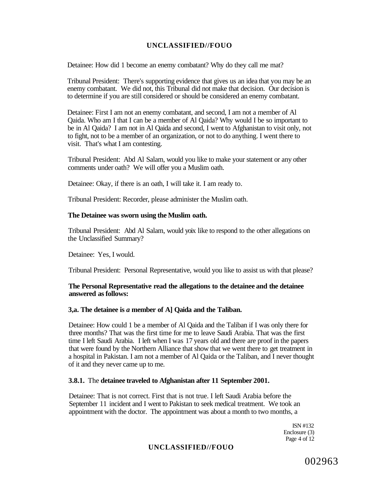Detainee: How did 1 become an enemy combatant? Why do they call me mat?

Tribunal President: There's supporting evidence that gives us an idea that you may be an enemy combatant. We did not, this Tribunal did not make that decision. Our decision is to determine if you are still considered or should be considered an enemy combatant.

Detainee: First I am not an enemy combatant, and second, I am not a member of Al Qaida. Who am I that I can be a member of Al Qaida? Why would I be so important to be in Al Qaida? I am not in Al Qaida and second, I went to Afghanistan to visit only, not to fight, not to be a member of an organization, or not to do anything. I went there to visit. That's what I am contesting.

Tribunal President: Abd Al Salam, would you like to make your statement or any other comments under oath? We will offer you a Muslim oath.

Detainee: Okay, if there is an oath, I will take it. I am ready to.

Tribunal President: Recorder, please administer the Muslim oath.

#### **The Detainee was sworn using the Muslim oath.**

Tribunal President: Abd Al Salam, would yoix like to respond to the other allegations on the Unclassified Summary?

Detainee: Yes, I would.

Tribunal President: Personal Representative, would you like to assist us with that please?

#### **The Personal Representative read the allegations to the detainee and the detainee answered as follows:**

#### **3,a. The detainee is** *a* **member of A] Qaida and the Taliban.**

Detainee: How could 1 be a member of Al Qaida and the Taliban if I was only there for three months? That was the first time for me to leave Saudi Arabia. That was the first time I left Saudi Arabia. I left when I was 17 years old and there are proof in the papers that were found by the Northern Alliance that show that we went there to get treatment in a hospital in Pakistan. I am not a member of Al Qaida or the Taliban, and I never thought of it and they never came up to me.

#### **3.8.1.** The **detainee traveled to Afghanistan after 11 September 2001.**

Detainee: That is not correct. First that is not true. I left Saudi Arabia before the September 11 incident and I went to Pakistan to seek medical treatment. We took an appointment with the doctor. The appointment was about a month to two months, a

> ISN #132 Enclosure (3) Page 4 of 12

### **UNCLASSIFIED//FOUO**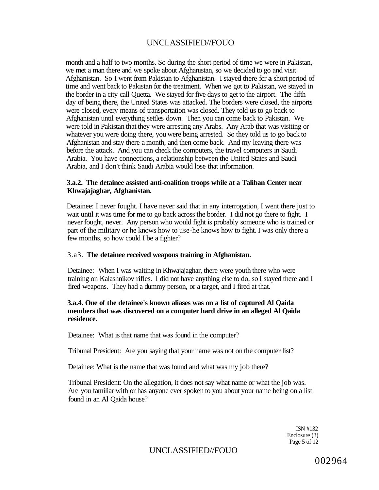month and a half to two months. So during the short period of time we were in Pakistan, we met a man there and we spoke about Afghanistan, so we decided to go and visit Afghanistan. So I went from Pakistan to Afghanistan. I stayed there for **a** short period of time and went back to Pakistan for the treatment. When we got to Pakistan, we stayed in the border in a city call Quetta. We stayed for five days to get to the airport. The fifth day of being there, the United States was attacked. The borders were closed, the airports were closed, every means of transportation was closed. They told us to go back to Afghanistan until everything settles down. Then you can come back to Pakistan. We were told in Pakistan that they were arresting any Arabs. Any Arab that was visiting or whatever you were doing there, you were being arrested. So they told us to go back to Afghanistan and stay there a month, and then come back. And my leaving there was before the attack. And you can check the computers, the travel computers in Saudi Arabia. You have connections, a relationship between the United States and Saudi Arabia, and I don't think Saudi Arabia would lose that information.

#### **3.a.2. The detainee assisted anti-coalition troops while at a Taliban Center near Khwajajaghar, Afghanistan.**

Detainee: I never fought. I have never said that in any interrogation, I went there just to wait until it was time for me to go back across the border. I did not go there to fight. I never fought, never. Any person who would fight is probably someone who is trained or part of the military or he knows how to use-he knows how to fight. I was only there a few months, so how could I be a fighter?

#### 3.a3. **The detainee received weapons training in Afghanistan.**

Detainee: When I was waiting in Khwajajaghar, there were youth there who were training on Kalashnikov rifles. I did not have anything else to do, so I stayed there and I fired weapons. They had a dummy person, or a target, and I fired at that.

#### **3.a.4. One of the detainee's known aliases was on a list of captured Al Qaida members that was discovered on a computer hard drive in an alleged Al Qaida residence.**

Detainee: What is that name that was found in the computer?

Tribunal President: Are you saying that your name was not on the computer list?

Detainee: What is the name that was found and what was my job there?

Tribunal President: On the allegation, it does not say what name or what the job was. Are you familiar with or has anyone ever spoken to you about your name being on a list found in an Al Qaida house?

> ISN #132 Enclosure (3) Page 5 of 12

# UNCLASSIFIED//FOUO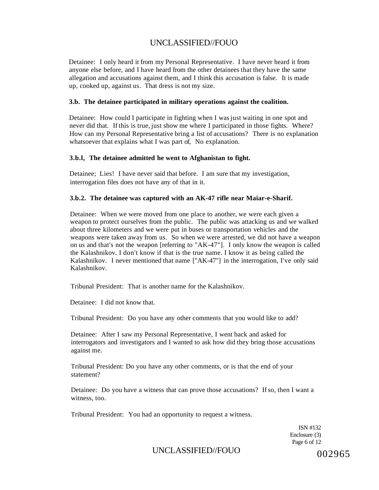Detainee: I only heard it from my Personal Representative. I have never heard it from anyone else before, and I have heard from the other detainees that they have the same allegation and accusations against them, and I think this accusation is false. It is made up, cooked up, against us. That dress is not my size.

#### **3.b. The detainee participated in military operations against the coalition.**

Detainee: How could I participate in fighting when I was just waiting in one spot and never did that. If this is true, just show me where I participated in those fights. Where? How can my Personal Representative bring a list of accusations? There is no explanation whatsoever that explains what I was part of, No explanation.

#### **3.b.l, The detainee admitted he went to Afghanistan to fight.**

Detainee; Lies! I have never said that before. I am sure that my investigation, interrogation files does not have any of that in it.

#### **3.b.2. The detainee was captured with an AK-47 rifle near Maiar-e-Sharif.**

Detainee: When we were moved from one place to another, we were each given a weapon to protect ourselves from the public. The public was attacking us and we walked about three kilometers and we were put in buses or transportation vehicles and the weapons were taken away from us. So when we were arrested, we did not have a weapon on us and that's not the weapon [referring to "AK-47"]. I only know the weapon is called the Kalashnikov. I don't know if that is the true name. I know it as being called the Kalashnikov. I never mentioned that name ["AK-47"] in the interrogation, I've only said Kalashnikov.

Tribunal President: That is another name for the Kalashnikov.

Detainee: I did not know that.

Tribunal President: Do you have any other comments that you would like to add?

Detainee: After I saw my Personal Representative, I went back and asked for interrogators and investigators and I wanted to ask how did they bring those accusations against me.

Tribunal President: Do you have any other comments, or is that the end of your statement?

Detainee: Do you have a witness that can prove those accusations? If so, then I want a witness, too.

Tribunal President: You had an opportunity to request a witness.

ISN #132 Enclosure (3) Page 6 of 12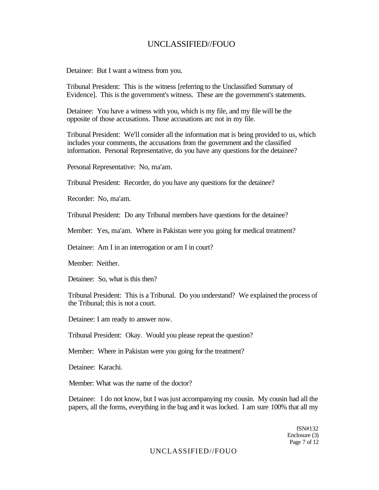Detainee: But I want a witness from you.

Tribunal President: This is the witness [referring to the Unclassified Summary of Evidence]. This is the government's witness. These are the government's statements.

Detainee: You have a witness with you, which is my file, and my file will be the opposite of those accusations. Those accusations arc not in my file.

Tribunal President: We'll consider all the information mat is being provided to us, which includes your comments, the accusations from the government and the classified information. Personal Representative, do you have any questions for the detainee?

Personal Representative: No, ma'am.

Tribunal President: Recorder, do you have any questions for the detainee?

Recorder: No, ma'am.

Tribunal President: Do any Tribunal members have questions for the detainee?

Member: Yes, ma'am. Where in Pakistan were you going for medical treatment?

Detainee: Am I in an interrogation or am I in court?

Member: Neither.

Detainee: So, what is this then?

Tribunal President: This is a Tribunal. Do you understand? We explained the process of the Tribunal; this is not a court.

Detainee: I am ready to answer now.

Tribunal President: Okay. Would you please repeat the question?

Member: Where in Pakistan were you going for the treatment?

Detainee: Karachi.

Member: What was the name of the doctor?

Detainee: I do not know, but I was just accompanying my cousin. My cousin had all the papers, all the forms, everything in the bag and it was locked. I am sure 100% that all my

> fSN#132 Enclosure (3) Page 7 of 12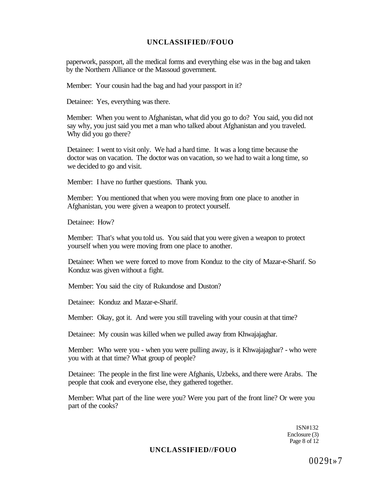paperwork, passport, all the medical forms and everything else was in the bag and taken by the Northern Alliance or the Massoud government.

Member: Your cousin had the bag and had your passport in it?

Detainee: Yes, everything was there.

Member: When you went to Afghanistan, what did you go to do? You said, you did not say why, you just said you met a man who talked about Afghanistan and you traveled. Why did you go there?

Detainee: I went to visit only. We had a hard time. It was a long time because the doctor was on vacation. The doctor was on vacation, so we had to wait a long time, so we decided to go and visit.

Member: I have no further questions. Thank you.

Member: You mentioned that when you were moving from one place to another in Afghanistan, you were given a weapon to protect yourself.

Detainee: How?

Member: That's what you told us. You said that you were given a weapon to protect yourself when you were moving from one place to another.

Detainee: When we were forced to move from Konduz to the city of Mazar-e-Sharif. So Konduz was given without a fight.

Member: You said the city of Rukundose and Duston?

Detainee: Konduz and Mazar-e-Sharif.

Member: Okay, got it. And were you still traveling with your cousin at that time?

Detainee: My cousin was killed when we pulled away from Khwajajaghar.

Member: Who were you - when you were pulling away, is it Khwajajaghar? - who were you with at that time? What group of people?

Detainee: The people in the first line were Afghanis, Uzbeks, and there were Arabs. The people that cook and everyone else, they gathered together.

Member: What part of the line were you? Were you part of the front line? Or were you part of the cooks?

> ISN#132 Enclosure (3) Page 8 of 12

#### **UNCLASSIFIED//FOUO**

0029t»7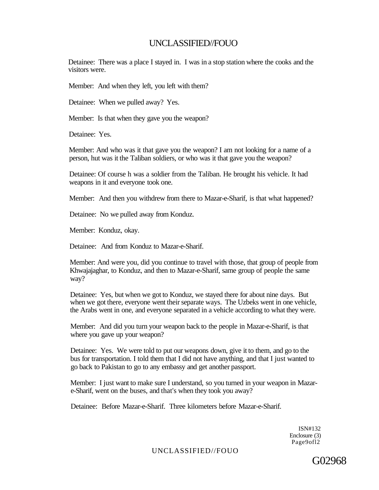Detainee: There was a place I stayed in. I was in a stop station where the cooks and the visitors were.

Member: And when they left, you left with them?

Detainee: When we pulled away? Yes.

Member: Is that when they gave you the weapon?

Detainee: Yes.

Member: And who was it that gave you the weapon? I am not looking for a name of a person, hut was it the Taliban soldiers, or who was it that gave you the weapon?

Detainee: Of course h was a soldier from the Taliban. He brought his vehicle. It had weapons in it and everyone took one.

Member: And then you withdrew from there to Mazar-e-Sharif, is that what happened?

Detainee: No we pulled away from Konduz.

Member: Konduz, okay.

Detainee: And from Konduz to Mazar-e-Sharif.

Member: And were you, did you continue to travel with those, that group of people from Khwajajaghar, to Konduz, and then to Mazar-e-Sharif, same group of people the same way?

Detainee: Yes, but when we got to Konduz, we stayed there for about nine days. But when we got there, everyone went their separate ways. The Uzbeks went in one vehicle, the Arabs went in one, and everyone separated in a vehicle according to what they were.

Member: And did you turn your weapon back to the people in Mazar-e-Sharif, is that where you gave up your weapon?

Detainee: Yes. We were told to put our weapons down, give it to them, and go to the bus for transportation. I told them that I did not have anything, and that I just wanted to go back to Pakistan to go to any embassy and get another passport.

Member: I just want to make sure I understand, so you turned in your weapon in Mazare-Sharif, went on the buses, and that's when they took you away?

Detainee: Before Mazar-e-Sharif. Three kilometers before Mazar-e-Sharif.

ISN#132 Enclosure (3) Page9ofl2

UNCLASSIFIED//FOUO

G02968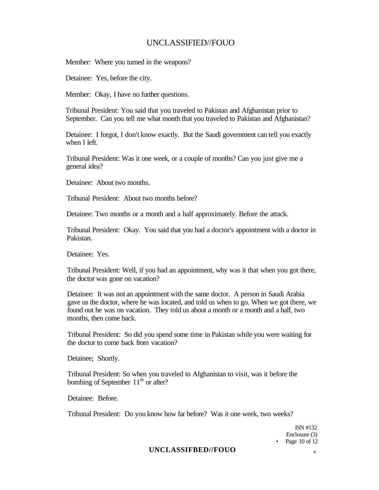Member: Where you turned in the weapons?

Detainee: Yes, before the city.

Member: Okay, I have no further questions.

Tribunal President: You said that you traveled to Pakistan and Afghanistan prior to September. Can you tell me what month that you traveled to Pakistan and Afghanistan?

Detainee: I forgot, I don't know exactly. But the Saudi government can tell you exactly when I left.

Tribunal President: Was it one week, or a couple of months? Can you just give me a general idea?

Detainee: About two months.

Tribunal President: About two months before?

Detainee: Two months or a month and a half approximately. Before the attack.

Tribunal President: Okay. You said that you had a doctor's appointment with a doctor in Pakistan.

Detainee: Yes.

Tribunal President: Well, if you had an appointment, why was it that when you got there, the doctor was gone on vacation?

Detainee: It was not an appointment with the same doctor. A person in Saudi Arabia gave us the doctor, where he was located, and told us when to go. When we got there, we found out he was on vacation. They told us about a month or a month and a half, two months, then come back.

Tribunal President: So did you spend some time in Pakistan while you were waiting for the doctor to come back from vacation?

Detainee; Shortly.

Tribunal President: So when you traveled to Afghanistan to visit, was it before the bombing of September  $11<sup>th</sup>$  or after?

Detainee: Before.

Tribunal President: Do you know how far before? Was it one week, two weeks?

ISN #132 Enclosure (3) • Page 10 of 12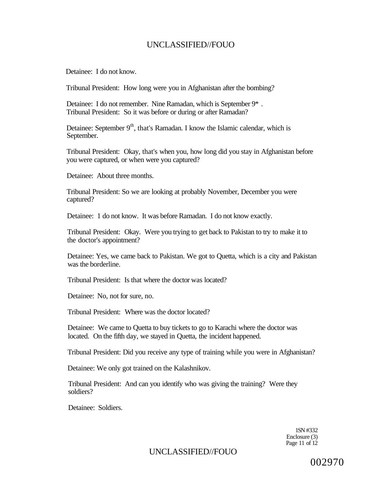Detainee: I do not know.

Tribunal President: How long were you in Afghanistan after the bombing?

Detainee: I do not remember. Nine Ramadan, which is September 9\* . Tribunal President: So it was before or during or after Ramadan?

Detainee: September 9<sup>th</sup>, that's Ramadan. I know the Islamic calendar, which is September.

Tribunal President: Okay, that's when you, how long did you stay in Afghanistan before you were captured, or when were you captured?

Detainee: About three months.

Tribunal President: So we are looking at probably November, December you were captured?

Detainee: 1 do not know. It was before Ramadan. I do not know exactly.

Tribunal President: Okay. Were you trying to get back to Pakistan to try to make it to the doctor's appointment?

Detainee: Yes, we came back to Pakistan. We got to Quetta, which is a city and Pakistan was the borderline.

Tribunal President: Is that where the doctor was located?

Detainee: No, not for sure, no.

Tribunal President: Where was the doctor located?

Detainee: We came to Quetta to buy tickets to go to Karachi where the doctor was located. On the fifth day, we stayed in Quetta, the incident happened.

Tribunal President: Did you receive any type of training while you were in Afghanistan?

Detainee: We only got trained on the Kalashnikov.

Tribunal President: And can you identify who was giving the training? Were they soldiers?

Detainee: Soldiers.

1SN #332 Enclosure (3) Page 11 of 12

### UNCLASSIFIED//FOUO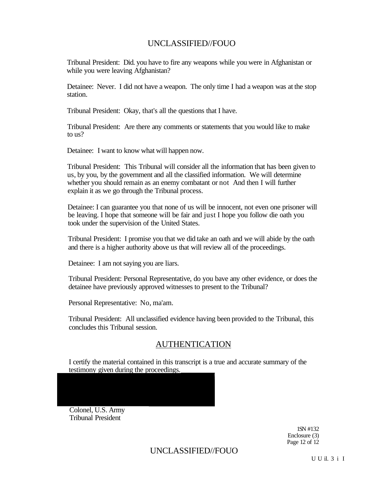Tribunal President: Did. you have to fire any weapons while you were in Afghanistan or while you were leaving Afghanistan?

Detainee: Never. I did not have a weapon. The only time I had a weapon was at the stop station.

Tribunal President: Okay, that's all the questions that I have.

Tribunal President: Are there any comments or statements that you would like to make to us?

Detainee: I want to know what will happen now.

Tribunal President: This Tribunal will consider all the information that has been given to us, by you, by the government and all the classified information. We will determine whether you should remain as an enemy combatant or not And then I will further explain it as we go through the Tribunal process.

Detainee: I can guarantee you that none of us will be innocent, not even one prisoner will be leaving. I hope that someone will be fair and just I hope you follow die oath you took under the supervision of the United States.

Tribunal President: I promise you that we did take an oath and we will abide by the oath and there is a higher authority above us that will review all of the proceedings.

Detainee: I am not saying you are liars.

Tribunal President: Personal Representative, do you bave any other evidence, or does the detainee have previously approved witnesses to present to the Tribunal?

Personal Representative: No, ma'am.

Tribunal President: All unclassified evidence having been provided to the Tribunal, this concludes this Tribunal session.

### AUTHENTICATION

I certify the material contained in this transcript is a true and accurate summary of the testimony given during the proceedings.

Colonel, U.S. Army Tribunal President

> 1SN #132 Enclosure (3) Page 12 of 12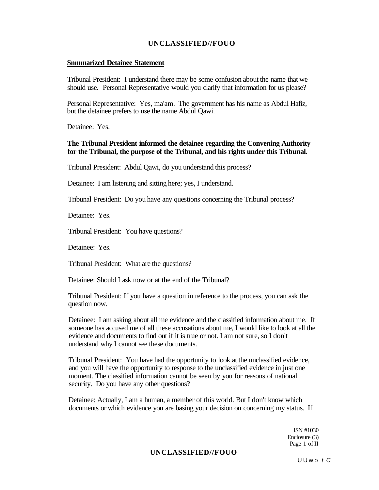#### **Snmmarized Detainee Statement**

Tribunal President: I understand there may be some confusion about the name that we should use. Personal Representative would you clarify that information for us please?

Personal Representative: Yes, ma'am. The government has his name as Abdul Hafiz, but the detainee prefers to use the name Abdul Qawi.

Detainee: Yes.

#### **The Tribunal President informed the detainee regarding the Convening Authority for the Tribunal, the purpose of the Tribunal, and his rights under this Tribunal.**

Tribunal President: Abdul Qawi, do you understand this process?

Detainee: I am listening and sitting here; yes, I understand.

Tribunal President: Do you have any questions concerning the Tribunal process?

Detainee: Yes.

Tribunal President: You have questions?

Detainee: Yes.

Tribunal President: What are the questions?

Detainee: Should I ask now or at the end of the Tribunal?

Tribunal President: If you have a question in reference to the process, you can ask the question now.

Detainee: I am asking about all me evidence and the classified information about me. If someone has accused me of all these accusations about me, I would like to look at all the evidence and documents to find out if it is true or not. I am not sure, so I don't understand why I cannot see these documents.

Tribunal President: You have had the opportunity to look at the unclassified evidence, and you will have the opportunity to response to the unclassified evidence in just one moment. The classified information cannot be seen by you for reasons of national security. Do you have any other questions?

Detainee: Actually, I am a human, a member of this world. But I don't know which documents or which evidence you are basing your decision on concerning my status. If

> ISN #1030 Enclosure (3) Page 1 of II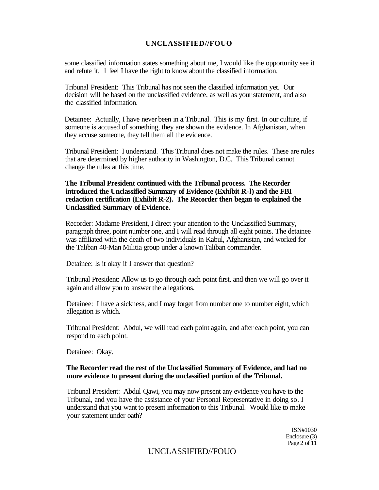some classified information states something about me, I would like the opportunity see it and refute it. 1 feel I have the right to know about the classified information.

Tribunal President: This Tribunal has not seen the classified information yet. Our decision will be based on the unclassified evidence, as well as your statement, and also the classified information.

Detainee: Actually, I have never been in **a** Tribunal. This is my first. In our culture, if someone is accused of something, they are shown the evidence. In Afghanistan, when they accuse someone, they tell them all the evidence.

Tribunal President: I understand. This Tribunal does not make the rules. These are rules that are determined by higher authority in Washington, D.C. This Tribunal cannot change the rules at this time.

#### **The Tribunal President continued with the Tribunal process. The Recorder introduced the Unclassified Summary of Evidence (Exhibit R-l) and the FBI redaction certification (Exhibit R-2). The Recorder then began to explained the Unclassified Summary of Evidence.**

Recorder: Madame President, I direct your attention to the Unclassified Summary, paragraph three, point number one, and I will read through all eight points. The detainee was affiliated with the death of two individuals in Kabul, Afghanistan, and worked for the Taliban 40-Man Militia group under a known Taliban commander.

Detainee: Is it okay if I answer that question?

Tribunal President: Allow us to go through each point first, and then we will go over it again and allow you to answer the allegations.

Detainee: I have a sickness, and I may forget from number one to number eight, which allegation is which.

Tribunal President: Abdul, we will read each point again, and after each point, you can respond to each point.

Detainee: Okay.

#### **The Recorder read the rest of the Unclassified Summary of Evidence, and had no more evidence to present during the unclassified portion of the Tribunal.**

Tribunal President: Abdul Qawi, you may now present any evidence you have to the Tribunal, and you have the assistance of your Personal Representative in doing so. I understand that you want to present information to this Tribunal. Would like to make your statement under oath?

> ISN#1030 Enclosure (3) Page 2 of 11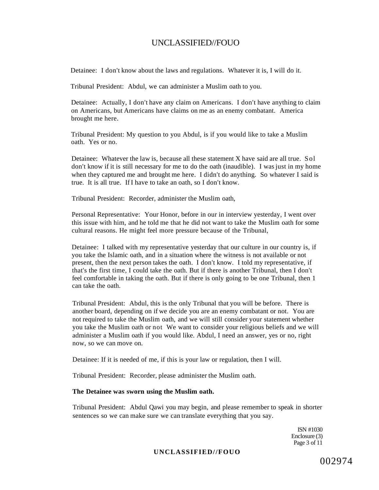Detainee: I don't know about the laws and regulations. Whatever it is, I will do it.

Tribunal President: Abdul, we can administer a Muslim oath to you.

Detainee: Actually, I don't have any claim on Americans. I don't have anything to claim on Americans, but Americans have claims on me as an enemy combatant. America brought me here.

Tribunal President: My question to you Abdul, is if you would like to take a Muslim oath. Yes or no.

Detainee: Whatever the law is, because all these statement X have said are all true. Sol don't know if it is still necessary for me to do the oath (inaudible). I was just in my home when they captured me and brought me here. I didn't do anything. So whatever I said is true. It is all true. If I have to take an oath, so I don't know.

Tribunal President: Recorder, administer the Muslim oath,

Personal Representative: Your Honor, before in our in interview yesterday, I went over this issue with him, and he told me that he did not want to take the Muslim oath for some cultural reasons. He might feel more pressure because of the Tribunal,

Detainee: I talked with my representative yesterday that our culture in our country is, if you take the Islamic oath, and in a situation where the witness is not available or not present, then the next person takes the oath. I don't know. I told my representative, if that's the first time, I could take the oath. But if there is another Tribunal, then I don't feel comfortable in taking the oath. But if there is only going to be one Tribunal, then 1 can take the oath.

Tribunal President: Abdul, this is the only Tribunal that you will be before. There is another board, depending on if we decide you are an enemy combatant or not. You are not required to take the Muslim oath, and we will still consider your statement whether you take the Muslim oath or not We want to consider your religious beliefs and we will administer a Muslim oath if you would like. Abdul, I need an answer, yes or no, right now, so we can move on.

Detainee: If it is needed of me, if this is your law or regulation, then I will.

Tribunal President: Recorder, please administer the Muslim oath.

#### **The Detainee was sworn using the Muslim oath.**

Tribunal President: Abdul Qawi you may begin, and please remember to speak in shorter sentences so we can make sure we can translate everything that you say.

> ISN #1030 Enclosure (3) Page 3 of 11

#### **UNCLASSIFIED//FOUO**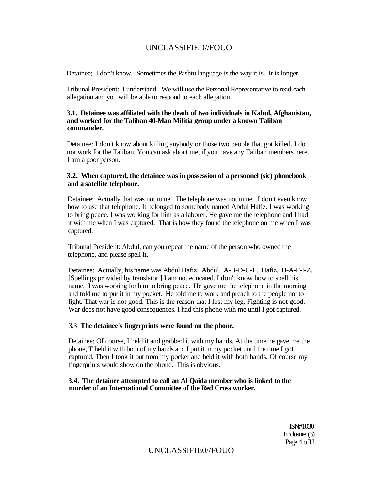Detainee; I don't know. Sometimes the Pashtu language is the way it is. It is longer.

Tribunal President: I understand. We will use the Personal Representative to read each allegation and you will be able to respond to each allegation.

#### **3.1. Detainee was affiliated with the death of two individuals in Kabul, Afghanistan, and worked for the Taliban 40-Man Militia group under a known Taliban commander.**

Detainee: I don't know about killing anybody or those two people that got killed. I do not work for the Taliban. You can ask about me, if you have any Taliban members here. I am a poor person.

#### **3.2. When captured, the detainee was in possession of a personnel (sic) phonebook and a satellite telephone.**

Detainee: Actually that was not mine. The telephone was not mine. I don't even know how to use that telephone. It belonged to somebody named Abdul Hafiz. I was working to bring peace. I was working for him as a laborer. He gave me the telephone and I had it with me when I was captured. That is how they found the telephone on me when I was captured.

Tribunal President: Abdul, can you repeat the name of the person who owned the telephone, and please spell it.

Detainee: Actually, his name was Abdul Hafiz. Abdul. A-B-D-U-L. Hafiz. H-A-F-I-Z. [Spellings provided by translator.] I am not educated. I don't know how to spell his name. I was working for him to bring peace. He gave me the telephone in the morning and told me to put it in my pocket. He told me to work and preach to the people not to fight. That war is not good. This is the reason-that I lost my leg. Fighting is not good. War does not have good consequences. I had this phone with me until I got captured.

#### 3.3 **The detainee's fingerprints were found on the phone.**

Detainee: Of course, I held it and grabbed it with my hands. At the time he gave me the phone, T held it with both of my hands and I put it in my pocket until the time I got captured. Then I took it out from my pocket and held it with both hands. Of course my fingerprints would show on the phone. This is obvious.

#### **3.4. The detainee attempted to call an Al Qaida member who is linked to the murder** of **an International Committee of the Red Cross worker.**

ISN#1030 Enclosure (3) Page 4 ofU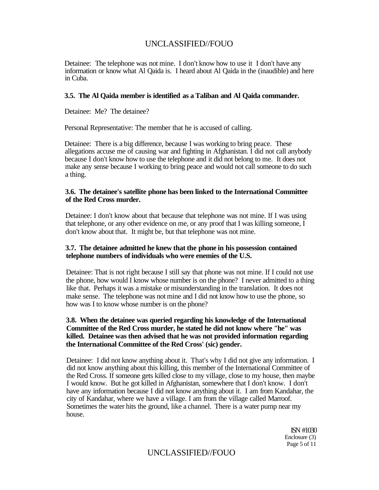Detainee: The telephone was not mine. I don't know how to use it I don't have any information or know what Al Qaida is. I heard about Al Qaida in the (inaudible) and here in Cuba.

#### **3.5. The Al Qaida member is identified as a Taliban and Al Qaida commander.**

Detainee: Me? The detainee?

Personal Representative: The member that he is accused of calling.

Detainee: There is a big difference, because I was working to bring peace. These allegations accuse me of causing war and fighting in Afghanistan. I did not call anybody because I don't know how to use the telephone and it did not belong to me. It does not make any sense because I working to bring peace and would not call someone to do such a thing.

#### **3.6. The detainee's satellite phone has been linked to the International Committee of the Red Cross murder.**

Detainee: I don't know about that because that telephone was not mine. If I was using that telephone, or any other evidence on me, or any proof that I was killing someone, I don't know about that. It might be, but that telephone was not mine.

#### **3.7. The detainee admitted he knew that the phone in his possession contained telephone numbers of individuals who were enemies of the U.S.**

Detainee: That is not right because I still say that phone was not mine. If I could not use the phone, how would I know whose number is on the phone? I never admitted to a thing like that. Perhaps it was a mistake or misunderstanding in the translation. It does not make sense. The telephone was not mine and I did not know how to use the phone, so how was I to know whose number is on the phone?

#### **3.8. When the detainee was queried regarding his knowledge of the International Committee of the Red Cross murder, he stated he did not know where "he" was killed. Detainee was then advised that he was not provided information regarding the International Committee of the Red Cross' (sic) gender.**

Detainee: I did not know anything about it. That's why I did not give any information. I did not know anything about this killing, this member of the International Committee of the Red Cross. If someone gets killed close to my village, close to my house, then maybe I would know. But he got killed in Afghanistan, somewhere that I don't know. I don't have any information because I did not know anything about it. I am from Kandahar, the city of Kandahar, where we have a village. I am from the village called Marroof. Sometimes the water hits the ground, like a channel. There is a water pump near my house.

> ISN #1030 Enclosure (3) Page 5 of 11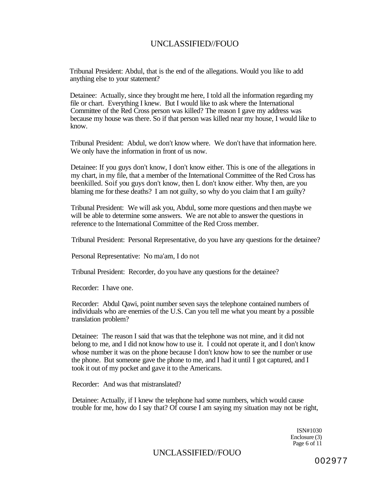Tribunal President: Abdul, that is the end of the allegations. Would you like to add anything else to your statement?

Detainee: Actually, since they brought me here, I told all the information regarding my file or chart. Everything I knew. But I would like to ask where the International Committee of the Red Cross person was killed? The reason I gave my address was because my house was there. So if that person was killed near my house, I would like to know.

Tribunal President: Abdul, we don't know where. We don't have that information here. We only have the information in front of us now.

Detainee: If you guys don't know, I don't know either. This is one of the allegations in my chart, in my file, that a member of the International Committee of the Red Cross has beenkilled. Soif you guys don't know, then L don't know either. Why then, are you blaming me for these deaths? I am not guilty, so why do you claim that I am guilty?

Tribunal President: We will ask you, Abdul, some more questions and then maybe we will be able to determine some answers. We are not able to answer the questions in reference to the International Committee of the Red Cross member.

Tribunal President: Personal Representative, do you have any questions for the detainee?

Personal Representative: No ma'am, I do not

Tribunal President: Recorder, do you have any questions for the detainee?

Recorder: I have one.

Recorder: Abdul Qawi, point number seven says the telephone contained numbers of individuals who are enemies of the U.S. Can you tell me what you meant by a possible translation problem?

Detainee: The reason I said that was that the telephone was not mine, and it did not belong to me, and I did not know how to use it. I could not operate it, and I don't know whose number it was on the phone because I don't know how to see the number or use the phone. But someone gave the phone to me, and I had it until I got captured, and I took it out of my pocket and gave it to the Americans.

Recorder: And was that mistranslated?

Detainee: Actually, if I knew the telephone had some numbers, which would cause trouble for me, how do I say that? Of course I am saying my situation may not be right,

> ISN#1030 Enclosure (3) Page 6 of 11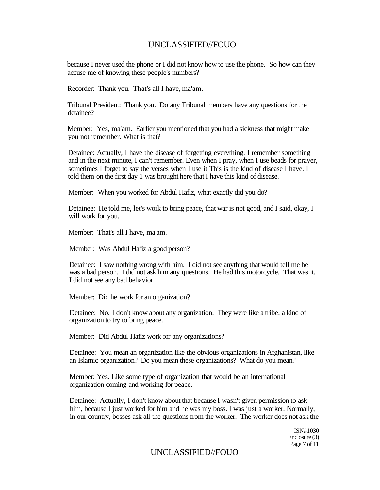because I never used the phone or I did not know how to use the phone. So how can they accuse me of knowing these people's numbers?

Recorder: Thank you. That's all I have, ma'am.

Tribunal President: Thank you. Do any Tribunal members have any questions for the detainee?

Member: Yes, ma'am. Earlier you mentioned that you had a sickness that might make you not remember. What is that?

Detainee: Actually, I have the disease of forgetting everything. I remember something and in the next minute, I can't remember. Even when I pray, when I use beads for prayer, sometimes I forget to say the verses when I use it This is the kind of disease I have. I told them on the first day 1 was brought here that I have this kind of disease.

Member: When you worked for Abdul Hafiz, what exactly did you do?

Detainee: He told me, let's work to bring peace, that war is not good, and I said, okay, I will work for you.

Member: That's all I have, ma'am.

Member: Was Abdul Hafiz a good person?

Detainee: I saw nothing wrong with him. I did not see anything that would tell me he was a bad person. I did not ask him any questions. He had this motorcycle. That was it. I did not see any bad behavior.

Member: Did he work for an organization?

Detainee: No, I don't know about any organization. They were like a tribe, a kind of organization to try to bring peace.

Member: Did Abdul Hafiz work for any organizations?

Detainee: You mean an organization like the obvious organizations in Afghanistan, like an Islamic organization? Do you mean these organizations? What do you mean?

Member: Yes. Like some type of organization that would be an international organization coming and working for peace.

Detainee: Actually, I don't know about that because I wasn't given permission to ask him, because I just worked for him and he was my boss. I was just a worker. Normally, in our country, bosses ask all the questions from the worker. The worker does not ask the

> ISN#1030 Enclosure (3) Page 7 of 11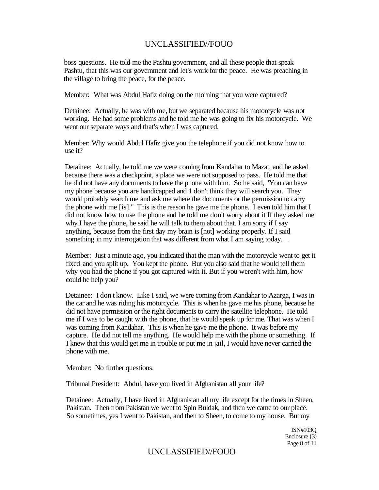boss questions. He told me the Pashtu government, and all these people that speak Pashtu, that this was our government and let's work for the peace. He was preaching in the village to bring the peace, for the peace.

Member: What was Abdul Hafiz doing on the morning that you were captured?

Detainee: Actually, he was with me, but we separated because his motorcycle was not working. He had some problems and he told me he was going to fix his motorcycle. We went our separate ways and that's when I was captured.

Member: Why would Abdul Hafiz give you the telephone if you did not know how to use it?

Detainee: Actually, he told me we were coming from Kandahar to Mazat, and he asked because there was a checkpoint, a place we were not supposed to pass. He told me that he did not have any documents to have the phone with him. So he said, "You can have my phone because you are handicapped and 1 don't think they will search you. They would probably search me and ask me where the documents or the permission to carry the phone with me [is]." This is the reason he gave me the phone. I even told him that I did not know how to use the phone and he told me don't worry about it If they asked me why I have the phone, he said he will talk to them about that. I am sorry if I say anything, because from the first day my brain is [not] working properly. If I said something in my interrogation that was different from what I am saying today...

Member: Just a minute ago, you indicated that the man with the motorcycle went to get it fixed and you split up. You kept the phone. But you also said that he would tell them why you had the phone if you got captured with it. But if you weren't with him, how could he help you?

Detainee: I don't know. Like I said, we were coming from Kandahar to Azarga, I was in the car and he was riding his motorcycle. This is when he gave me his phone, because he did not have permission or the right documents to carry the satellite telephone. He told me if I was to be caught with the phone, that he would speak up for me. That was when I was coming from Kandahar. This is when he gave me the phone. It was before my capture. He did not tell me anything. He would help me with the phone or something. If I knew that this would get me in trouble or put me in jail, I would have never carried the phone with me.

Member: No further questions.

Tribunal President: Abdul, have you lived in Afghanistan all your life?

Detainee: Actually, I have lived in Afghanistan all my life except for the times in Sheen, Pakistan. Then from Pakistan we went to Spin Buldak, and then we came to our place. So sometimes, yes I went to Pakistan, and then to Sheen, to come to my house. But my

> ISN#103Q Enclosure {3) Page 8 of 11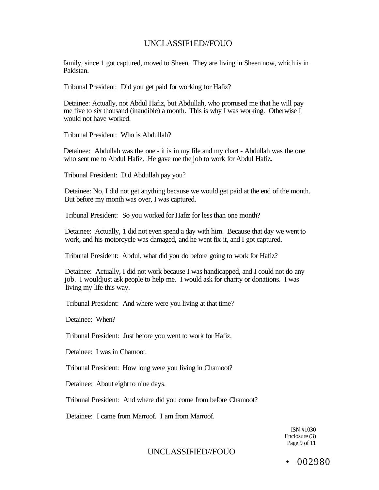family, since 1 got captured, moved to Sheen. They are living in Sheen now, which is in Pakistan.

Tribunal President: Did you get paid for working for Hafiz?

Detainee: Actually, not Abdul Hafiz, but Abdullah, who promised me that he will pay me five to six thousand (inaudible) a month. This is why I was working. Otherwise I would not have worked.

Tribunal President: Who is Abdullah?

Detainee: Abdullah was the one - it is in my file and my chart - Abdullah was the one who sent me to Abdul Hafiz. He gave me the job to work for Abdul Hafiz.

Tribunal President: Did Abdullah pay you?

Detainee: No, I did not get anything because we would get paid at the end of the month. But before my month was over, I was captured.

Tribunal President: So you worked for Hafiz for less than one month?

Detainee: Actually, 1 did not even spend a day with him. Because that day we went to work, and his motorcycle was damaged, and he went fix it, and I got captured.

Tribunal President: Abdul, what did you do before going to work for Hafiz?

Detainee: Actually, I did not work because I was handicapped, and I could not do any job. I wouldjust ask people to help me. I would ask for charity or donations. I was living my life this way.

Tribunal President: And where were you living at that time?

Detainee: When?

Tribunal President: Just before you went to work for Hafiz.

Detainee: I was in Chamoot.

Tribunal President: How long were you living in Chamoot?

Detainee: About eight to nine days.

Tribunal President: And where did you come from before Chamoot?

Detainee: I came from Marroof. I am from Marroof.

ISN #1030 Enclosure (3) Page 9 of 11

UNCLASSIFIED//FOUO

• 002980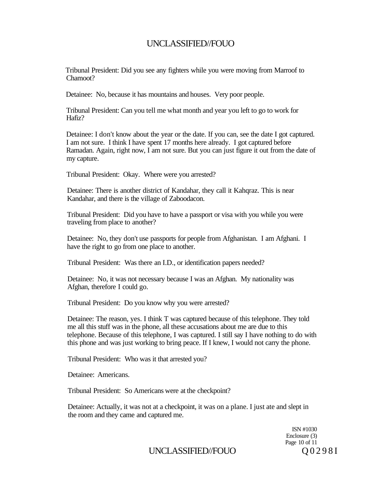Tribunal President: Did you see any fighters while you were moving from Marroof to Chamoot?

Detainee: No, because it has mountains and houses. Very poor people.

Tribunal President: Can you tell me what month and year you left to go to work for Hafiz?

Detainee: I don't know about the year or the date. If you can, see the date I got captured. I am not sure. I think I have spent 17 months here already. I got captured before Ramadan. Again, right now, I am not sure. But you can just figure it out from the date of my capture.

Tribunal President: Okay. Where were you arrested?

Detainee: There is another district of Kandahar, they call it Kahqraz. This is near Kandahar, and there is the village of Zaboodacon.

Tribunal President: Did you have to have a passport or visa with you while you were traveling from place to another?

Detainee: No, they don't use passports for people from Afghanistan. I am Afghani. I have the right to go from one place to another.

Tribunal President: Was there an I.D., or identification papers needed?

Detainee: No, it was not necessary because I was an Afghan. My nationality was Afghan, therefore I could go.

Tribunal President: Do you know why you were arrested?

Detainee: The reason, yes. I think T was captured because of this telephone. They told me all this stuff was in the phone, all these accusations about me are due to this telephone. Because of this telephone, I was captured. I still say I have nothing to do with this phone and was just working to bring peace. If I knew, I would not carry the phone.

Tribunal President: Who was it that arrested you?

Detainee: Americans.

Tribunal President: So Americans were at the checkpoint?

Detainee: Actually, it was not at a checkpoint, it was on a plane. I just ate and slept in the room and they came and captured me.

> ISN #1030 Enclosure (3) Page 10 of 11

UNCLASSIFIED//FOUO Q 0 2 9 8 I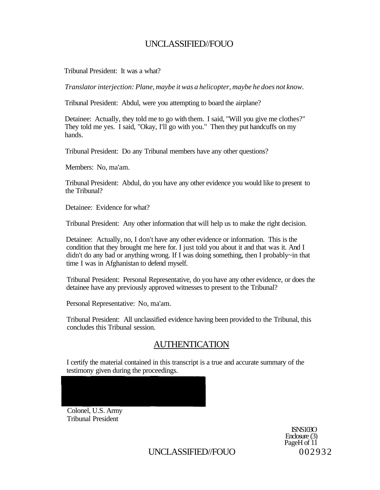Tribunal President: It was a what?

*Translator interjection: Plane, maybe it was a helicopter, maybe he does not know.* 

Tribunal President: Abdul, were you attempting to board the airplane?

Detainee: Actually, they told me to go with them. I said, "Will you give me clothes?" They told me yes. I said, "Okay, I'll go with you." Then they put handcuffs on my hands.

Tribunal President: Do any Tribunal members have any other questions?

Members: No, ma'am.

Tribunal President: Abdul, do you have any other evidence you would like to present to the Tribunal?

Detainee: Evidence for what?

Tribunal President: Any other information that will help us to make the right decision.

Detainee: Actually, no, I don't have any other evidence or information. This is the condition that they brought me here for. I just told you about it and that was it. And I didn't do any bad or anything wrong. If I was doing something, then I probably~in that time I was in Afghanistan to defend myself.

Tribunal President: Personal Representative, do you have any other evidence, or does the detainee have any previously approved witnesses to present to the Tribunal?

Personal Representative: No, ma'am.

Tribunal President: All unclassified evidence having been provided to the Tribunal, this concludes this Tribunal session.

# AUTHENTICATION

I certify the material contained in this transcript is a true and accurate summary of the testimony given during the proceedings.

Colonel, U.S. Army Tribunal President

> ISNS103O Enclosure (3) PageH of 11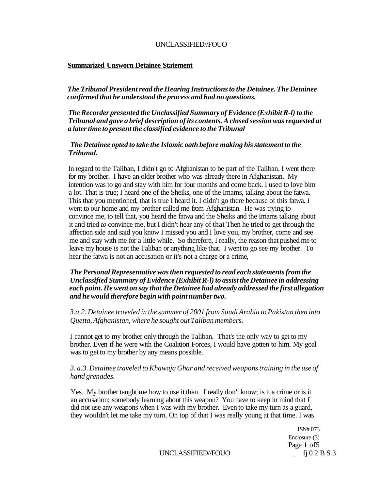#### **Summarized Unsworn Detainee Statement**

*The Tribunal President read the Hearing Instructions to the Detainee. The Detainee confirmed that he understood the process and had no questions.* 

*The Recorder presented the Unclassified Summary of Evidence (Exhibit R-l) to the Tribunal and gave a brief description of its contents. A closed session was requested at a later time to present the classified evidence to the Tribunal* 

#### *The Detainee opted to take the Islamic oath before making his statement to the Tribunal.*

In regard to the Taliban, I didn't go to Afghanistan to be part of the Taliban. I went there for my brother. I have an older brother who was already there in Afghanistan. My intention was to go and stay with him for four months and come back. I used to love bim a lot. That is true; I heard one of the Sheiks, one of the Imams, talking about the fatwa. This that you mentioned, that is true I heard it. I didn't go there because of this fatwa. *I*  went to our home and my brother called me from Afghanistan. He was trying to convince me, to tell that, you heard the fatwa and the Sheiks and the Imams talking about it and tried *to* convince me, but I didn't hear any of that Then he tried to get through the affection side and said you know I missed you and I love you, my brother, come and see me and stay with me for a little while. So therefore, I really, the reason that pushed me to leave my house is not the Taliban or anything like that. I went to go see my brother. To hear the fatwa is not an accusation or it's not a charge or a crime,

#### *The Personal Representative was then requested to read each statements from the Unclassified Summary of Evidence (Exhibit R-l) to assist the Detainee in addressing each point. He went on say that the Detainee had already addressed the first allegation and he would therefore begin with point number two.*

#### *3.a.2. Detainee traveled in the summer of 2001 from Saudi Arabia to Pakistan then into Quetta, Afghanistan, where he sought out Taliban members.*

I cannot get to my brother only through the Taliban. That's the only way to get to my brother. Even if he were with the Coalition Forces, I would have gotten to him. My goal was to get to my brother by any means possible.

#### *3. a.3. Detainee traveled to Khawaja Ghar and received weapons training in the use of hand grenades.*

Yes. My brother taught me how to use it then. I really don't know; is it a crime or is it an accusation; somebody learning about this weapon? You have to keep in mind that *I*  did not use any weapons when I was with my brother. Even to take my turn as a guard, they wouldn't let me take my turn. On top of that I was really young at that time. I was

> 1SN# 073 Enclosure (3) Page 1 of 5

UNCLASSIFIED//FOUO \_ fj 0 2 B S 3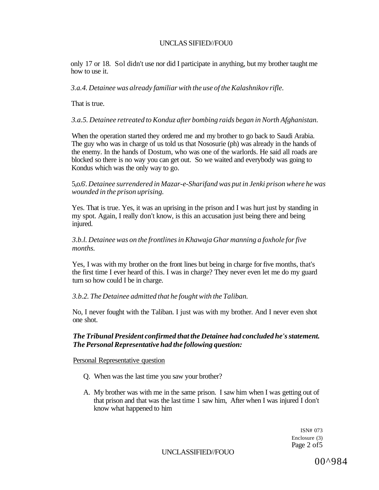only 17 or 18. Sol didn't use nor did I participate in anything, but my brother taught me how to use it.

*3.a.4. Detainee was already familiar with the use of the Kalashnikov rifle.* 

That is true.

*3.a.5. Detainee retreated to Konduz after bombing raids began in North Afghanistan.* 

When the operation started they ordered me and my brother to go back to Saudi Arabia. The guy who was in charge of us told us that Nososurie (ph) was already in the hands of the enemy. In the hands of Dostum, who was one of the warlords. He said all roads are blocked so there is no way you can get out. So we waited and everybody was going to Kondus which was the only way to go.

5,o.6'. *Detainee surrendered in Mazar-e-Sharifand was put in Jenki prison where he was wounded in the prison uprising.* 

Yes. That is true. Yes, it was an uprising in the prison and I was hurt just by standing in my spot. Again, I really don't know, is this an accusation just being there and being injured.

*3.b.l. Detainee was on the frontlines in Khawaja Ghar manning a foxhole for five months.* 

Yes, I was with my brother on the front lines but being in charge for five months, that's the first time I ever heard of this. I was in charge? They never even let me do my guard turn so how could I be in charge.

#### *3.b.2. The Detainee admitted that he fought with the Taliban.*

No, I never fought with the Taliban. I just was with my brother. And I never even shot one shot.

#### *The Tribunal President confirmed that the Detainee had concluded he's statement. The Personal Representative had the following question:*

Personal Representative question

- Q. When was the last time you saw your brother?
- A. My brother was with me in the same prison. I saw him when I was getting out of that prison and that was the last time 1 saw him, After when I was injured I don't know what happened to him

ISN# 073 Enclosure (3) Page 2 of5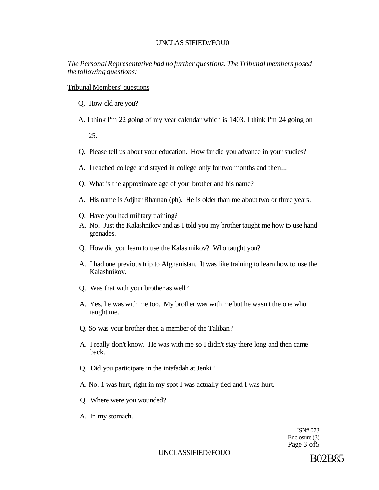*The Personal Representative had no further questions. The Tribunal members posed the following questions:* 

Tribunal Members' questions

- Q. How old are you?
- A. I think I'm 22 going of my year calendar which is 1403. I think I'm 24 going on

25.

- Q. Please tell us about your education. How far did you advance in your studies?
- A. I reached college and stayed in college only for two months and then...
- Q. What is the approximate age of your brother and his name?
- A. His name is Adjhar Rhaman (ph). He is older than me about two or three years.
- Q. Have you had military training?
- A. No. Just the Kalashnikov and as I told you my brother taught me how to use hand grenades.
- Q. How did you learn to use the Kalashnikov? Who taught you?
- A. I had one previous trip to Afghanistan. It was like training to learn how to use the Kalashnikov.
- Q. Was that with your brother as well?
- A. Yes, he was with me too. My brother was with me but he wasn't the one who taught me.
- Q. So was your brother then a member of the Taliban?
- A. I really don't know. He was with me so I didn't stay there long and then came back.
- Q. Did you participate in the intafadah at Jenki?
- A. No. 1 was hurt, right in my spot I was actually tied and I was hurt.
- Q. Where were you wounded?
- A. In my stomach.

ISN# 073 Enclosure (3) Page 3 of5

UNCLASSIFIED//FOUO B02B85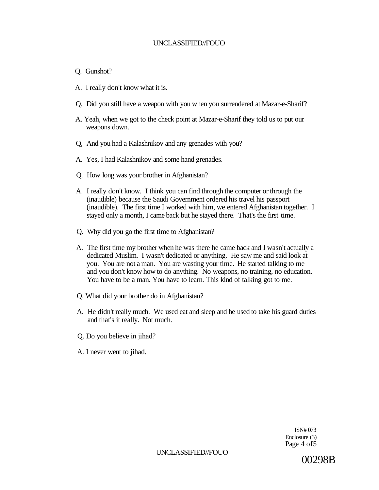- Q. Gunshot?
- A. I really don't know what it is.
- Q. Did you still have a weapon with you when you surrendered at Mazar-e-Sharif?
- A. Yeah, when we got to the check point at Mazar-e-Sharif they told us to put our weapons down.
- Q, And you had a Kalashnikov and any grenades with you?
- A. Yes, I had Kalashnikov and some hand grenades.
- Q. How long was your brother in Afghanistan?
- A. I really don't know. I think you can find through the computer or through the (inaudible) because the Saudi Government ordered his travel his passport (inaudible). The first time I worked with him, we entered Afghanistan together. I stayed only a month, I came back but he stayed there. That's the first time.
- Q. Why did you go the first time to Afghanistan?
- A. The first time my brother when he was there he came back and I wasn't actually a dedicated Muslim. I wasn't dedicated or anything. He saw me and said look at you. You are not a man. You are wasting your time. He started talking to me and you don't know how to do anything. No weapons, no training, no education. You have to be a man. You have to learn. This kind of talking got to me.
- Q. What did your brother do in Afghanistan?
- A. He didn't really much. We used eat and sleep and he used to take his guard duties and that's it really. Not much.
- Q. Do you believe in jihad?
- A. I never went to jihad.

ISN# 073 Enclosure (3) Page 4 of 5

UNCLASSIFIED//FOUO

00298B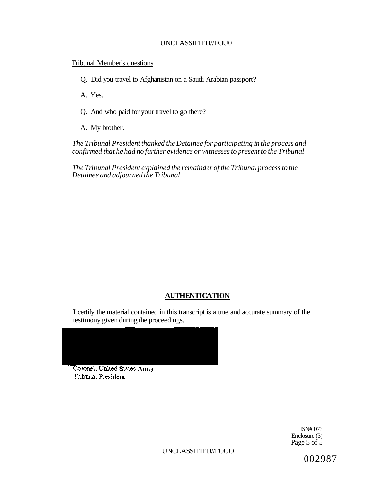#### Tribunal Member's questions

Q. Did you travel to Afghanistan on a Saudi Arabian passport?

A. Yes.

- Q. And who paid for your travel to go there?
- A. My brother.

*The Tribunal President thanked the Detainee for participating in the process and confirmed that he had no further evidence or witnesses to present to the Tribunal* 

*The Tribunal President explained the remainder of the Tribunal process to the Detainee and adjourned the Tribunal* 

### **AUTHENTICATION**

**I** certify the material contained in this transcript is a true and accurate summary of the testimony given during the proceedings.

Colonel, United States Army **Tribunal President** 

> ISN# 073 Enclosure (3) Page 5 of 5

UNCLASSIFIED//FOUO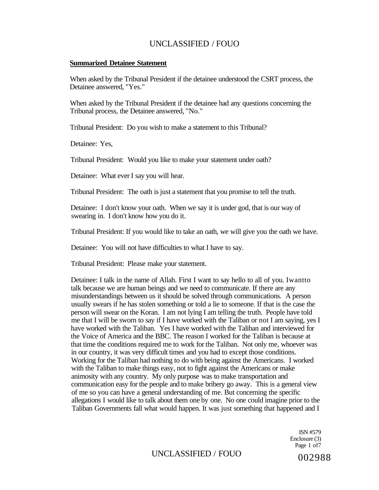#### **Summarized Detainee Statement**

When asked by the Tribunal President if the detainee understood the CSRT process, the Detainee answered, "Yes."

When asked by the Tribunal President if the detainee had any questions concerning the Tribunal process, the Detainee answered, "No."

Tribunal President: Do you wish to make a statement to this Tribunal?

Detainee: Yes,

Tribunal President: Would you like to make your statement under oath?

Detainee: What ever I say you will hear.

Tribunal President: The oath is just a statement that you promise to tell the truth.

Detainee: I don't know your oath. When we say it is under god, that is our way of swearing in. I don't know how you do it.

Tribunal President: If you would like to take an oath, we will give you the oath we have.

Detainee: You will not have difficulties to what I have to say.

Tribunal President: Please make your statement.

Detainee: I talk in the name of Allah. First I want to say hello to all of you. Iwantto talk because we are human beings and we need to communicate. If there are any misunderstandings between us it should be solved through communications. A person usually swears if he has stolen something or told a lie to someone. If that is the case the person will swear on the Koran. I am not lying I am telling the truth. People have told me that I will be sworn to say if I have worked with the Taliban or not I am saying, yes I have worked with the Taliban. Yes I have worked with the Taliban and interviewed for the Voice of America and the BBC. The reason I worked for the Taliban is because at that time the conditions required me to work for the Taliban. Not only me, whoever was in our country, it was very difficult times and you had to except those conditions. Working for the Taliban had nothing to do with being against the Americans. I worked with the Taliban to make things easy, not to fight against the Americans or make animosity with any country. My only purpose was to make transportation and communication easy for the people and to make bribery go away. This is a general view of me so you can have a general understanding of me. But concerning the specific allegations I would like to talk about them one by one. No one could imagine prior to the Taliban Governments fall what would happen. It was just something that happened and I

> ISN #579 Enclosure (3) Page 1 of7

UNCLASSIFIED / FOUO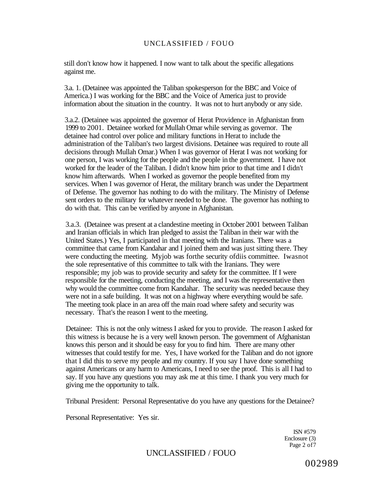still don't know how it happened. I now want to talk about the specific allegations against me.

3.a. 1. (Detainee was appointed the Taliban spokesperson for the BBC and Voice of America.) I was working for the BBC and the Voice of America just to provide information about the situation in the country. It was not to hurt anybody or any side.

3.a.2. (Detainee was appointed the governor of Herat Providence in Afghanistan from 1999 to 2001. Detainee worked for Mullah Omar while serving as governor. The detainee had control over police and military functions in Herat to include the administration of the Taliban's two largest divisions. Detainee was required to route all decisions through Mullah Omar.) When I was governor of Herat I was not working for one person, I was working for the people and the people in the government. I have not worked for the leader of the Taliban. I didn't know him prior to that time and I didn't know him afterwards. When I worked as governor the people benefited from my services. When I was governor of Herat, the military branch was under the Department of Defense. The governor has nothing to do with the military. The Ministry of Defense sent orders to the military for whatever needed to be done. The governor has nothing to do with that. This can be verified by anyone in Afghanistan.

3.a.3. (Detainee was present at a clandestine meeting in October 2001 between Taliban and Iranian officials in which Iran pledged to assist the Taliban in their war with the United States.) Yes, I participated in that meeting with the Iranians. There was a committee that came from Kandahar and I joined them and was just sitting there. They were conducting the meeting. Myjob was forthe security ofdiis committee. Iwasnot the sole representative of this committee to talk with the Iranians. They were responsible; my job was to provide security and safety for the committee. If I were responsible for the meeting, conducting the meeting, and I was the representative then why would the committee come from Kandahar. The security was needed because they were not in a safe building. It was not on a highway where everything would be safe. The meeting took place in an area off the main road where safety and security was necessary. That's the reason I went to the meeting.

Detainee: This is not the only witness I asked for you to provide. The reason I asked for this witness is because he is a very well known person. The government of Afghanistan knows this person and it should be easy for you to find him. There are many other witnesses that could testify for me. Yes, I have worked for the Taliban and do not ignore that I did this to serve my people and my country. If you say I have done something against Americans or any harm to Americans, I need to see the proof. This is all I had to say. If you have any questions you may ask me at this time. I thank you very much for giving me the opportunity to talk.

Tribunal President: Personal Representative do you have any questions for the Detainee?

Personal Representative: Yes sir.

ISN #579 Enclosure (3) Page 2 of7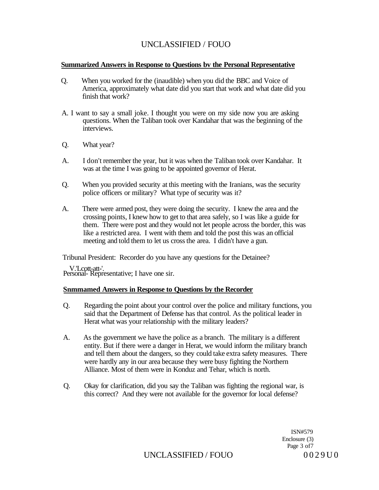#### **Summarized Answers in Response to Questions bv the Personal Representative**

- Q. When you worked for the (inaudible) when you did the BBC and Voice of America, approximately what date did you start that work and what date did you finish that work?
- A. I want to say a small joke. I thought you were on my side now you are asking questions. When the Taliban took over Kandahar that was the beginning of the interviews.
- Q. What year?
- A. I don't remember the year, but it was when the Taliban took over Kandahar. It was at the time I was going to be appointed governor of Herat.
- Q. When you provided security at this meeting with the Iranians, was the security police officers or military? What type of security was it?
- A. There were armed post, they were doing the security. I knew the area and the crossing points, I knew how to get to that area safely, so I was like a guide for them. There were post and they would not let people across the border, this was like a restricted area. I went with them and told the post this was an official meeting and told them to let us cross the area. I didn't have a gun.

Tribunal President: Recorder do you have any questions for the Detainee?

V.'Lcott-att-'. Personal- Representative; I have one sir.

#### **Snmmamed Answers in Response to Questions by the Recorder**

- Q. Regarding the point about your control over the police and military functions, you said that the Department of Defense has that control. As the political leader in Herat what was your relationship with the military leaders?
- A. As the government we have the police as a branch. The military is a different entity. But if there were a danger in Herat, we would inform the military branch and tell them about the dangers, so they could take extra safety measures. There were hardly any in our area because they were busy fighting the Northern Alliance. Most of them were in Konduz and Tehar, which is north.
- Q. Okay for clarification, did you say the Taliban was fighting the regional war, is this correct? And they were not available for the governor for local defense?

ISN#579 Enclosure (3) Page 3 of7

UNCLASSIFIED / FOUO 0029U0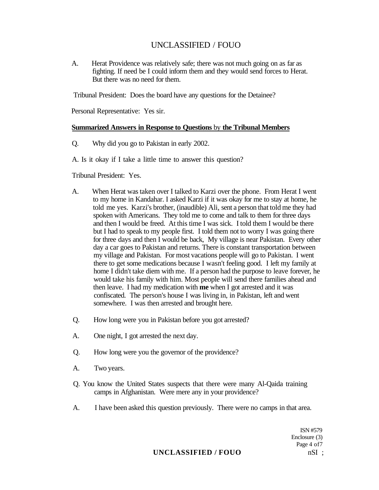A. Herat Providence was relatively safe; there was not much going on as far as fighting. If need be I could inform them and they would send forces to Herat. But there was no need for them.

Tribunal President: Does the board have any questions for the Detainee?

Personal Representative: Yes sir.

#### **Summarized Answers in Response to Questions** by **the Tribunal Members**

Q. Why did you go to Pakistan in early 2002.

A. Is it okay if I take a little time to answer this question?

Tribunal President: Yes.

- A. When Herat was taken over I talked to Karzi over the phone. From Herat I went to my home in Kandahar. I asked Karzi if it was okay for me to stay at home, he told me yes. Karzi's brother, (inaudible) Ali, sent a person that told me they had spoken with Americans. They told me to come and talk to them for three days and then I would be freed. At this time I was sick. I told them I would be there but I had to speak to my people first. I told them not to worry I was going there for three days and then I would be back, My village is near Pakistan. Every other day a car goes to Pakistan and returns. There is constant transportation between my village and Pakistan. For most vacations people will go to Pakistan. I went there to get some medications because I wasn't feeling good. I left my family at home I didn't take diem with me. If a person had the purpose to leave forever, he would take his family with him. Most people will send there families ahead and then leave. I had my medication with **me** when I got arrested and it was confiscated. The person's house I was living in, in Pakistan, left and went somewhere. I was then arrested and brought here.
- Q. How long were you in Pakistan before you got arrested?
- A. One night, I got arrested the next day.
- Q. How long were you the governor of the providence?
- A. Two years.
- Q. You know the United States suspects that there were many Al-Qaida training camps in Afghanistan. Were mere any in your providence?
- A. I have been asked this question previously. There were no camps in that area.

ISN #579 Enclosure (3) Page 4 of7

### **UNCLASSIFIED / FOUO** nSI ;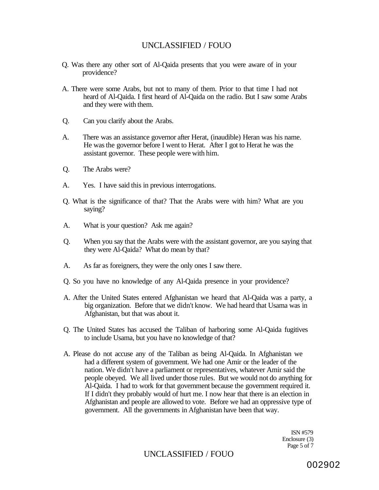- Q. Was there any other sort of Al-Qaida presents that you were aware of in your providence?
- A. There were some Arabs, but not to many of them. Prior to that time I had not heard of Al-Qaida. I first heard of Al-Qaida on the radio. But I saw some Arabs and they were with them.
- Q. Can you clarify about the Arabs.
- A. There was an assistance governor after Herat, (inaudible) Heran was his name. He was the governor before I went to Herat. After I got to Herat he was the assistant governor. These people were with him.
- Q. The Arabs were?
- A. Yes. I have said this in previous interrogations.
- Q. What is the significance of that? That the Arabs were with him? What are you saying?
- A. What is your question? Ask me again?
- Q. When you say that the Arabs were with the assistant governor, are you saying that they were Al-Qaida? What do mean by that?
- A. As far as foreigners, they were the only ones I saw there.
- Q. So you have no knowledge of any Al-Qaida presence in your providence?
- A. After the United States entered Afghanistan we heard that Al-Qaida was a party, a big organization. Before that we didn't know. We had heard that Usama was in Afghanistan, but that was about it.
- Q. The United States has accused the Taliban of harboring some Al-Qaida fugitives to include Usama, but you have no knowledge of that?
- A. Please do not accuse any of the Taliban as being Al-Qaida. In Afghanistan we had a different system of government. We had one Amir or the leader of the nation. We didn't have a parliament or representatives, whatever Amir said the people obeyed. We all lived under those rules. But we would not do anything for Al-Qaida. I had to work for that government because the government required it. If I didn't they probably would of hurt me. I now hear that there is an election in Afghanistan and people are allowed to vote. Before we had an oppressive type of government. All the governments in Afghanistan have been that way.

ISN #579 Enclosure (3) Page 5 of  $\tilde{7}$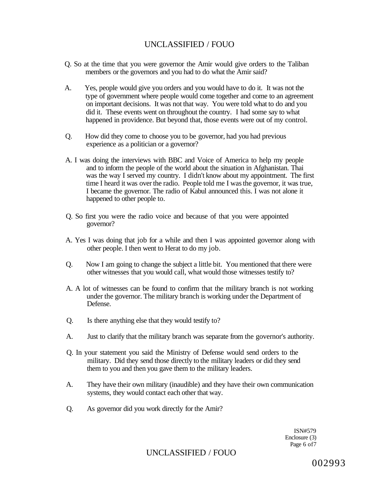- Q. So at the time that you were governor the Amir would give orders to the Taliban members or the governors and you had to do what the Amir said?
- A. Yes, people would give you orders and you would have to do it. It was not the type of government where people would come together and come to an agreement on important decisions. It was not that way. You were told what to do and you did it. These events went on throughout the country. I had some say to what happened in providence. But beyond that, those events were out of my control.
- Q. How did they come to choose you to be governor, had you had previous experience as a politician or a governor?
- A. I was doing the interviews with BBC and Voice of America to help my people and to inform the people of the world about the situation in Afghanistan. Thai was the way I served my country. I didn't know about my appointment. The first time I heard it was over the radio. People told me I was the governor, it was true, I became the governor. The radio of Kabul announced this. I was not alone it happened to other people to.
- Q. So first you were the radio voice and because of that you were appointed governor?
- A. Yes I was doing that job for a while and then I was appointed governor along with other people. I then went to Herat to do my job.
- Q. Now I am going to change the subject a little bit. You mentioned that there were other witnesses that you would call, what would those witnesses testify to?
- A. A lot of witnesses can be found to confirm that the military branch is not working under the governor. The military branch is working under the Department of Defense.
- Q. Is there anything else that they would testify to?
- A. Just to clarify that the military branch was separate from the governor's authority.
- Q. In your statement you said the Ministry of Defense would send orders to the military. Did they send those directly to the military leaders or did they send them to you and then you gave them to the military leaders.
- A. They have their own military (inaudible) and they have their own communication systems, they would contact each other that way.
- Q. As governor did you work directly for the Amir?

ISN#579 Enclosure (3) Page 6 of7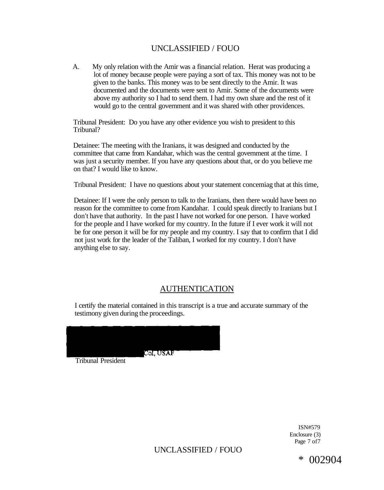A. My only relation with the Amir was a financial relation. Herat was producing a lot of money because people were paying a sort of tax. This money was not to be given to the banks. This money was to be sent directly to the Amir. It was documented and the documents were sent to Amir. Some of the documents were above my authority so I had to send them. I had my own share and the rest of it would go to the central government and it was shared with other providences.

Tribunal President: Do you have any other evidence you wish to president to this Tribunal?

Detainee: The meeting with the Iranians, it was designed and conducted by the committee that came from Kandahar, which was the central government at the time. I was just a security member. If you have any questions about that, or do you believe me on that? I would like to know.

Tribunal President: I have no questions about your statement concemiag that at this time,

Detainee: If I were the only person to talk to the Iranians, then there would have been no reason for the committee to come from Kandahar. I could speak directly to Iranians but I don't have that authority. In the past I have not worked for one person. I have worked for the people and I have worked for my country. In the future if I ever work it will not be for one person it will be for my people and my country. I say that to confirm that I did not just work for the leader of the Taliban, I worked for my country. I don't have anything else to say.

# **AUTHENTICATION**

I certify the material contained in this transcript is a true and accurate summary of the testimony given during the proceedings.

|                           | Col, USAF |
|---------------------------|-----------|
|                           |           |
|                           |           |
| <b>Tribunal President</b> |           |

ISN#579 Enclosure (3) Page 7 of7

UNCLASSIFIED / FOUO

\* 002904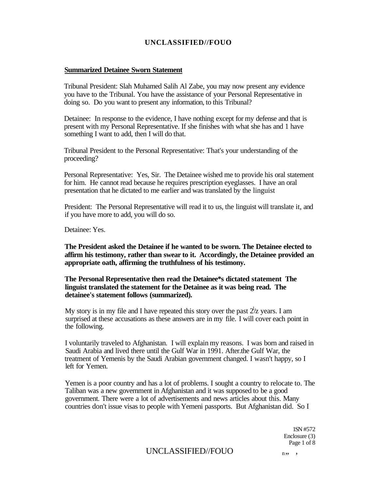#### **Summarized Detainee Sworn Statement**

Tribunal President: Slah Muhamed Salih Al Zabe, you may now present any evidence you have to the Tribunal. You have the assistance of your Personal Representative in doing so. Do you want to present any information, to this Tribunal?

Detainee: In response to the evidence, I have nothing except for my defense and that is present with my Personal Representative. If she finishes with what she has and 1 have something I want to add, then I will do that.

Tribunal President to the Personal Representative: That's your understanding of the proceeding?

Personal Representative: Yes, Sir. The Detainee wished me to provide his oral statement for him. He cannot read because he requires prescription eyeglasses. I have an oral presentation that he dictated to me earlier and was translated by the linguist

President: The Personal Representative will read it to us, the linguist will translate it, and if you have more to add, you will do so.

Detainee: Yes.

**The President asked the Detainee if he wanted to be sworn. The Detainee elected to affirm his testimony, rather than swear to it. Accordingly, the Detainee provided an appropriate oath, affirming the truthfulness of his testimony.** 

**The Personal Representative then read the Detainee\*s dictated statement The linguist translated the statement for the Detainee as it was being read. The detainee's statement follows (summarized).** 

My story is in my file and I have repeated this story over the past  $2\frac{1}{z}$  years. I am surprised at these accusations as these answers are in my file. I will cover each point in the following.

I voluntarily traveled to Afghanistan. I will explain my reasons. I was born and raised in Saudi Arabia and lived there until the Gulf War in 1991. After.the Gulf War, the treatment of Yemenis by the Saudi Arabian government changed. I wasn't happy, so I left for Yemen.

Yemen is a poor country and has a lot of problems. I sought a country to relocate to. The Taliban was a new government in Afghanistan and it was supposed to be a good government. There were a lot of advertisements and news articles about this. Many countries don't issue visas to people with Yemeni passports. But Afghanistan did. So I

> 1SN #572 Enclosure (3) Page 1 of 8

### $UNCLASSIFIED/FOUO$   $_n, \ldots,$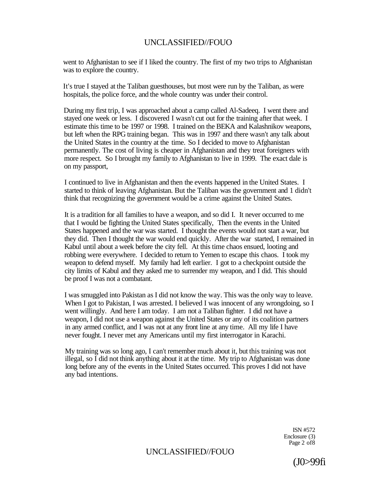went to Afghanistan to see if I liked the country. The first of my two trips to Afghanistan was to explore the country.

It's true I stayed at the Taliban guesthouses, but most were run by the Taliban, as were hospitals, the police force, and the whole country was under their control.

During my first trip, I was approached about a camp called Al-Sadeeq. I went there and stayed one week or less. I discovered I wasn't cut out for the training after that week. I estimate this time to be 1997 or 1998. I trained on the BEKA and Kalashnikov weapons, but left when the RPG training began. This was in 1997 and there wasn't any talk about the United States in the country at the time. So I decided to move to Afghanistan permanently. The cost of living is cheaper in Afghanistan and they treat foreigners with more respect. So I brought my family to Afghanistan to live in 1999. The exact dale is on my passport,

I continued to live in Afghanistan and then the events happened in the United States. I started to think of leaving Afghanistan. But the Taliban was the government and 1 didn't think that recognizing the government would be a crime against the United States.

It is a tradition for all families to have a weapon, and so did I. It never occurred to me that I would be fighting the United States specifically, Then the events in the United States happened and the war was started. I thought the events would not start a war, but they did. Then I thought the war would end quickly. After the war started, I remained in Kabul until about a week before the city fell. At this time chaos ensued, looting and robbing were everywhere. I decided to return to Yemen to escape this chaos. I took my weapon to defend myself. My family had left earlier. I got to a checkpoint outside the city limits of Kabul and they asked me to surrender my weapon, and I did. This should be proof I was not a combatant.

I was smuggled into Pakistan as I did not know the way. This was the only way to leave. When I got to Pakistan, I was arrested. I believed I was innocent of any wrongdoing, so I went willingly. And here I am today. I am not a Taliban fighter. I did not have a weapon, I did not use a weapon against the United States or any of its coalition partners in any armed conflict, and I was not at any front line at any time. All my life I have never fought. I never met any Americans until my first interrogator in Karachi.

My training was so long ago, I can't remember much about it, but this training was not illegal, so I did not think anything about it at the time. My trip to Afghanistan was done long before any of the events in the United States occurred. This proves I did not have any bad intentions.

> ISN #572 Enclosure (3) Page 2 of8

# UNCLASSIFIED//FOUO

(J0>99fi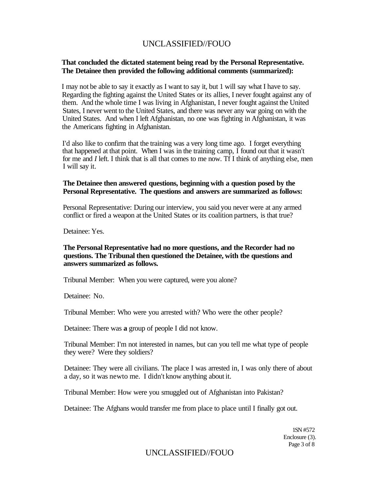### **That concluded the dictated statement being read by the Personal Representative. The Detainee then provided the following additional comments (summarized):**

I may not be able to say it exactly as I want to say it, but 1 will say what I have to say. Regarding the fighting against the United States or its allies, I never fought against any of them. And the whole time I was living in Afghanistan, I never fought against the United States, I never went to the United States, and there was never any war going on with the United States. And when I left Afghanistan, no one was fighting in Afghanistan, it was the Americans fighting in Afghanistan.

I'd also like to confirm that the training was a very long time ago. I forget everything that happened at that point. When I was in the training camp, I found out that it wasn't for me and *I* left. I think that is all that comes to me now. Tf I think of anything else, men I will say it.

### **The Detainee then answered questions, beginning with a question posed by the Personal Representative. The questions and answers are summarized as follows:**

Personal Representative: During our interview, you said you never were at any armed conflict or fired a weapon at the United States or its coalition partners, is that true?

Detainee: Yes.

### **The Personal Representative had no more questions, and the Recorder had no questions. The Tribunal then questioned the Detainee, with tbe questions and answers summarized as follows.**

Tribunal Member: When you were captured, were you alone?

Detainee: No.

Tribunal Member: Who were you arrested with? Who were the other people?

Detainee: There was **a** group of people I did not know.

Tribunal Member: I'm not interested in names, but can you tell me what type of people they were? Were they soldiers?

Detainee: They were all civilians. The place I was arrested in, I was only there of about a day, so it was newto me. I didn't know anything about it.

Tribunal Member: How were you smuggled out of Afghanistan into Pakistan?

Detainee: The Afghans would transfer me from place to place until I finally got out.

1SN #572 Enclosure (3). Page 3 of 8

# UNCLASSIFIED//FOUO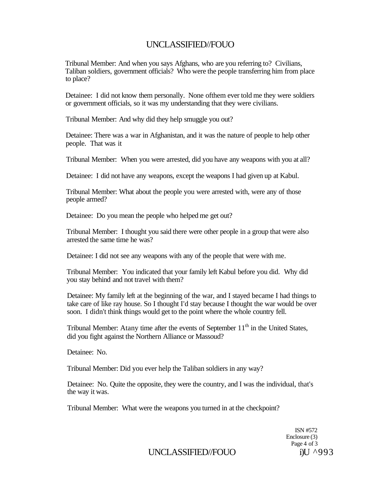Tribunal Member: And when you says Afghans, who are you referring to? Civilians, Taliban soldiers, government officials? Who were the people transferring him from place to place?

Detainee: I did not know them personally. None ofthem ever told me they were soldiers or government officials, so it was my understanding that they were civilians.

Tribunal Member: And why did they help smuggle you out?

Detainee: There was a war in Afghanistan, and it was the nature of people to help other people. That was it

Tribunal Member: When you were arrested, did you have any weapons with you at all?

Detainee: I did not have any weapons, except the weapons I had given up at Kabul.

Tribunal Member: What about the people you were arrested with, were any of those people armed?

Detainee: Do you mean the people who helped me get out?

Tribunal Member: I thought you said there were other people in a group that were also arrested the same time he was?

Detainee: I did not see any weapons with any of the people that were with me.

Tribunal Member: You indicated that your family left Kabul before you did. Why did you stay behind and not travel with them?

Detainee: My family left at the beginning of the war, and I stayed became I had things to take care of like ray house. So I thought I'd stay because I thought the war would be over soon. I didn't think things would get to the point where the whole country fell.

Tribunal Member: Atany time after the events of September 11<sup>th</sup> in the United States, did you fight against the Northern Alliance or Massoud?

Detainee: No.

Tribunal Member: Did you ever help the Taliban soldiers in any way?

Detainee: No. Quite the opposite, they were the country, and I was the individual, that's the way it was.

Tribunal Member: What were the weapons you turned in at the checkpoint?

ISN #572 Enclosure (3) Page 4 of 3

UNCLASSIFIED//FOUO i)U ^993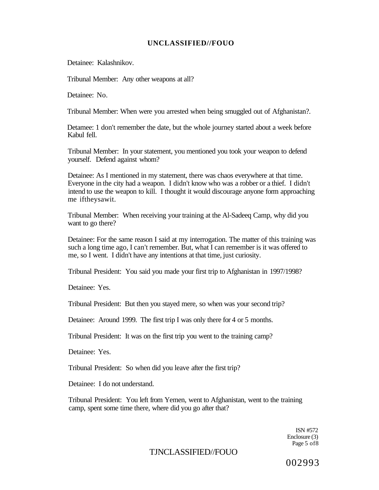Detainee: Kalashnikov.

Tribunal Member: Any other weapons at all?

Detainee: No.

Tribunal Member: When were you arrested when being smuggled out of Afghanistan?.

Detamee: 1 don't remember the date, but the whole journey started about a week before Kabul fell.

Tribunal Member: In your statement, you mentioned you took your weapon to defend yourself. Defend against whom?

Detainee: As I mentioned in my statement, there was chaos everywhere at that time. Everyone in the city had a weapon. I didn't know who was a robber or a thief. I didn't intend to use the weapon to kill. I thought it would discourage anyone form approaching me iftheysawit.

Tribunal Member: When receiving your training at the Al-Sadeeq Camp, why did you want to go there?

Detainee: For the same reason I said at my interrogation. The matter of this training was such a long time ago, I can't remember. But, what I can remember is it was offered to me, so I went. I didn't have any intentions at that time, just curiosity.

Tribunal President: You said you made your first trip to Afghanistan in 1997/1998?

Detainee: Yes.

Tribunal President: But then you stayed mere, so when was your second trip?

Detainee: Around 1999. The first trip I was only there for 4 or 5 months.

Tribunal President: It was on the first trip you went to the training camp?

Detainee: Yes.

Tribunal President: So when did you leave after the first trip?

Detainee: I do not understand.

Tribunal President: You left from Yemen, went to Afghanistan, went to the training camp, spent some time there, where did you go after that?

> ISN #572 Enclosure (3) Page 5 of8

### TJNCLASSIFIED//FOUO

002993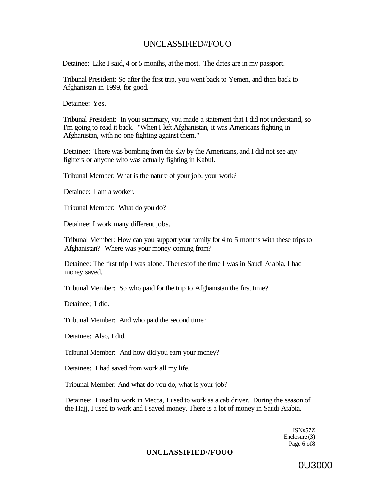Detainee: Like I said, 4 or 5 months, at the most. The dates are in my passport.

Tribunal President: So after the first trip, you went back to Yemen, and then back to Afghanistan in 1999, for good.

Detainee: Yes.

Tribunal President: In your summary, you made a statement that I did not understand, so I'm going to read it back. "When I left Afghanistan, it was Americans fighting in Afghanistan, with no one fighting against them."

Detainee: There was bombing from the sky by the Americans, and I did not see any fighters or anyone who was actually fighting in Kabul.

Tribunal Member: What is the nature of your job, your work?

Detainee: I am a worker.

Tribunal Member: What do you do?

Detainee: I work many different jobs.

Tribunal Member: How can you support your family for 4 to 5 months with these trips to Afghanistan? Where was your money coming from?

Detainee: The first trip I was alone. Therestof the time I was in Saudi Arabia, I had money saved.

Tribunal Member: So who paid for the trip to Afghanistan the first time?

Detainee; I did.

Tribunal Member: And who paid the second time?

Detainee: Also, I did.

Tribunal Member: And how did you earn your money?

Detainee: I had saved from work all my life.

Tribunal Member: And what do you do, what is your job?

Detainee: I used to work in Mecca, I used to work as a cab driver. During the season of the Hajj, I used to work and I saved money. There is a lot of money in Saudi Arabia.

> ISN#57Z Enclosure (3) Page 6 of8

### **UNCLASSIFIED//FOUO**

0U3000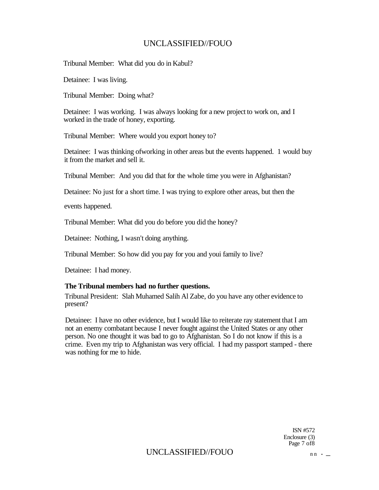Tribunal Member: What did you do in Kabul?

Detainee: I was living.

Tribunal Member: Doing what?

Detainee: I was working. I was always looking for a new project to work on, and I worked in the trade of honey, exporting.

Tribunal Member: Where would you export honey to?

Detainee: I was thinking ofworking in other areas but the events happened. 1 would buy it from the market and sell it.

Tribunal Member: And you did that for the whole time you were in Afghanistan?

Detainee: No just for a short time. I was trying to explore other areas, but then the

events happened.

Tribunal Member: What did you do before you did the honey?

Detainee: Nothing, I wasn't doing anything.

Tribunal Member: So how did you pay for you and youi family to live?

Detainee: I had money.

### **The Tribunal members had no further questions.**

Tribunal President: Slah Muhamed Salih Al Zabe, do you have any other evidence to present?

Detainee: I have no other evidence, but I would like to reiterate ray statement that I am not an enemy combatant because I never fought against the United States or any other person. No one thought it was bad to go to Afghanistan. So I do not know if this is a crime. Even my trip to Afghanistan was very official. I had my passport stamped - there was nothing for me to hide.

> ISN #572 Enclosure (3) Page 7 of8

## UNCLASSIFIED//FOUO  $nn \cdot$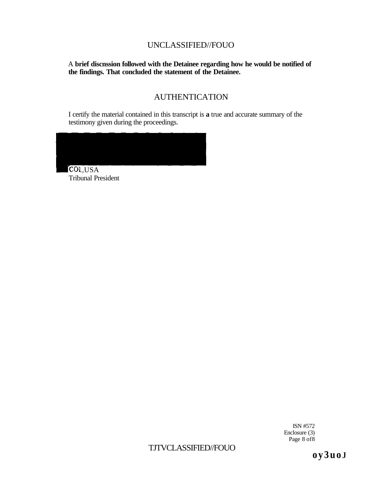A **brief discnssion followed with the Detainee regarding how he would be notified of the findings. That concluded the statement of the Detainee.** 

# AUTHENTICATION

I certify the material contained in this transcript is **a** true and accurate summary of the testimony given during the proceedings.



Tribunal President

ISN #572 Enclosure (3) Page 8 of 8

TJTVCLASSIFIED//FOUO

**o y 3 u o J**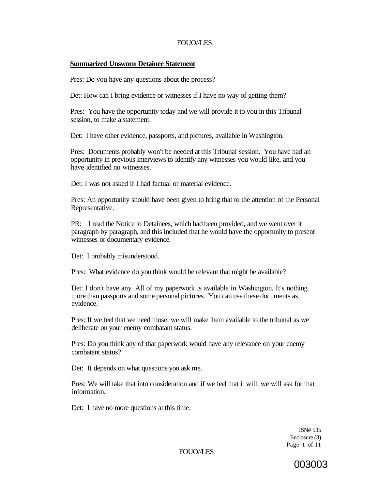### **Summarized Unsworn Detainee Statement**

Pres: Do you have any questions about the process?

Det: How can I bring evidence or witnesses if I have no way of getting them?

Pres: You have the opportunity today and we will provide it to you in this Tribunal session, to make a statement.

Det: I have other evidence, passports, and pictures, available in Washington.

Pres: Documents probably won't be needed at this Tribunal session. You have had an opportunity in previous interviews to identify any witnesses you would like, and you have identified no witnesses.

Det: I was not asked if I had factual or material evidence.

Pres: An opportunity should have been given to bring that to the attention of the Personal Representative.

PR: I read the Notice to Detainees, which had been provided, and we went over it paragraph by paragraph, and this included that he would have the opportunity to present witnesses or documentary evidence.

Det: I probably misunderstood.

Pres: What evidence do you think would be relevant that might be available?

Det: I don't have any. All of my paperwork is available in Washington. It's nothing more than passports and some personal pictures. You can use these documents as evidence.

Pres: If we feel that we need those, we will make them available to the tribunal as we deliberate on your enemy combatant status.

Pres: Do you think any of that paperwork would have any relevance on your enemy combatant status?

Det: It depends on what questions you ask me.

Pres: We will take that into consideration and if we feel that it will, we will ask for that information.

Det: I have no more questions at this time.

ISN# 535 Enclosure (3) Page 1 of 11

FOUO//LES

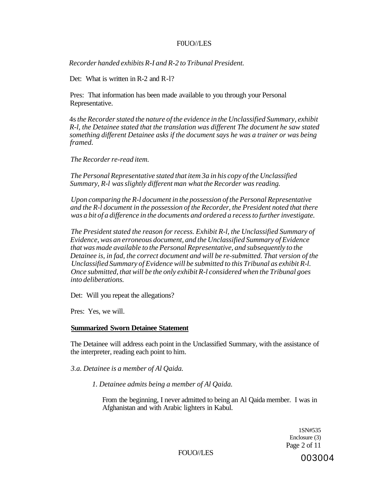### F0UO//LES

*Recorder handed exhibits R-I and R-2 to Tribunal President.* 

Det: What is written in R-2 and R-1?

Pres: That information has been made available to you through your Personal Representative.

4s *the Recorder stated the nature of the evidence in the Unclassified Summary, exhibit R-l, the Detainee stated that the translation was different The document he saw stated something different Detainee asks if the document says he was a trainer or was being framed.* 

*The Recorder re-read item.* 

*The Personal Representative stated that item 3a in his copy of the Unclassified Summary, R-l was slightly different man what the Recorder was reading.* 

*Upon comparing the R-l document in the possession of the Personal Representative and the R-l document in the possession of the Recorder, the President noted that there was a bit of a difference in the documents and ordered a recess to further investigate.* 

*The President stated the reason for recess. Exhibit R-l, the Unclassified Summary of Evidence, was an erroneous document, and the Unclassified Summary of Evidence that was made available to the Personal Representative, and subsequently to the Detainee is, in fad, the correct document and will be re-submitted. That version of the Unclassified Summary of Evidence will be submitted to this Tribunal as exhibit R-l. Once submitted, that will be the only exhibit R-l considered when the Tribunal goes into deliberations.* 

Det: Will you repeat the allegations?

Pres: Yes, we will.

### **Summarized Sworn Detainee Statement**

The Detainee will address each point in the Unclassified Summary, with the assistance of the interpreter, reading each point to him.

*3.a. Detainee is a member of Al Qaida.* 

*1. Detainee admits being a member of Al Qaida.* 

From the beginning, I never admitted to being an Al Qaida member. I was in Afghanistan and with Arabic lighters in Kabul.

> 1SN#535 Enclosure (3) Page 2 of 11

FOUO//LES 003004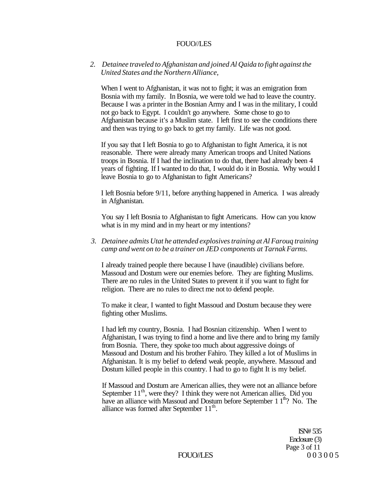### *2. Detainee traveled to Afghanistan and joined Al Qaida to fight against the United States and the Northern Alliance,*

When I went to Afghanistan, it was not to fight; it was an emigration from Bosnia with my family. In Bosnia, we were told we had to leave the country. Because I was a printer in the Bosnian Army and I was in the military, I could not go back to Egypt. I couldn't go anywhere. Some chose to go to Afghanistan because it's a Muslim state. I left first to see the conditions there and then was trying to go back to get my family. Life was not good.

If you say that I left Bosnia to go to Afghanistan to fight America, it is not reasonable. There were already many American troops and United Nations troops in Bosnia. If I had the inclination to do that, there had already been 4 years of fighting. If I wanted to do that, I would do it in Bosnia. Why would I leave Bosnia to go to Afghanistan to fight Americans?

I left Bosnia before 9/11, before anything happened in America. I was already in Afghanistan.

You say I left Bosnia to Afghanistan to fight Americans. How can you know what is in my mind and in my heart or my intentions?

### *3. Detainee admits Utat he attended explosives training at Al Farouq training camp and went on to be a trainer on JED components at Tarnak Farms.*

I already trained people there because I have (inaudible) civilians before. Massoud and Dostum were our enemies before. They are fighting Muslims. There are no rules in the United States to prevent it if you want to fight for religion. There are no rules to direct me not to defend people.

To make it clear, I wanted to fight Massoud and Dostum because they were fighting other Muslims.

I had left my country, Bosnia. I had Bosnian citizenship. When I went to Afghanistan, I was trying to find a home and live there and to bring my family from Bosnia. There, they spoke too much about aggressive doings of Massoud and Dostum and his brother Fahiro. They killed a lot of Muslims in Afghanistan. It is my belief to defend weak people, anywhere. Massoud and Dostum killed people in this country. I had to go to fight It is my belief.

If Massoud and Dostum are American allies, they were not an alliance before September 11<sup>th</sup>, were they? I think they were not American allies. Did you have an alliance with Massoud and Dostum before September  $11<sup>th</sup>$ ? No. The alliance was formed after September  $11<sup>th</sup>$ .

> ISN# 535 Enclosure (3) Page 3 of 11 FOUO//LES 003005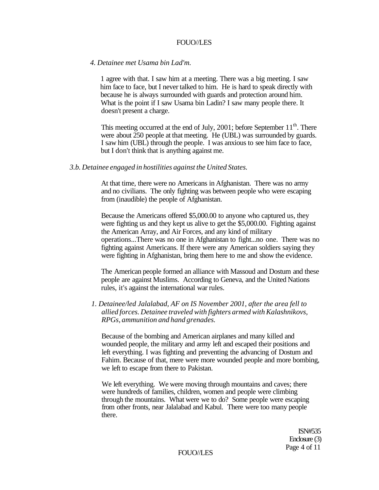#### *4. Detainee met Usama bin Lad'm.*

1 agree with that. I saw him at a meeting. There was a big meeting. I saw him face to face, but I never talked to him. He is hard to speak directly with because he is always surrounded with guards and protection around him. What is the point if I saw Usama bin Ladin? I saw many people there. It doesn't present a charge.

This meeting occurred at the end of July,  $2001$ ; before September  $11<sup>th</sup>$ . There were about 250 people at that meeting. He (UBL) was surrounded by guards. I saw him (UBL) through the people. I was anxious to see him face to face, but I don't think that is anything against me.

#### *3.b. Detainee engaged in hostilities against the United States.*

At that time, there were no Americans in Afghanistan. There was no army and no civilians. The only fighting was between people who were escaping from (inaudible) the people of Afghanistan.

Because the Americans offered \$5,000.00 to anyone who captured us, they were fighting us and they kept us alive to get the \$5,000.00. Fighting against the American Array, and Air Forces, and any kind of military operations...There was no one in Afghanistan to fight...no one. There was no fighting against Americans. If there were any American soldiers saying they were fighting in Afghanistan, bring them here to me and show the evidence.

The American people formed an alliance with Massoud and Dostum and these people are against Muslims. According to Geneva, and the United Nations rules, it's against the international war rules.

*1. Detainee/led Jalalabad, AF on IS November 2001, after the area fell to allied forces. Detainee traveled with fighters armed with Kalashnikovs, RPGs, ammunition and hand grenades.* 

Because of the bombing and American airplanes and many killed and wounded people, the military and army left and escaped their positions and left everything. I was fighting and preventing the advancing of Dostum and Fahim. Because of that, mere were more wounded people and more bombing, we left to escape from there to Pakistan.

We left everything. We were moving through mountains and caves; there were hundreds of families, children, women and people were climbing through the mountains. What were we to do? Some people were escaping from other fronts, near Jalalabad and Kabul. There were too many people there.

> ISN#535 Enclosure (3) Page 4 of 11

FOUO//LES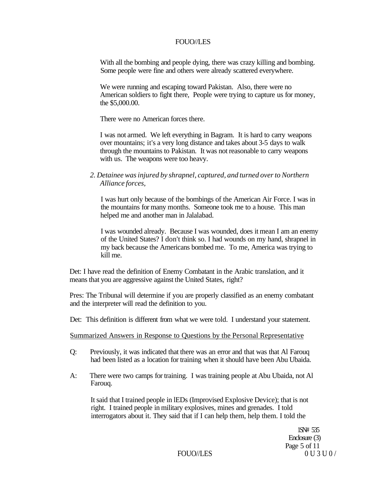With all the bombing and people dying, there was crazy killing and bombing. Some people were fine and others were already scattered everywhere.

We were running and escaping toward Pakistan. Also, there were no American soldiers to fight there, People were trying to capture us for money, the \$5,000.00.

There were no American forces there.

I was not armed. We left everything in Bagram. It is hard to carry weapons over mountains; it's a very long distance and takes about 3-5 days to walk through the mountains to Pakistan. It was not reasonable to carry weapons with us. The weapons were too heavy.

*2. Detainee was injured by shrapnel, captured, and turned over to Northern Alliance forces,* 

I was hurt only because of the bombings of the American Air Force. I was in the mountains for many months. Someone took me to a house. This man helped me and another man in Jalalabad.

I was wounded already. Because I was wounded, does it mean I am an enemy of the United States? I don't think so. I had wounds on my hand, shrapnel in my back because the Americans bombed me. To me, America was trying to kill me.

Det: I have read the definition of Enemy Combatant in the Arabic translation, and it means that you are aggressive against the United States, right?

Pres: The Tribunal will determine if you are properly classified as an enemy combatant and the interpreter will read the definition to you.

Det: This definition is different from what we were told. I understand your statement.

Summarized Answers in Response to Questions by the Personal Representative

- Q: Previously, it was indicated that there was an error and that was that Al Farouq had been listed as a location for training when it should have been Abu Ubaida.
- A: There were two camps for training. I was training people at Abu Ubaida, not Al Farouq.

It said that I trained people in lEDs (Improvised Explosive Device); that is not right. I trained people in military explosives, mines and grenades. I told interrogators about it. They said that if I can help them, help them. I told the

> 1SN# 535 Enclosure (3) Page 5 of 11 FOUO//LES 0U3U0/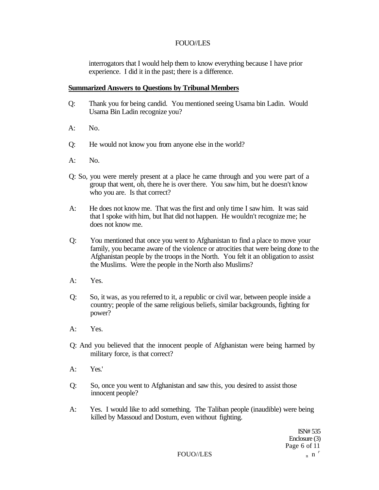interrogators that I would help them to know everything because I have prior experience. I did it in the past; there is a difference.

### **Summarized Answers to Questions by Tribunal Members**

- Q: Thank you for being candid. You mentioned seeing Usama bin Ladin. Would Usama Bin Ladin recognize you?
- $A:$  No.
- Q: He would not know you from anyone else in the world?
- A: No.
- Q: So, you were merely present at a place he came through and you were part of a group that went, oh, there he is over there. You saw him, but he doesn't know who you are. Is that correct?
- A: He does not know me. That was the first and only time I saw him. It was said that I spoke with him, but lhat did not happen. He wouldn't recognize me; he does not know me.
- Q: You mentioned that once you went to Afghanistan to find a place to move your family, you became aware of the violence or atrocities that were being done to the Afghanistan people by the troops in the North. You felt it an obligation to assist the Muslims. Were the people in the North also Muslims?
- A: Yes.
- Q: So, it was, as you referred to it, a republic or civil war, between people inside a country; people of the same religious beliefs, similar backgrounds, fighting for power?
- A: Yes.
- Q: And you believed that the innocent people of Afghanistan were being harmed by military force, is that correct?
- A: Yes.'
- Q: So, once you went to Afghanistan and saw this, you desired to assist those innocent people?
- A: Yes. I would like to add something. The Taliban people (inaudible) were being killed by Massoud and Dostum, even without fighting.

ISN# 535 Enclosure (3) Page 6 of 11

FOUO//LES  $n \cdot n^r$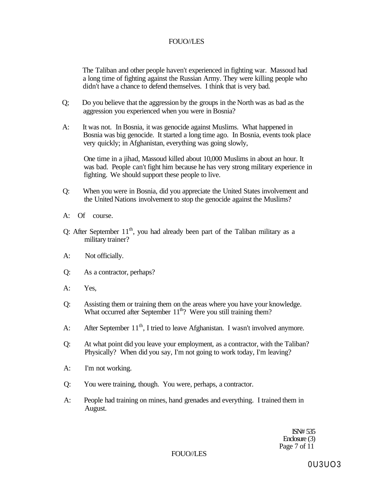The Taliban and other people haven't experienced in fighting war. Massoud had a long time of fighting against the Russian Army. They were killing people who didn't have a chance to defend themselves. I think that is very bad.

- Q; Do you believe that the aggression by the groups in the North was as bad as the aggression you experienced when you were in Bosnia?
- A: It was not. In Bosnia, it was genocide against Muslims. What happened in Bosnia was big genocide. It started a long time ago. In Bosnia, events took place very quickly; in Afghanistan, everything was going slowly,

One time in a jihad, Massoud killed about 10,000 Muslims in about an hour. It was bad. People can't fight him because he has very strong military experience in fighting. We should support these people to live.

- Q: When you were in Bosnia, did you appreciate the United States involvement and the United Nations involvement to stop the genocide against the Muslims?
- A: Of course.
- Q: After September  $11<sup>th</sup>$ , you had already been part of the Taliban military as a military trainer?
- A: Not officially.
- Q: As a contractor, perhaps?
- A: Yes,
- Q: Assisting them or training them on the areas where you have your knowledge. What occurred after September  $11<sup>th</sup>$ ? Were you still training them?
- A: After September  $11<sup>th</sup>$ , I tried to leave Afghanistan. I wasn't involved anymore.
- Q: At what point did you leave your employment, as a contractor, with the Taliban? Physically? When did you say, I'm not going to work today, I'm leaving?
- A: I'm not working.
- Q: You were training, though. You were, perhaps, a contractor.
- A: People had training on mines, hand grenades and everything. I trained them in August.

ISN# 535 Enclosure (3) Page 7 of 11

FOUO//LES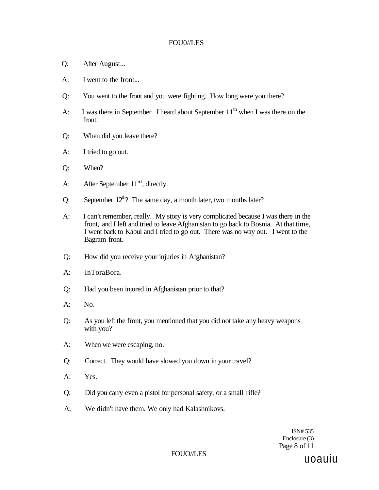### FOU0//LES

- Q: After August...
- A: I went to the front...
- Q: You went to the front and you were fighting. How long were you there?
- A: I was there in September. I heard about September  $11<sup>th</sup>$  when I was there on the front.
- Q: When did you leave there?
- A: I tried to go out.
- Q: When?
- A: After September  $11<sup>{n1}</sup>$ , directly.
- Q: September  $12^{th}$ ? The same day, a month later, two months later?
- A: I can't remember, really. My story is very complicated because I was there in the front, and I left and tried to leave Afghanistan to go back to Bosnia. At that time, I went back to Kabul and I tried to go out. There was no way out. I went to the Bagram front.
- Q: How did you receive your injuries in Afghanistan?
- A: InToraBora.
- Q: Had you been injured in Afghanistan prior to that?
- A: No.
- Q: As you left the front, you mentioned that you did not take any heavy weapons with you?
- A: When we were escaping, no.
- Q: Correct. They would have slowed you down in your travel?
- A: Yes.
- Q: Did you carry even a pistol for personal safety, or a small rifle?
- A; We didn't have them. We only had Kalashnikovs.

ISN# 535 Enclosure (3) Page 8 of 11

### FOUO//LES

uoauiu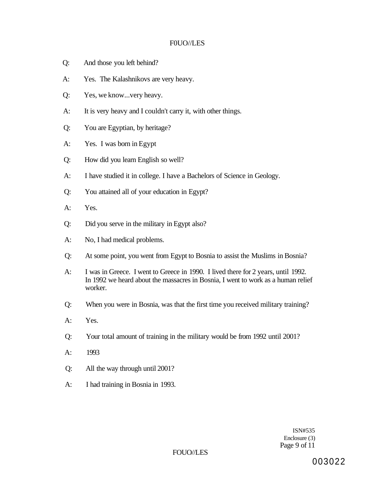### F0UO//LES

- Q: And those you left behind?
- A: Yes. The Kalashnikovs are very heavy.
- Q: Yes, we know...very heavy.
- A: It is very heavy and I couldn't carry it, with other things.
- Q: You are Egyptian, by heritage?
- A: Yes. I was born in Egypt
- Q: How did you learn English so well?
- A: I have studied it in college. I have a Bachelors of Science in Geology.
- Q: You attained all of your education in Egypt?
- A: Yes.
- Q: Did you serve in the military in Egypt also?
- A: No, I had medical problems.
- Q: At some point, you went from Egypt to Bosnia to assist the Muslims in Bosnia?
- A: I was in Greece. I went to Greece in 1990. I lived there for 2 years, until 1992. In 1992 we heard about the massacres in Bosnia, I went to work as a human relief worker.
- Q: When you were in Bosnia, was that the first time you received military training?
- A: Yes.
- Q: Your total amount of training in the military would be from 1992 until 2001?
- A: 1993
- Q: All the way through until 2001?
- A: I had training in Bosnia in 1993.

ISN#535 Enclosure (3) Page 9 of 11

FOUO//LES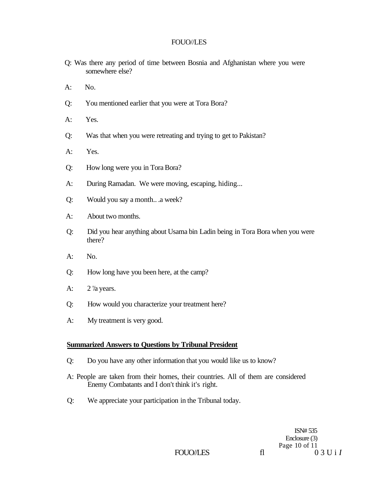- Q: Was there any period of time between Bosnia and Afghanistan where you were somewhere else?
- $A:$  No.
- Q: You mentioned earlier that you were at Tora Bora?
- A: Yes.
- Q: Was that when you were retreating and trying to get to Pakistan?
- A: Yes.
- Q: How long were you in Tora Bora?
- A: During Ramadan. We were moving, escaping, hiding...
- Q: Would you say a month.. .a week?
- A: About two months.
- Q: Did you hear anything about Usama bin Ladin being in Tora Bora when you were there?
- A: No.
- Q: How long have you been here, at the camp?
- A: 2 '/a years.
- Q: How would you characterize your treatment here?
- A: My treatment is very good.

#### **Summarized Answers to Questions by Tribunal President**

- Q: Do you have any other information that you would like us to know?
- A: People are taken from their homes, their countries. All of them are considered Enemy Combatants and I don't think it's right.
- Q: We appreciate your participation in the Tribunal today.

ISN# 535 Enclosure (3) Page 10 of 11  $03 \text{U i } I$ 

FOUO//LES fl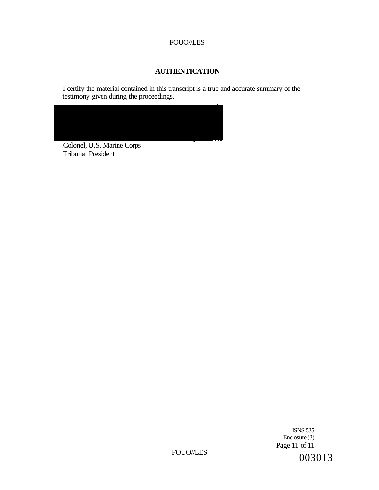### **AUTHENTICATION**

I certify the material contained in this transcript is a true and accurate summary of the testimony given during the proceedings.



Colonel, U.S. Marine Corps Tribunal President

> ISNS 535 Enclosure (3) Page 11 of 11

FOUO//LES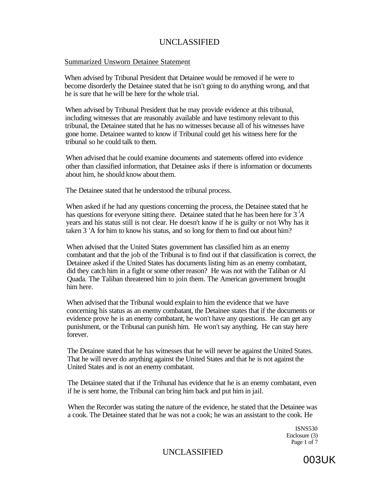### Summarized Unsworn Detainee Statement

When advised by Tribunal President that Detainee would be removed if he were to become disorderly the Detainee stated that he isn't going to do anything wrong, and that he is sure that he will be here for the whole trial.

When advised by Tribunal President that he may provide evidence at this tribunal, including witnesses that are reasonably available and have testimony relevant to this tribunal, the Detainee stated that he has no witnesses because all of his witnesses have gone home. Detainee wanted to know if Tribunal could get his witness here for the tribunal so he could talk to them.

When advised that he could examine documents and statements offered into evidence other than classified information, that Detainee asks if there is information or documents about him, he should know about them.

The Detainee stated that he understood the tribunal process.

When asked if he had any questions concerning the process, the Detainee stated that he has questions for everyone sitting there. Detainee stated that he has been here for 3 *<sup>l</sup>A*  years and his status still is not clear. He doesn't know if he is guilty or not Why has it taken 3 'A for him to know his status, and so long for them to find out about him?

When advised that the United States government has classified him as an enemy combatant and that the job of the Tribunal is to find out if that classification is correct, the Detainee asked if the United States has documents listing him as an enemy combatant, did they catch him in a fight or some other reason? He was not with the Taliban or Al Quada. The Taliban threatened him to join them. The American government brought him here.

When advised that the Tribunal would explain to him the evidence that we have concerning his status as an enemy combatant, the Detainee states that if the documents or evidence prove he is an enemy combatant, he won't have any questions. He can get any punishment, or the Tribunal can punish him. He won't say anything. He can stay here forever.

The Detainee stated that he has witnesses that he will never be against the United States. That he will never do anything against the United States and that he is not against the United States and is not an enemy combatant.

The Detainee stated that if the Trihunal has evidence that he is an enemy combatant, even if he is sent home, the Tribunal can bring him back and put him in jail.

When the Recorder was stating the nature of the evidence, he stated that the Detainee was a cook. The Detainee stated that he was not a cook; he was an assistant to the cook. He

> ISNS530 Enclosure (3) Page 1 of 7

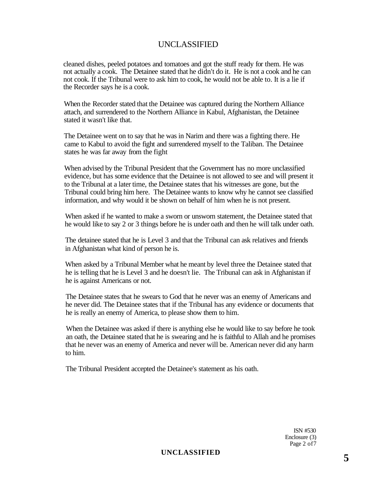cleaned dishes, peeled potatoes and tomatoes and got the stuff ready for them. He was not actually a cook. The Detainee stated that he didn't do it. He is not a cook and he can not cook. If the Tribunal were to ask him to cook, he would not be able to. It is a lie if the Recorder says he is a cook.

When the Recorder stated that the Detainee was captured during the Northern Alliance attach, and surrendered to the Northern Alliance in Kabul, Afghanistan, the Detainee stated it wasn't like that.

The Detainee went on to say that he was in Narim and there was a fighting there. He came to Kabul to avoid the fight and surrendered myself to the Taliban. The Detainee states he was far away from the fight

When advised by the Tribunal President that the Government has no more unclassified evidence, but has some evidence that the Detainee is not allowed to see and will present it to the Tribunal at a later time, the Detainee states that his witnesses are gone, but the Tribunal could bring him here. The Detainee wants to know why he cannot see classified information, and why would it be shown on behalf of him when he is not present.

When asked if he wanted to make a sworn or unsworn statement, the Detainee stated that he would like to say 2 or 3 things before he is under oath and then he will talk under oath.

The detainee stated that he is Level 3 and that the Tribunal can ask relatives and friends in Afghanistan what kind of person he is.

When asked by a Tribunal Member what he meant by level three the Detainee stated that he is telling that he is Level 3 and he doesn't lie. The Tribunal can ask in Afghanistan if he is against Americans or not.

The Detainee states that he swears to God that he never was an enemy of Americans and he never did. The Detainee states that if the Tribunal has any evidence or documents that he is really an enemy of America, to please show them to him.

When the Detainee was asked if there is anything else he would like to say before he took an oath, the Detainee stated that he is swearing and he is faithful to Allah and he promises that he never was an enemy of America and never will be. American never did any harm to him.

The Tribunal President accepted the Detainee's statement as his oath.

ISN #530 Enclosure (3) Page 2 of7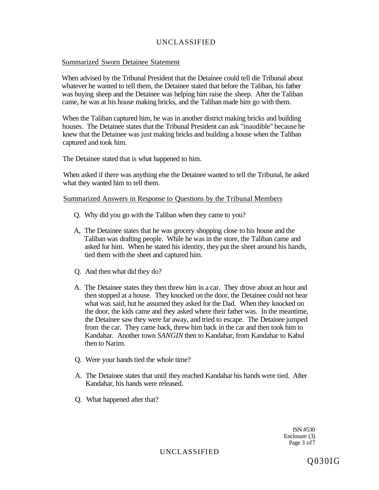### Summarized Sworn Detainee Statement

When advised by the Tribunal President that the Detainee could tell die Tribunal about whatever he wanted to tell them, the Detainee stated that before the Taliban, his father was buying sheep and the Detainee was helping him raise the sheep. After the Taliban came, he was at his house making bricks, and the Taliban made him go with them.

When the Taliban captured him, he was in another district making bricks and building houses. The Detainee states that the Tribunal President can ask "inaudible" because he knew that the Detainee was just making bricks and building a house when the Taliban captured and took him.

The Detainee stated that is what happened to him.

When asked if there was anything else the Detainee wanted to tell the Tribunal, he asked what they wanted him to tell them.

### Summarized Answers in Response to Questions by the Tribunal Members

- Q. Why did you go with the Taliban when they came to you?
- A, The Detainee states that he was grocery shopping close to his house and the Taliban was drafting people. While he was in the store, the Taliban came and asked for him. When he stated his identity, they put the sheet around his hands, tied them with the sheet and captured him.
- Q. And then what did they do?
- A. The Detainee states they then threw him in a car. They drove about an hour and then stopped at a house. They knocked on the door, the Detainee could not hear what was said, hut he assumed they asked for the Dad. When they knocked on the door, the kids came and they asked where their father was. In the meantime, the Detainee saw they were far away, and tried to escape. The Detainee jumped from the car. They came back, threw him back in the car and then took him to Kandahar. Another town *SANGIN* then to Kandahar, from Kandahar to Kabul then to Narim.
- Q. Were your hands tied the whole time?
- A. The Detainee states that until they reached Kandahar his hands were tied. After Kandahar, his hands were released.
- Q. What happened after that?

ISN #530 Enclosure (3) Page 3 of7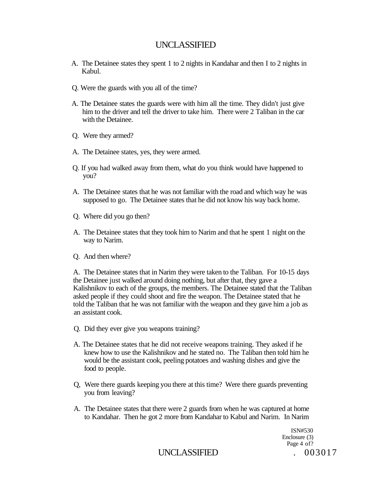- A. The Detainee states they spent 1 to 2 nights in Kandahar and then I to 2 nights in Kabul.
- Q. Were the guards with you all of the time?
- A. The Detainee states the guards were with him all the time. They didn't just give him to the driver and tell the driver to take him. There were 2 Taliban in the car with the Detainee.
- Q. Were they armed?
- A. The Detainee states, yes, they were armed.
- Q. If you had walked away from them, what do you think would have happened to you?
- A. The Detainee states that he was not familiar with the road and which way he was supposed to go. The Detainee states that he did not know his way back home.
- Q. Where did you go then?
- A. The Detainee states that they took him to Narim and that he spent 1 night on the way to Narim.
- Q. And then where?

A. The Detainee states that in Narim they were taken to the Taliban. For 10-15 days the Detainee just walked around doing nothing, but after that, they gave a Kalishnikov to each of the groups, the members. The Detainee stated that the Taliban asked people if they could shoot and fire the weapon. The Detainee stated that he told the Taliban that he was not familiar with the weapon and they gave him a job as an assistant cook.

- Q. Did they ever give you weapons training?
- A. The Detainee states that he did not receive weapons training. They asked if he knew how to use the Kalishnikov and he stated no. The Taliban then told him he would be the assistant cook, peeling potatoes and washing dishes and give the food to people.
- Q, Were there guards keeping you there at this time? Were there guards preventing you from leaving?
- A. The Detainee states that there were 2 guards from when he was captured at home to Kandahar. Then he got 2 more from Kandahar to Kabul and Narim. In Narim

ISN#530 Enclosure (3) Page 4 of?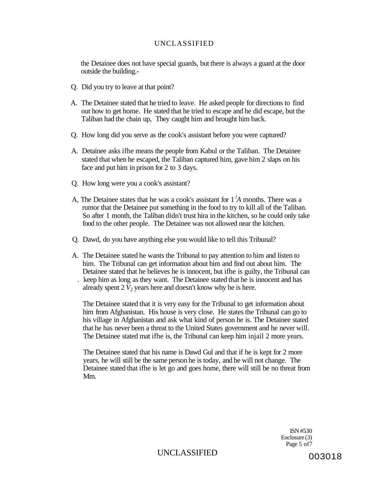the Detainee does not have special guards, but there is always a guard at the door outside the building.-

- Q. Did you try to leave at that point?
- A. The Detainee stated that he tried to leave. He asked people for directions to find out how to get home. He stated that he tried to escape and he did escape, but the Taliban had the chain up, They caught him and brought him back.
- Q. How long did you serve as the cook's assistant before you were captured?
- A. Detainee asks ifhe means the people from Kabul or the Taliban. The Detainee stated that when he escaped, the Taliban captured him, gave him 2 slaps on his face and put him in prison for 2 to 3 days.
- Q. How long were you a cook's assistant?
- A, The Detainee states that he was a cook's assistant for 1 *<sup>l</sup>A* months. There was a rumor that the Detainee put something in the food to try to kill all of the Taliban. So after 1 month, the Taliban didn't trust hira in the kitchen, so he could only take food to the other people. The Detainee was not allowed near the kitchen.
- Q. Dawd, do you have anything else you would like to tell this Tribunal?
- A. The Detainee stated he wants the Tribunal to pay attention to him and listen to him. The Tribunal can get information about him and find out about him. The Detainee stated that he believes he is innocent, but ifhe is guilty, the Tribunal can . keep him as long as they want. The Detainee stated that he is innocent and has already spent 2 *V2* years here and doesn't know why he is here.

The Detainee stated that it is very easy for the Tribunal to get information about him from Afghanistan. His house is very close. He states the Tribunal can go to his village in Afghanistan and ask what kind of person he is. The Detainee stated that he has never been a threat to the United States government and he never will. The Detainee stated mat ifhe is, the Tribunal can keep him injail 2 more years.

The Detainee stated that his name is Dawd Gul and that if he is kept for 2 more years, he will still be the same person he is today, and he will not change. The Detainee stated that ifhe is let go and goes home, there will still be no threat from Mm.

> ISN #530 Enclosure (3) Page 5 of7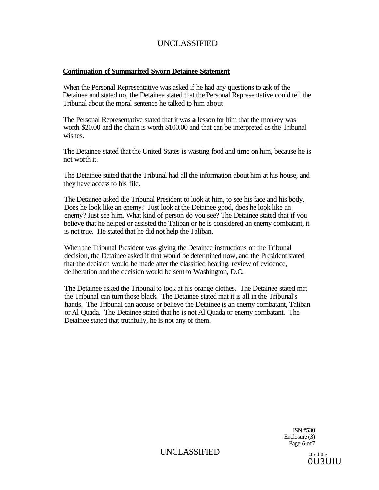### **Continuation of Summarized Sworn Detainee Statement**

When the Personal Representative was asked if he had any questions to ask of the Detainee and stated no, the Detainee stated that the Personal Representative could tell the Tribunal about the moral sentence he talked to him about

The Personal Representative stated that it was **a** lesson for him that the monkey was worth \$20.00 and the chain is worth \$100.00 and that can be interpreted as the Tribunal wishes.

The Detainee stated that the United States is wasting food and time on him, because he is not worth it.

The Detainee suited that the Tribunal had all the information about him at his house, and they have access to his file.

The Detainee asked die Tribunal President to look at him, to see his face and his body. Does he look like an enemy? Just look at the Detainee good, does he look like an enemy? Just see him. What kind of person do you see? The Detainee stated that if you believe that he helped or assisted the Taliban or he is considered an enemy combatant, it is not true. He stated that he did not help the Taliban.

When the Tribunal President was giving the Detainee instructions on the Tribunal decision, the Detainee asked if that would be determined now, and the President stated that the decision would be made after the classified hearing, review of evidence, deliberation and the decision would be sent to Washington, D.C.

The Detainee asked the Tribunal to look at his orange clothes. The Detainee stated mat the Tribunal can turn those black. The Detainee stated mat it is all in the Tribunal's hands. The Tribunal can accuse or believe the Detainee is an enemy combatant, Taliban or Al Quada. The Detainee stated that he is not Al Quada or enemy combatant. The Detainee stated that truthfully, he is not any of them.

> ISN #530 Enclosure (3) Page *6* of7

 $UNCLASSIFIED$   $n, in,$ 

0U3UIU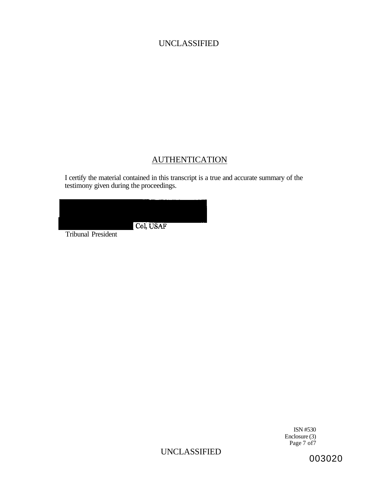# AUTHENTICATION

I certify the material contained in this transcript is a true and accurate summary of the testimony given during the proceedings.

| Col, USAF |  |
|-----------|--|
|           |  |
|           |  |
|           |  |
|           |  |

Tribunal President

ISN #530 Enclosure (3) Page 7 of 7

UNCLASSIFIED

003020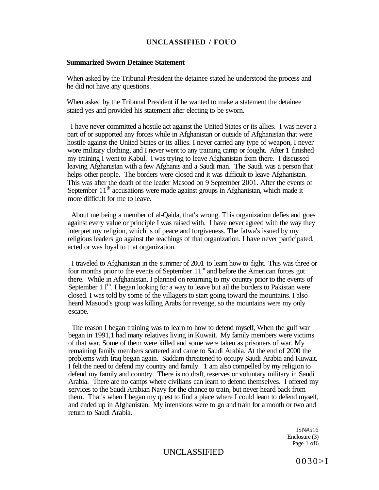#### **Summarized Sworn Detainee Statement**

When asked by the Tribunal President the detainee stated he understood the process and he did not have any questions.

When asked by the Tribunal President if he wanted to make a statement the detainee stated yes and provided his statement after electing to be sworn.

I have never committed a hostile act against the United States or its allies. I was never a part of or supported any forces while in Afghanistan or outside of Afghanistan that were hostile against the United States or its allies. I never carried any type of weapon, I never wore military clothing, and I never went to any training camp or fought. After 1 finished my training I went to Kabul. I was trying to leave Afghanistan from there. I discussed leaving Afghanistan with a few Afghanis and a Saudi man. The Saudi was a person that helps other people. The borders were closed and it was difficult to leave Afghanistan. This was after the death of the leader Masood on 9 September 2001. After the events of September 11<sup>th</sup> accusations were made against groups in Afghanistan, which made it more difficult for me to leave.

About me being a member of al-Qaida, that's wrong. This organization defies and goes against every value or principle I was raised with. I have never agreed with the way they interpret my religion, which is of peace and forgiveness. The fatwa's issued by my religious leaders go against the teachings of that organization. I have never participated, acted or was loyal to that organization.

I traveled to Afghanistan in the summer of 2001 to learn how to fight. This was three or four months prior to the events of September  $11<sup>m</sup>$  and before the American forces got there. While in Afghanistan, I planned on returning to my country prior to the events of September 1 I<sup>th</sup>. I began looking for a way to leave but ail the borders to Pakistan were closed. I was told by some of the villagers to start going toward the mountains. I also heard Masood's group was killing Arabs for revenge, so the mountains were my only escape.

The reason I began training was to learn to how to defend myself, When the gulf war began in 1991,1 had many relatives living in Kuwait. My family members were victims of that war. Some of them were killed and some were taken as prisoners of war. My remaining family members scattered and came to Saudi Arabia. At the end of 2000 the problems with Iraq began again. Saddam threatened to occupy Saudi Arabia and Kuwait. I felt the need to defend my country and family. 1 am also compelled by my religion to defend my family and country. There is no draft, reserves or voluntary military in Saudi Arabia. There are no camps where civilians can learn to defend themselves. I offered my services to the Saudi Arabian Navy for the chance to train, but never heard back from them. That's when I began my quest to find a place where I could learn to defend myself, and ended up in Afghanistan. My intensions were to go and train for a month or two and return to Saudi Arabia.

> ISN#516 Enclosure (3) Page 1 of6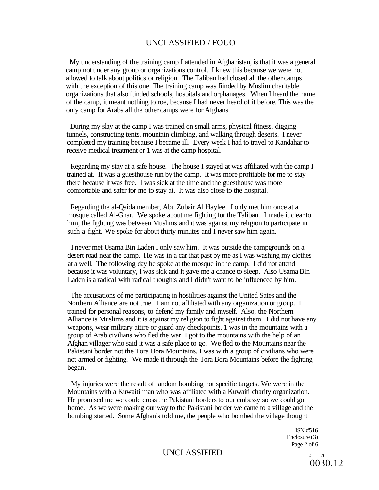My understanding of the training camp I attended in Afghanistan, is that it was a general camp not under any group or organizations control. I knew this because we were not allowed to talk about politics or religion. The Taliban had closed all the other camps with the exception of this one. The training camp was fiinded by Muslim charitable organizations that also ftinded schools, hospitals and orphanages. When I heard the name of the camp, it meant nothing to roe, because I had never heard of it before. This was the only camp for Arabs all the other camps were for Afghans.

During my slay at the camp I was trained on small arms, physical fitness, digging tunnels, constructing tents, mountain climbing, and walking through deserts. I never completed my training because I became ill. Every week I had to travel to Kandahar to receive medical treatment or 1 was at the camp hospital.

Regarding my stay at a safe house. The house I stayed at was affiliated with the camp I trained at. It was a guesthouse run by the camp. It was more profitable for me to stay there because it was free. I was sick at the time and the guesthouse was more comfortable and safer for me to stay at. It was also close to the hospital.

Regarding the al-Qaida member, Abu Zubair Al Haylee. I only met him once at a mosque called Al-Ghar. We spoke about me fighting for the Taliban. I made it clear to him, the fighting was between Muslims and it was against my religion to participate in such a fight. We spoke for about thirty minutes and I never saw him again.

I never met Usama Bin Laden I only saw him. It was outside the campgrounds on a desert road near the camp. He was in a car that past by me as I was washing my clothes at a well. The following day he spoke at the mosque in the camp. I did not attend because it was voluntary, I was sick and it gave me a chance to sleep. Also Usama Bin Laden is a radical with radical thoughts and I didn't want to be influenced by him.

The accusations of me participating in hostilities against the United Sates and the Northern Alliance are not true. I am not affiliated with any organization or group. I trained for personal reasons, to defend my family and myself. Also, the Northern Alliance is Muslims and it is against my religion to fight against them. I did not have any weapons, wear military attire or guard any checkpoints. 1 was in the mountains with a group of Arab civilians who fled the war. I got to the mountains with the help of an Afghan villager who said it was a safe place to go. We fled to the Mountains near the Pakistani border not the Tora Bora Mountains. I was with a group of civilians who were not armed or fighting. We made it through the Tora Bora Mountains before the fighting began.

My injuries were the result of random bombing not specific targets. We were in the Mountains with a Kuwaiti man who was affiliated with a Kuwaiti charity organization. He promised me we could cross the Pakistani borders to our embassy so we could go home. As we were making our way to the Pakistani border we came to a village and the bombing started. Some Afghanis told me, the people who bombed the village thought

> ISN #516 Enclosure (3) Page 2 of 6

### UNCLASSIFIED r<sub>n</sub><sup>n</sup></sup>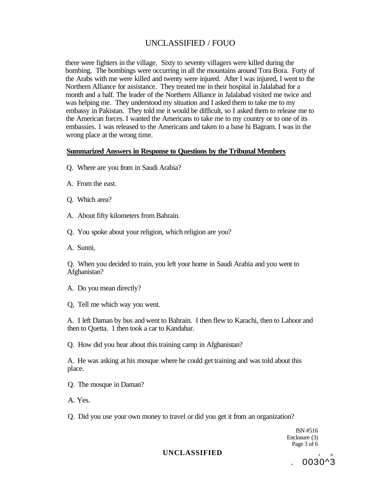there were fighters in the village. Sixty to seventy villagers were killed during the bombing. The bombings were occurring in all the mountains around Tora Bora. Forty of the Arabs with me were killed and twenty were injured. After I was injured, I went to the Northern Alliance for assistance. They treated me in their hospital in Jalalabad for a month and a half. The leader of the Northern Alliance in Jalalabad visited me twice and was helping me. They understood my situation and I asked them to take me to my embassy in Pakistan. They told me it would be difficult, so I asked them to release me to the American forces. I wanted the Americans to take me to my country or to one of its embassies. 1 was released to the Americans and taken to a base hi Bagram. I was in the wrong place at the wrong time.

### **Summarized Answers in Response to Questions by the Tribunal Members**

- Q. Where are you from in Saudi Arabia?
- A. From the east.
- Q. Which area?
- A. About fifty kilometers from Bahrain.
- Q. You spoke about your religion, which religion are you?
- A. Sunni,

Q. When you decided to train, you left your home in Saudi Arabia and you went to Afghanistan?

A. Do you mean directly?

Q, Tell me which way you went.

A. I left Daman by bus and went to Bahrain. I then flew to Karachi, then to Lahoor and then to Quetta. 1 then took a car to Kandahar.

Q. How did you hear about this training camp in Afghanistan?

A. He was asking at his mosque where he could get training and was told about this place.

Q. The mosque in Daman?

A. Yes.

Q. Did you use your own money to travel or did you get it from an organization?

ISN #516 Enclosure (3) Page 3 of 6

. 0030^3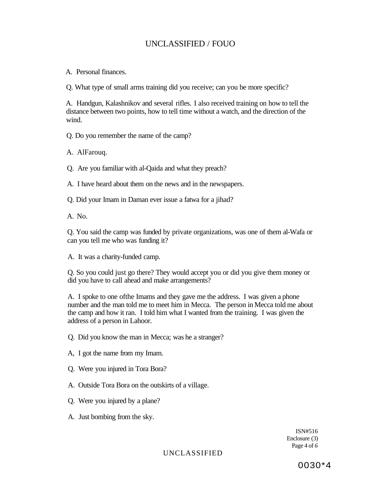A. Personal finances.

Q. What type of small arms training did you receive; can you be more specific?

A. Handgun, Kalashnikov and several rifles. I also received training on how to tell the distance between two points, how to tell time without a watch, and the direction of the wind.

Q. Do you remember the name of the camp?

A. AlFarouq.

Q. Are you familiar with al-Qaida and what they preach?

A. I have heard about them on the news and in the newspapers.

Q. Did your Imam in Daman ever issue a fatwa for a jihad?

A. No.

Q. You said the camp was funded by private organizations, was one of them al-Wafa or can you tell me who was funding it?

A. It was a charity-funded camp.

Q. So you could just go there? They would accept you or did you give them money or did you have to call ahead and make arrangements?

A. I spoke to one ofthe Imams and they gave me the address. I was given a phone number and the man told me to meet him in Mecca. The person in Mecca told me about the camp and how it ran. I told him what I wanted from the training. I was given the address of a person in Lahoor.

Q. Did you know the man in Mecca; was he a stranger?

A, I got the name from my Imam.

Q. Were you injured in Tora Bora?

A. Outside Tora Bora on the outskirts of a village.

Q. Were you injured by a plane?

A. Just bombing from the sky.

ISN#516 Enclosure (3) Page 4 of *6*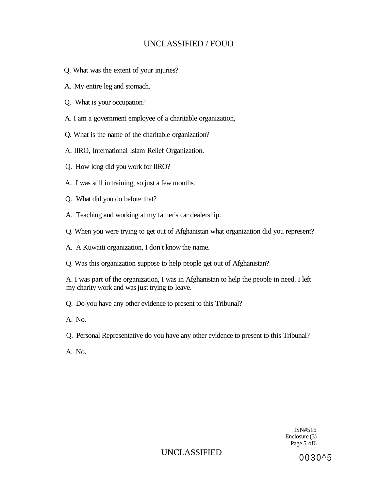- Q. What was the extent of your injuries?
- A. My entire leg and stomach.
- Q. What is your occupation?
- A. I am a government employee of a charitable organization,
- Q. What is the name of the charitable organization?
- A. IIRO, International Islam Relief Organization.
- Q. How long did you work for IIRO?
- A. I was still in training, so just a few months.
- Q. What did you do before that?
- A. Teaching and working at my father's car dealership.
- Q. When you were trying to get out of Afghanistan what organization did you represent?
- A. A Kuwaiti organization, I don't know the name.
- Q. Was this organization suppose to help people get out of Afghanistan?

A. I was part of the organization, I was in Afghanistan to help the people in need. I left my charity work and was just trying to leave.

- Q. Do you have any other evidence to present to this Tribunal?
- A. No.
- Q. Personal Representative do you have any other evidence to present to this Tribunal?
- A. No.

ISN#516 Enclosure (3) Page 5 of6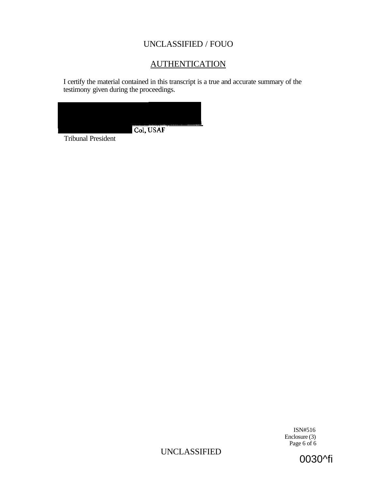# **AUTHENTICATION**

I certify the material contained in this transcript is a true and accurate summary of the testimony given during the proceedings.



Tribunal President

ISN#516 Enclosure (3) Page 6 of 6

UNCLASSIFIED

0030^fi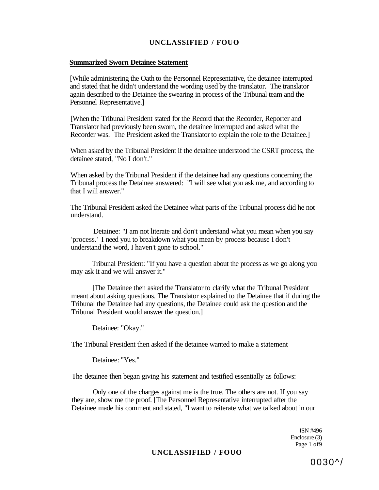#### **Summarized Sworn Detainee Statement**

[While administering the Oath to the Personnel Representative, the detainee interrupted and stated that he didn't understand the wording used by the translator. The translator again described to the Detainee the swearing in process of the Tribunal team and the Personnel Representative.]

[When the Tribunal President stated for the Record that the Recorder, Reporter and Translator had previously been sworn, the detainee interrupted and asked what the Recorder was. The President asked the Translator to explain the role to the Detainee.]

When asked by the Tribunal President if the detainee understood the CSRT process, the detainee stated, "No I don't."

When asked by the Tribunal President if the detainee had any questions concerning the Tribunal process the Detainee answered: "I will see what you ask me, and according to that I will answer."

The Tribunal President asked the Detainee what parts of the Tribunal process did he not understand.

Detainee: "I am not literate and don't understand what you mean when you say 'process.' I need you to breakdown what you mean by process because I don't understand the word, I haven't gone to school."

Tribunal President: "If you have a question about the process as we go along you may ask it and we will answer it."

[The Detainee then asked the Translator to clarify what the Tribunal President meant about asking questions. The Translator explained to the Detainee that if during the Tribunal the Detainee had any questions, the Detainee could ask the question and the Tribunal President would answer the question.]

Detainee: "Okay."

The Tribunal President then asked if the detainee wanted to make a statement

Detainee: "Yes."

The detainee then began giving his statement and testified essentially as follows:

Only one of the charges against me is the true. The others are not. If you say they are, show me the proof. [The Personnel Representative interrupted after the Detainee made his comment and stated, "I want to reiterate what we talked about in our

> ISN #496 Enclosure (3) Page 1 of9

### **UNCLASSIFIED / FOUO**

0030^/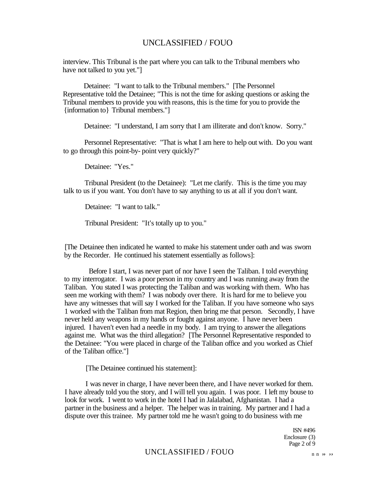interview. This Tribunal is the part where you can talk to the Tribunal members who have not talked to you yet."]

Detainee: "I want to talk to the Tribunal members." [The Personnel Representative told the Detainee; "This is not the time for asking questions or asking the Tribunal members to provide you with reasons, this is the time for you to provide the {information to} Tribunal members."]

Detainee: "I understand, I am sorry that I am illiterate and don't know. Sorry."

Personnel Representative: "That is what I am here to help out with. Do you want to go through this point-by- point very quickly?"

Detainee: "Yes."

Tribunal President (to the Detainee): "Let me clarify. This is the time you may talk to us if you want. You don't have to say anything to us at all if you don't want.

Detainee: "I want to talk."

Tribunal President: "It's totally up to you."

[The Detainee then indicated he wanted to make his statement under oath and was sworn by the Recorder. He continued his statement essentially as follows]:

Before I start, I was never part of nor have I seen the Taliban. I told everything to my interrogator. I was a poor person in my country and I was running away from the Taliban. You stated I was protecting the Taliban and was working with them. Who has seen me working with them? I was nobody over there. It is hard for me to believe you have any witnesses that will say I worked for the Taliban. If you have someone who says 1 worked with the Taliban from mat Region, then bring me that person. Secondly, I have never held any weapons in my hands or fought against anyone. I have never been injured. I haven't even had a needle in my body. I am trying to answer the allegations against me. What was the third allegation? [The Personnel Representative responded to the Detainee: "You were placed in charge of the Taliban office and you worked as Chief of the Taliban office."]

[The Detainee continued his statement]:

I was never in charge, I have never been there, and I have never worked for them. I have already told you the story, and I will tell you again. I was poor. I left my bouse to look for work. I went to work in the hotel I had in Jalalabad, Afghanistan. I had a partner in the business and a helper. The helper was in training. My partner and I had a dispute over this trainee. My partner told me he wasn't going to do business with me

> ISN #496 Enclosure (3) Page 2 of 9

### $UNCLASSIFIED / FOUO$  n n, y, y,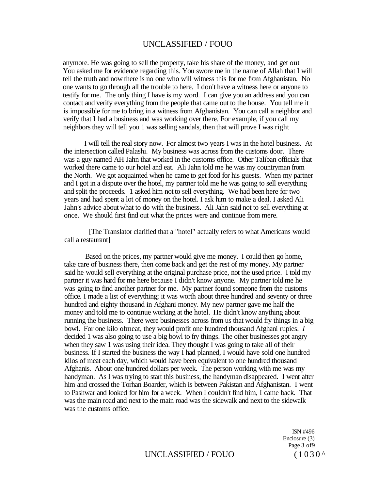anymore. He was going to sell the property, take his share of the money, and get out You asked me for evidence regarding this. You swore me in the name of Allah that I will tell the truth and now there is no one who will witness this for me from Afghanistan. No one wants to go through all the trouble to here. I don't have a witness here or anyone to testify for me. The only thing I have is my word. I can give you an address and you can contact and verify everything from the people that came out to the house. You tell me it is impossible for me to bring in a witness from Afghanistan. You can call a neighbor and verify that I had a business and was working over there. For example, if you call my neighbors they will tell you 1 was selling sandals, then that will prove I was right

I will tell the real story now. For almost two years I was in the hotel business. At the intersection called Palashi. My business was across from the customs door. There was a guy named AH Jahn that worked in the customs office. Other Taliban officials that worked there came to our hotel and eat. Ali Jahn told me he was my countryman from the North. We got acquainted when he came to get food for his guests. When my partner and I got in a dispute over the hotel, my partner told me he was going to sell everything and split the proceeds. 1 asked him not to sell everything. We had been here for two years and had spent a lot of money on the hotel. I ask him to make a deal. I asked Ali Jahn's advice about what to do with the business. Ali Jahn said not to sell everything at once. We should first find out what the prices were and continue from mere.

[The Translator clarified that a "hotel" actually refers to what Americans would call a restaurant]

Based on the prices, my partner would give me money. I could then go home, take care of business there, then come back and get the rest of my money. My partner said he would sell everything at the original purchase price, not the used price. I told my partner it was hard for me here because I didn't know anyone. My partner told me he was going to find another partner for me. My partner found someone from the customs office. I made a list of everything; it was worth about three hundred and seventy or three hundred and eighty thousand in Afghani money. My new partner gave me half the money and told me to continue working at the hotel. He didn't know anything about running the business. There were businesses across from us that would fry things in a big bowl. For one kilo ofmeat, they would profit one hundred thousand Afghani rupies. *I*  decided 1 was also going to use a big bowl to fry things. The other businesses got angry when they saw 1 was using their idea. They thought I was going to take all of their business. If I started the business the way I had planned, I would have sold one hundred kilos of meat each day, which would have been equivalent to one hundred thousand Afghanis. About one hundred dollars per week. The person working with me was my handyman. As I was trying to start this business, the handyman disappeared. I went after him and crossed the Torhan Boarder, which is between Pakistan and Afghanistan. I went to Pashwar and looked for him for a week. When I couldn't find him, I came back. That was the main road and next to the main road was the sidewalk and next to the sidewalk was the customs office.

> ISN #496 Enclosure (3) Page 3 of9

### UNCLASSIFIED / FOUO  $(1030^{\circ})$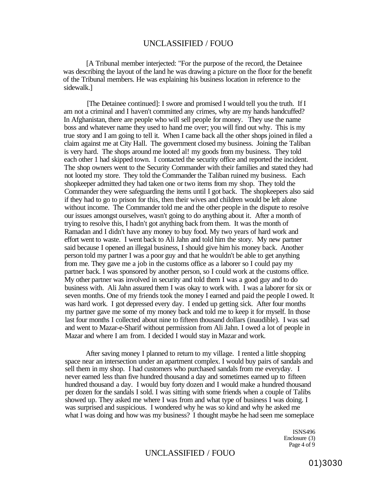[A Tribunal member interjected: "For the purpose of the record, the Detainee was describing the layout of the land he was drawing a picture on the floor for the benefit of the Tribunal members. He was explaining his business location in reference to the sidewalk.]

[The Detainee continued]: I swore and promised I would tell you the truth. If I am not a criminal and I haven't committed any crimes, why are my hands handcuffed? In Afghanistan, there are people who will sell people for money. They use the name boss and whatever name they used to hand me over; you will find out why. This is my true story and I am going to tell it. When I came back all the other shops joined in filed a claim against me at City Hall. The government closed my business. Joining the Taliban is very hard. The shops around me looted al! my goods from my business. They told each other 1 had skipped town. I contacted the security office and reported the incident. The shop owners went to the Security Commander with their families and stated they had not looted my store. They told the Commander the Taliban ruined my business. Each shopkeeper admitted they had taken one or two items from my shop. They told the Commander they were safeguarding the items until I got back. The shopkeepers also said if they had to go to prison for this, then their wives and children would be left alone without income. The Commander told me and the other people in the dispute to resolve our issues amongst ourselves, wasn't going to do anything about it. After a month of trying to resolve this, I hadn't got anything back from them. It was the month of Ramadan and I didn't have any money to buy food. My two years of hard work and effort went to waste. I went back to Ali Jahn and told him the story. My new partner said because I opened an illegal business, I should give him his money back. Another person told my partner I was a poor guy and that he wouldn't be able to get anything from me. They gave me a job in the customs office as a laborer so I could pay my partner back. I was sponsored by another person, so I could work at the customs office. My other partner was involved in security and told them I was a good guy and to do business with. Ali Jahn assured them I was okay to work with. I was a laborer for six or seven months. One of my friends took the money I earned and paid the people I owed. It was hard work. I got depressed every day. I ended up getting sick. After four months my partner gave me some of my money back and told me to keep it for myself. In those last four months I collected about nine to fifteen thousand dollars (inaudible). I was sad and went to Mazar-e-Sharif without permission from Ali Jahn. I owed a lot of people in Mazar and where I am from. I decided I would stay in Mazar and work.

After saving money I planned to return to my village. I rented a little shopping space near an intersection under an apartment complex. I would buy pairs of sandals and sell them in my shop. I had customers who purchased sandals from me everyday. I never earned less than five hundred thousand a day and sometimes earned up to fifteen hundred thousand a day. I would buy forty dozen and I would make a hundred thousand per dozen for the sandals I sold. I was sitting with some friends when a couple of Talibs showed up. They asked me where I was from and what type of business I was doing. I was surprised and suspicious. I wondered why he was so kind and why he asked me what I was doing and how was my business? I thought maybe he had seen me someplace

> ISNS496 Enclosure (3) Page 4 of 9

### UNCLASSIFIED / FOUO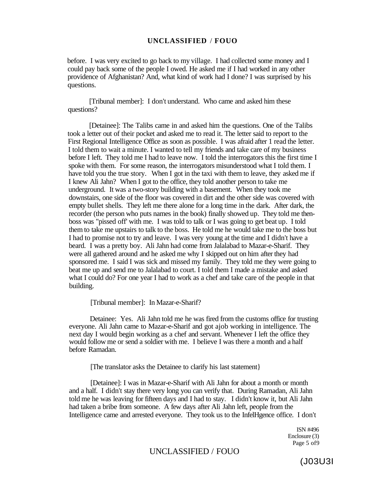before. I was very excited to go back to my village. I had collected some money and I could pay back some of the people I owed. He asked me if I had worked in any other providence of Afghanistan? And, what kind of work had I done? I was surprised by his questions.

[Tribunal member]: I don't understand. Who came and asked him these questions?

[Detainee]: The Talibs came in and asked him the questions. One of the Talibs took a letter out of their pocket and asked me to read it. The letter said to report to the First Regional Intelligence Office as soon as possible. I was afraid after 1 read the letter. I told them to wait a minute. I wanted to tell my friends and take care of my business before I left. They told me I had to leave now. I told the interrogators this the first time I spoke with them. For some reason, the interrogators misunderstood what I told them. I have told you the true story. When I got in the taxi with them to leave, they asked me if I knew Ali Jahn? When I got to the office, they told another person to take me underground. It was a two-story building with a basement. When they took me downstairs, one side of the floor was covered in dirt and the other side was covered with empty bullet shells. They left me there alone for a long time in the dark. After dark, the recorder (the person who puts names in the book) finally showed up. They told me thenboss was "pissed off' with me. I was told to talk or I was going to get beat up. I told them to take me upstairs to talk to the boss. He told me he would take me to the boss but I had to promise not to try and leave. I was very young at the time and I didn't have a beard. I was a pretty boy. Ali Jahn had come from Jalalabad to Mazar-e-Sharif. They were all gathered around and he asked me why I skipped out on him after they had sponsored me. I said I was sick and missed my family. They told me they were going to beat me up and send me to Jalalabad to court. I told them I made a mistake and asked what I could do? For one year I had to work as a chef and take care of the people in that building.

[Tribunal member]: In Mazar-e-Sharif?

Detainee: Yes. Ali Jahn told me he was fired from the customs office for trusting everyone. Ali Jahn came to Mazar-e-Sharif and got ajob working in intelligence. The next day I would begin working as a chef and servant. Whenever I left the office they would follow me or send a soldier with me. I believe I was there a month and a half before Ramadan.

[The translator asks the Detainee to clarify his last statement}

[Detainee]: I was in Mazar-e-Sharif with Ali Jahn for about a month or month and a half. I didn't stay there very long you can verify that. During Ramadan, Ali Jahn told me he was leaving for fifteen days and I had to stay. I didn't know it, but Ali Jahn had taken a bribe from someone. A few days after Ali Jahn left, people from the Intelligence came and arrested everyone. They took us to the InfelHgence office. I don't

> ISN #496 Enclosure (3) Page 5 of9

### UNCLASSIFIED / FOUO

(J03U3I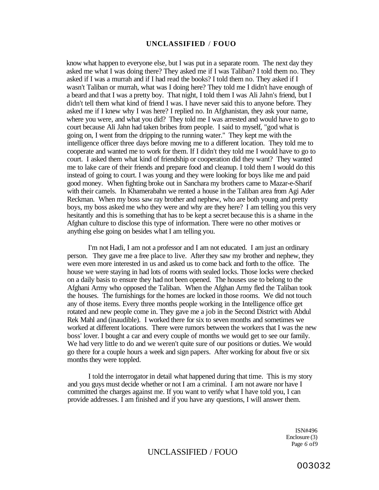know what happen to everyone else, but I was put in a separate room. The next day they asked me what I was doing there? They asked me if I was Taliban? I told them no. They asked if I was a murrah and if I had read the books? I told them no. They asked if I wasn't Taliban or murrah, what was I doing here? They told me I didn't have enough of a beard and that I was a pretty boy. That night, I told them I was Ali Jahn's friend, but I didn't tell them what kind of friend I was. I have never said this to anyone before. They asked me if I knew why I was here? I replied no. In Afghanistan, they ask your name, where you were, and what you did? They told me I was arrested and would have to go to court because Ali Jahn had taken bribes from people. I said to myself, "god what is going on, I went from the dripping to the running water." They kept me with the intelligence officer three days before moving me to a different location. They told me to cooperate and wanted me to work for them. If I didn't they told me I would have to go to court. I asked them what kind of friendship or cooperation did they want? They wanted me to lake care of their friends and prepare food and cleanup. I told them I would do this instead of going to court. I was young and they were looking for boys like me and paid good money. When fighting broke out in Sanchara my brothers came to Mazar-e-Sharif with their camels. In Khamerabahn we rented a house in the Taliban area from Agi Ader Reckman. When my boss saw ray brother and nephew, who are both young and pretty boys, my boss asked me who they were and why are they here? I am telling you this very hesitantly and this is something that has to be kept a secret because this is a shame in the Afghan culture to disclose this type of information. There were no other motives or anything else going on besides what I am telling you.

I'm not Hadi, I am not a professor and I am not educated. I am just an ordinary person. They gave me a free place to live. After they saw my brother and nephew, they were even more interested in us and asked us to come back and forth to the office. The house we were staying in had lots of rooms with sealed locks. Those locks were checked on a daily basis to ensure they had not been opened. The houses use to belong to the Afghani Army who opposed the Taliban. When the Afghan Army fled the Taliban took the houses. The furnishings for the homes are locked in those rooms. We did not touch any of those items. Every three months people working in the Intelligence office get rotated and new people come in. They gave me a job in the Second District with Abdul Rek Mahl and (inaudible). I worked there for six to seven months and sometimes we worked at different locations. There were rumors between the workers that I was the new boss' lover. I bought a car and every couple of months we would get to see our family. We had very little to do and we weren't quite sure of our positions or duties. We would go there for a couple hours a week and sign papers. After working for about five or six months they were toppled.

I told the interrogator in detail what happened during that time. This is my story and you guys must decide whether or not I am a criminal. I am not aware nor have I committed the charges against me. If you want to verify what I have told you, I can provide addresses. I am finished and if you have any questions, I will answer them.

> ISN#496 Enclosure (3) Page *6* of9

### UNCLASSIFIED / FOUO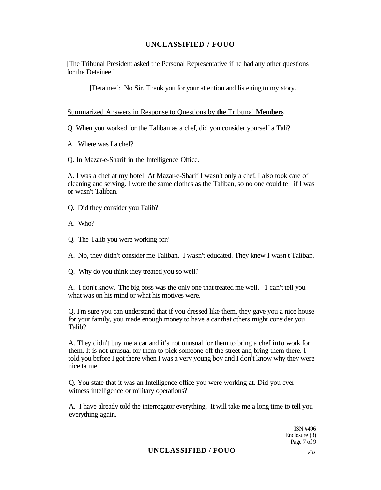[The Tribunal President asked the Personal Representative if he had any other questions for the Detainee.]

[Detainee]: No Sir. Thank you for your attention and listening to my story.

Summarized Answers in Response to Questions by **the** Tribunal **Members** 

Q. When you worked for the Taliban as a chef, did you consider yourself a Tali?

A. Where was I a chef?

Q. In Mazar-e-Sharif in the Intelligence Office.

A. I was a chef at my hotel. At Mazar-e-Sharif I wasn't only a chef, I also took care of cleaning and serving. I wore the same clothes as the Taliban, so no one could tell if I was or wasn't Taliban.

Q. Did they consider you Talib?

A. Who?

Q. The Talib you were working for?

A. No, they didn't consider me Taliban. I wasn't educated. They knew I wasn't Taliban.

Q. Why do you think they treated you so well?

A. I don't know. The big boss was the only one that treated me well. 1 can't tell you what was on his mind or what his motives were.

Q. I'm sure you can understand that if you dressed like them, they gave you a nice house for your family, you made enough money to have a car that others might consider you Talib?

A. They didn't buy me a car and it's not unusual for them to bring a chef into work for them. It is not unusual for them to pick someone off the street and bring them there. I told you before I got there when I was a very young boy and I don<sup>1</sup>t know why they were nice ta me.

Q. You state that it was an Intelligence office you were working at. Did you ever witness intelligence or military operations?

A. I have already told the interrogator everything. It will take me a long time to tell you everything again.

> ISN #496 Enclosure (3) Page 7 of 9

### UNCLASSIFIED / FOUO ,-,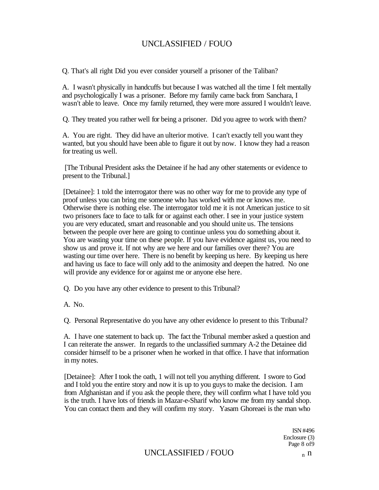Q. That's all right Did you ever consider yourself a prisoner of the Taliban?

A. I wasn't physically in handcuffs but because I was watched all the time I felt mentally and psychologically I was a prisoner. Before my family came back from Sanchara, I wasn't able to leave. Once my family returned, they were more assured I wouldn't leave.

Q. They treated you rather well for being a prisoner. Did you agree to work with them?

A. You are right. They did have an ulterior motive. I can't exactly tell you want they wanted, but you should have been able to figure it out by now. I know they had a reason for treating us well.

[The Tribunal President asks the Detainee if he had any other statements or evidence to present to the Tribunal.]

[Detainee]: 1 told the interrogator there was no other way for me to provide any type of proof unless you can bring me someone who has worked with me or knows me. Otherwise there is nothing else. The interrogator told me it is not American justice to sit two prisoners face to face to talk for or against each other. I see in your justice system you are very educated, smart and reasonable and you should unite us. The tensions between the people over here are going to continue unless you do something about it. You are wasting your time on these people. If you have evidence against us, you need to show us and prove it. If not why are we here and our families over there? You are wasting our time over here. There is no benefit by keeping us here. By keeping us here and having us face to face will only add to the animosity and deepen the hatred. No one will provide any evidence for or against me or anyone else here.

Q. Do you have any other evidence to present to this Tribunal?

A. No.

Q. Personal Representative do you have any other evidence lo present to this Tribunal?

A. I have one statement to back up. The fact the Tribunal member asked a question and I can reiterate the answer. In regards to the unclassified summary A-2 the Detainee did consider himself to be a prisoner when he worked in that office. I have that information in my notes.

[Detainee]: After I took the oath, 1 will not tell you anything different. I swore to God and I told you the entire story and now it is up to you guys to make the decision. I am from Afghanistan and if you ask the people there, they will confirm what I have told you is the truth. I have lots of friends in Mazar-e-Sharif who know me from my sandal shop. You can contact them and they will confirm my story. Yasam Ghoreaei is the man who

> ISN #496 Enclosure (3) Page 8 of9

# $UNCLASSIFIED / FOUO$  n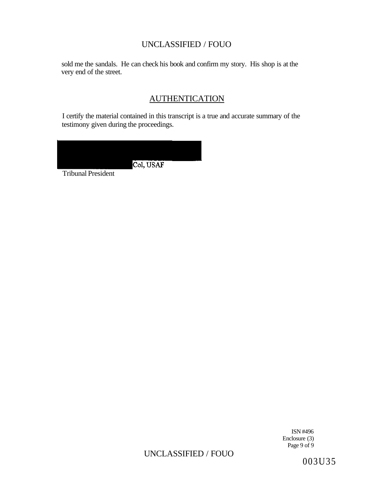sold me the sandals. He can check his book and confirm my story. His shop is at the very end of the street.

# **AUTHENTICATION**

I certify the material contained in this transcript is a true and accurate summary of the testimony given during the proceedings.

| Col, USAF |
|-----------|
|           |
|           |

ISN #496 Enclosure (3) Page 9 of 9

# UNCLASSIFIED / FOUO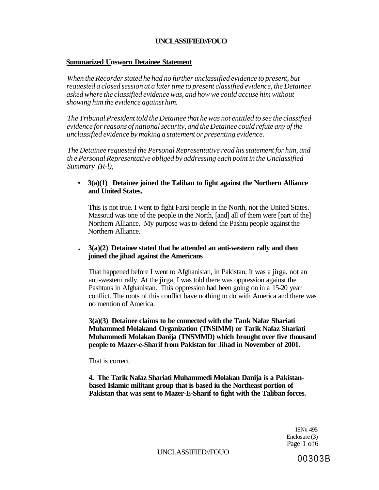#### **Summarized Unsworn Detainee Statement**

*When the Recorder stated he had no further unclassified evidence to present, but requested a closed session at a later time to present classified evidence, the Detainee asked where the classified evidence was, and how we could accuse him without showing him the evidence against him.* 

*The Tribunal President told the Detainee that he was not entitled to see the classified evidence for reasons of national security, and the Detainee could refute any of the unclassified evidence by making a statement or presenting evidence.* 

*The Detainee requested the Personal Representative read his statement for him, and th e Personal Representative obliged by addressing each point in the Unclassified Summary (R-l),* 

### **• 3(a)(1) Detainee joined the Taliban to fight against the Northern Alliance and United States.**

This is not true. I went to fight Farsi people in the North, not the United States. Massoud was one of the people in the North, [and] all of them were [part of the] Northern Alliance. My purpose was to defend the Pashtu people against the Northern Alliance.

### • **3(a)(2) Detainee stated that he attended an anti-western rally and then joined the jihad against the Americans**

That happened before I went to Afghanistan, in Pakistan. It was a jirga, not an anti-western rally. At the jirga, I was told there was oppression against the Pashtuns in Afghanistan. This oppression had been going on in a 15-20 year conflict. The roots of this conflict have nothing to do with America and there was no mention of America.

**3(a)(3) Detainee claims to be connected with the Tank Nafaz Shariati Muhammed Molakand Organization (TNSIMM) or Tarik Nafaz Shariati Muhammedi Molakan Danija (TNSMMD) which brought over five thousand people to Mazer-e-Sharif from Pakistan for Jihad in November of 2001.** 

That is correct.

**4. The Tarik Nafaz Shariati Muhammedi Molakan Danija is a Pakistanbased Islamic militant group that is based iu the Northeast portion of Pakistan that was sent to Mazer-E-Sharif to fight with the Taliban forces.** 

> ISN# 495 Enclosure (3) Page 1 of6

UNCLASSIFIED//FOUO

00303B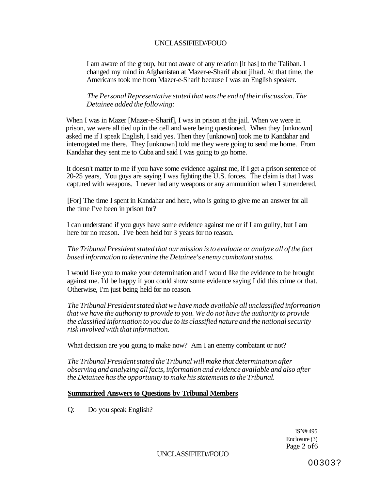I am aware of the group, but not aware of any relation [it has] to the Taliban. I changed my mind in Afghanistan at Mazer-e-Sharif about jihad. At that time, the Americans took me from Mazer-e-Sharif because I was an English speaker.

*The Personal Representative stated that was the end of their discussion. The Detainee added the following:* 

When I was in Mazer [Mazer-e-Sharif], I was in prison at the jail. When we were in prison, we were all tied up in the cell and were being questioned. When they [unknown] asked me if I speak English, I said yes. Then they [unknown] took me to Kandahar and interrogated me there. They [unknown] told me they were going to send me home. From Kandahar they sent me to Cuba and said I was going to go home.

It doesn't matter to me if you have some evidence against me, if I get a prison sentence of 20-25 years, You guys are saying I was fighting the U.S. forces. The claim is that I was captured with weapons. I never had any weapons or any ammunition when I surrendered.

[For] The time I spent in Kandahar and here, who is going to give me an answer for all the time I've been in prison for?

I can understand if you guys have some evidence against me or if I am guilty, but I am here for no reason. I've been held for 3 years for no reason.

*The Tribunal President stated that our mission is to evaluate or analyze all of the fact based information to determine the Detainee's enemy combatant status.* 

I would like you to make your determination and I would like the evidence to be brought against me. I'd be happy if you could show some evidence saying I did this crime or that. Otherwise, I'm just being held for no reason.

*The Tribunal President stated that we have made available all unclassified information that we have the authority to provide to you. We do not have the authority to provide the classified information to you due to its classified nature and the national security risk involved with that information.* 

What decision are you going to make now? Am I an enemy combatant or not?

*The Tribunal President stated the Tribunal will make that determination after observing and analyzing all facts, information and evidence available and also after the Detainee has the opportunity to make his statements to the Tribunal.* 

### **Summarized Answers to Questions by Tribunal Members**

Q: Do you speak English?

ISN# 495 Enclosure (3) Page 2 of6

UNCLASSIFIED//FOUO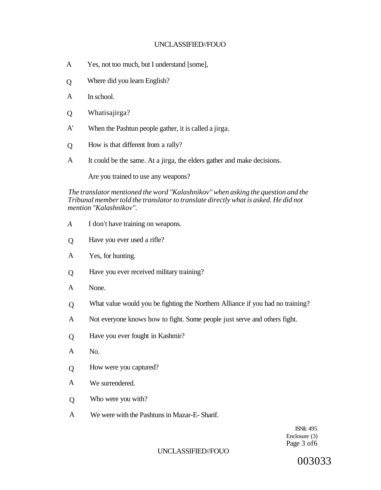- A Yes, not too much, but I understand [some],
- Q Where did you learn English?
- A In school.
- $\overline{O}$ Whatisajirga?
- A' When the Pashtun people gather, it is called a jirga.
- Q How is that different from a rally?
- A It could be the same. At a jirga, the elders gather and make decisions.

Are you trained to use any weapons?

*The translator mentioned the word "Kalashnikov" when asking the question and the Tribunal member told the translator to translate directly what is asked. He did not mention "Kalashnikov".* 

- *A*  I don't have training on weapons.
- $\overline{O}$ Have you ever used a rifle?
- A Yes, for hunting.
- Q Have you ever received military training?
- A None.
- $\overline{O}$ What value would you be fighting the Northern Alliance if you had no training?
- A Not everyone knows how to fight. Some people just serve and others fight.
- $\overline{O}$ Have you ever fought in Kashmir?
- A No.
- Q How were you captured?
- A We surrendered.
- Q Who were you with?
- A We were with the Pashtuns in Mazar-E- Sharif.

ISNfc 495 Enclosure (3) Page 3 of6

### UNCLASSIFIED//FOUO

003033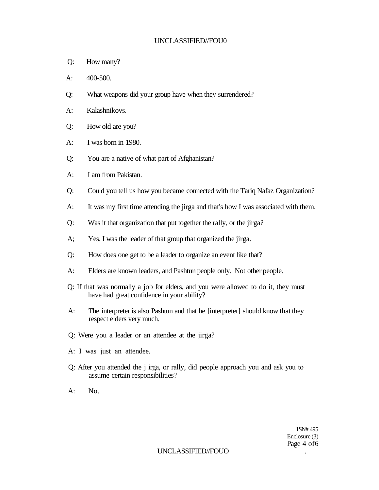- Q: How many?
- A: 400-500.
- Q: What weapons did your group have when they surrendered?
- A: Kalashnikovs.
- Q: How old are you?
- A: I was born in 1980.
- Q: You are a native of what part of Afghanistan?
- A: I am from Pakistan.
- Q: Could you tell us how you became connected with the Tariq Nafaz Organization?
- A: It was my first time attending the jirga and that's how I was associated with them.
- Q: Was it that organization that put together the rally, or the jirga?
- A; Yes, I was the leader of that group that organized the jirga.
- Q: How does one get to be a leader to organize an event like that?
- A: Elders are known leaders, and Pashtun people only. Not other people.
- Q: If that was normally a job for elders, and you were allowed to do it, they must have had great confidence in your ability?
- A: The interpreter is also Pashtun and that he [interpreter] should know that they respect elders very much.
- Q: Were you a leader or an attendee at the jirga?
- A: I was just an attendee.
- Q: After you attended the j irga, or rally, did people approach you and ask you to assume certain responsibilities?
- A: No.

1SN# 495 Enclosure (3) Page 4 of6

### UNCLASSIFIED//FOUO .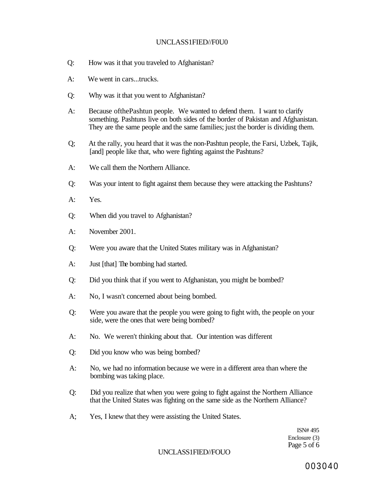### UNCLASS1FIED//F0U0

- Q: How was it that you traveled to Afghanistan?
- A: We went in cars...trucks.
- Q: Why was it that you went to Afghanistan?
- A: Because ofthePashtun people. We wanted to defend them. I want to clarify something. Pashtuns live on both sides of the border of Pakistan and Afghanistan. They are the same people and the same families; just the border is dividing them.
- Q; At the rally, you heard that it was the non-Pashtun people, the Farsi, Uzbek, Tajik, [and] people like that, who were fighting against the Pashtuns?
- A: We call them the Northern Alliance.
- Q: Was your intent to fight against them because they were attacking the Pashtuns?
- A: Yes.
- Q: When did you travel to Afghanistan?
- A: November 2001.
- Q: Were you aware that the United States military was in Afghanistan?
- A: Just [that] The bombing had started.
- Q: Did you think that if you went to Afghanistan, you might be bombed?
- A: No, I wasn't concerned about being bombed.
- Q: Were you aware that the people you were going to fight with, the people on your side, were the ones that were being bombed?
- A: No. We weren't thinking about that. Our intention was different
- Q: Did you know who was being bombed?
- A: No, we had no information because we were in a different area than where the bombing was taking place.
- Q: Did you realize that when you were going to fight against the Northern Alliance that the United States was fighting on the same side as the Northern Alliance?
- A; Yes, I knew that they were assisting the United States.

ISN# 495 Enclosure (3) Page 5 of 6

UNCLASS1FIED//FOUO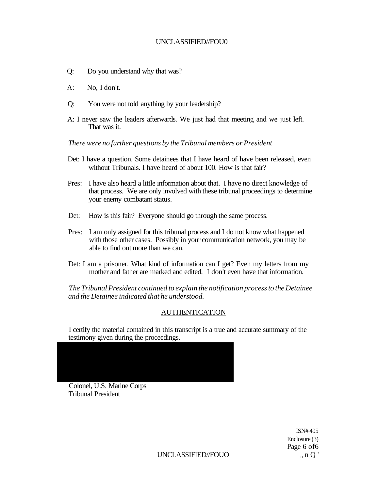- Q: Do you understand why that was?
- A: No, I don't.
- Q: You were not told anything by your leadership?
- A: I never saw the leaders afterwards. We just had that meeting and we just left. That was it.

*There were no further questions by the Tribunal members or President* 

- Det: I have a question. Some detainees that I have heard of have been released, even without Tribunals. I have heard of about 100. How is that fair?
- Pres: I have also heard a little information about that. I have no direct knowledge of that process. We are only involved with these tribunal proceedings to determine your enemy combatant status.
- Det: How is this fair? Everyone should go through the same process.
- Pres: I am only assigned for this tribunal process and I do not know what happened with those other cases. Possibly in your communication network, you may be able to find out more than we can.
- Det: I am a prisoner. What kind of information can I get? Even my letters from my mother and father are marked and edited. I don't even have that information.

*The Tribunal President continued to explain the notification process to the Detainee and the Detainee indicated that he understood.* 

### AUTHENTICATION

I certify the material contained in this transcript is a true and accurate summary of the testimony given during the proceedings.



Colonel, U.S. Marine Corps Tribunal President

> ISN# 495 Enclosure (3) Page 6 of6

 $UNCLASSIFIED/FOUO$  n  $Q'$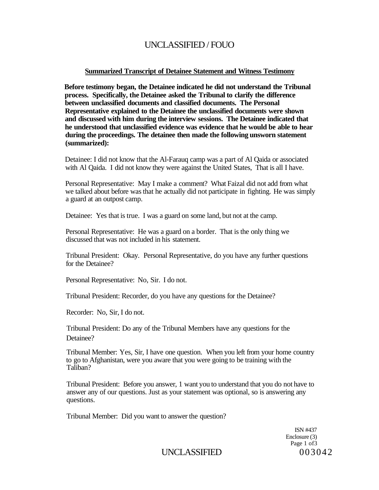### **Summarized Transcript of Detainee Statement and Witness Testimony**

**Before testimony began, the Detainee indicated he did not understand the Tribunal process. Specifically, the Detainee asked the Tribunal to clarify the difference between unclassified documents and classified documents. The Personal Representative explained to the Detainee the unclassified documents were shown and discussed with him during the interview sessions. The Detainee indicated that he understood that unclassified evidence was evidence that he would be able to hear during the proceedings. The detainee then made the following unsworn statement (summarized):** 

Detainee: I did not know that the Al-Farauq camp was a part of Al Qaida or associated with Al Qaida. I did not know they were against the United States, That is all I have.

Personal Representative: May I make a comment? What Faizal did not add from what we talked about before was that he actually did not participate in fighting. He was simply a guard at an outpost camp.

Detainee: Yes that is true. I was a guard on some land, but not at the camp.

Personal Representative: He was a guard on a border. That is the only thing we discussed that was not included in his statement.

Tribunal President: Okay. Personal Representative, do you have any further questions for the Detainee?

Personal Representative: No, Sir. I do not.

Tribunal President: Recorder, do you have any questions for the Detainee?

Recorder: No, Sir, I do not.

Tribunal President: Do any of the Tribunal Members have any questions for the Detainee?

Tribunal Member: Yes, Sir, I have one question. When you left from your home country to go to Afghanistan, were you aware that you were going to be training with the Taliban?

Tribunal President: Before you answer, 1 want you to understand that you do not have to answer any of our questions. Just as your statement was optional, so is answering any questions.

Tribunal Member: Did you want to answer the question?

ISN #437 Enclosure (3) Page 1 of 3

UNCLASSIFIED 003042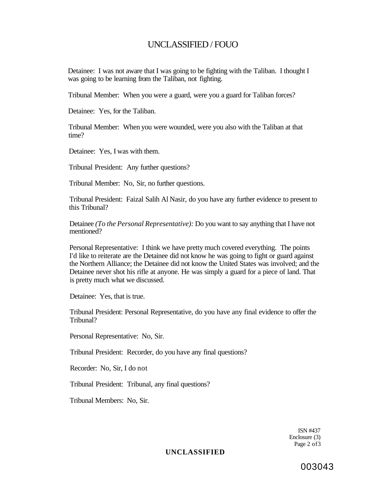Detainee: I was not aware that I was going to be fighting with the Taliban. I thought I was going to be learning from the Taliban, not fighting.

Tribunal Member: When you were a guard, were you a guard for Taliban forces?

Detainee: Yes, for the Taliban.

Tribunal Member: When you were wounded, were you also with the Taliban at that time?

Detainee: Yes, I was with them.

Tribunal President: Any further questions?

Tribunal Member: No, Sir, no further questions.

Tribunal President: Faizal Salih Al Nasir, do you have any further evidence to present to this Tribunal?

Detainee *(To the Personal Representative):* Do you want to say anything that I have not mentioned?

Personal Representative: I think we have pretty much covered everything. The points I'd like to reiterate are the Detainee did not know he was going to fight or guard against the Northern Alliance; the Detainee did not know the United States was involved; and the Detainee never shot his rifle at anyone. He was simply a guard for a piece of land. That is pretty much what we discussed.

Detainee: Yes, that is true.

Tribunal President: Personal Representative, do you have any final evidence to offer the Tribunal?

Personal Representative: No, Sir.

Tribunal President: Recorder, do you have any final questions?

Recorder: No, Sir, I do not

Tribunal President: Tribunal, any final questions?

Tribunal Members: No, Sir.

ISN #437 Enclosure (3) Page 2 of 3

**UNCLASSIFIED** 

003043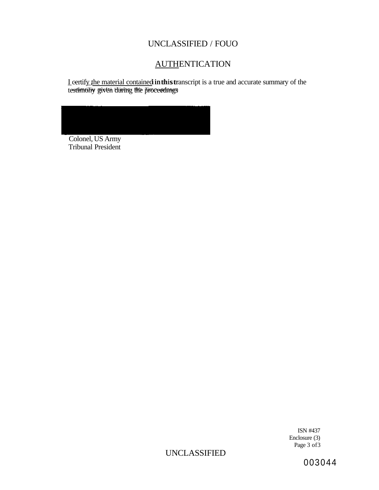# **AUTHENTICATION**

*I* certify the material contained in this transcript is a true and accurate summary of the testimoniy given during the proceedangs

Colonel, US Army Tribunal President

> ISN #437 Enclosure (3) Page 3 of3

UNCLASSIFIED

003044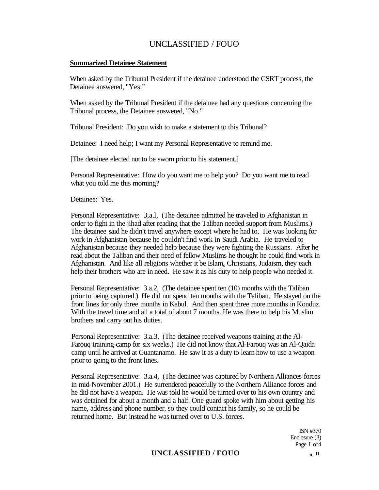### **Summarized Detainee Statement**

When asked by the Tribunal President if the detainee understood the CSRT process, the Detainee answered, "Yes."

When asked by the Tribunal President if the detainee had any questions concerning the Tribunal process, the Detainee answered, "No."

Tribunal President: Do you wish to make a statement to this Tribunal?

Detainee: I need help; I want my Personal Representative to remind me.

[The detainee elected not to be sworn prior to his statement.]

Personal Representative: How do you want me to help you? Do you want me to read what you told me this morning?

Detainee: Yes.

Personal Representative: 3,a.l, (The detainee admitted he traveled to Afghanistan in order to fight in the jihad after reading that the Taliban needed support from Muslims.) The detainee said he didn't travel anywhere except where he had to. He was looking for work in Afghanistan because he couldn't find work in Saudi Arabia. He traveled to Afghanistan because they needed help because they were fighting the Russians. After he read about the Taliban and their need of fellow Muslims he thought he could find work in Afghanistan. And like all religions whether it be Islam<sup>s</sup> Christians, Judaism, they each help their brothers who are in need. He saw it as his duty to help people who needed it.

Personal Representative: 3.a.2, (The detainee spent ten (10) months with the Taliban prior to being captured.) He did not spend ten months with the Taliban. He stayed on the front lines for only three months in Kabul. And then spent three more months in Konduz. With the travel time and all a total of about 7 months. He was there to help his Muslim brothers and carry out his duties.

Personal Representative: 3.a.3, (The detainee received weapons training at the Al-Farouq training camp for six weeks.) He did not know that Al-Farouq was an Al-Qaida camp until he arrived at Guantanamo. He saw it as a duty to learn how to use a weapon prior to going to the front lines.

Personal Representative: 3.a.4, (The detainee was captured by Northern Alliances forces in mid-November 2001.) He surrendered peacefully to the Northern Alliance forces and he did not have a weapon. He was told he would be turned over to his own country and was detained for about a month and a half. One guard spoke with him about getting his name, address and phone number, so they could contact his family, so he could be returned home. But instead he was turned over to U.S. forces.

> ISN #370 Enclosure (3) Page 1 of4

# **UNCLASSIFIED / FOUO <sup>n</sup>** n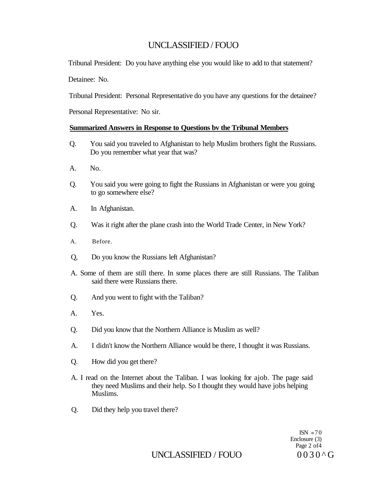Tribunal President: Do you have anything else you would like to add to that statement?

Detainee: No.

Tribunal President: Personal Representative do you have any questions for the detainee?

Personal Representative: No sir.

### **Summarized Answers in Response to Questions bv the Tribunal Members**

- Q. You said you traveled to Afghanistan to help Muslim brothers fight the Russians. Do you remember what year that was?
- A. No.
- Q. You said you were going to fight the Russians in Afghanistan or were you going to go somewhere else?
- A. In Afghanistan.
- Q. Was it right after the plane crash into the World Trade Center, in New York?
- A. Before.
- Q, Do you know the Russians left Afghanistan?
- A. Some of them are still there. In some places there are still Russians. The Taliban said there were Russians there.
- Q. And you went to fight with the Taliban?
- A. Yes.
- Q. Did you know that the Northern Alliance is Muslim as well?
- A. I didn't know the Northern Alliance would be there, I thought it was Russians.
- Q. How did you get there?
- A. I read on the Internet about the Taliban. I was looking for ajob. The page said they need Muslims and their help. So I thought they would have jobs helping Muslims.
- Q. Did they help you travel there?

ISN  $\approx$  70 Enclosure (3) Page 2 of4

UNCLASSIFIED / FOUO  $0030^{\circ}$  G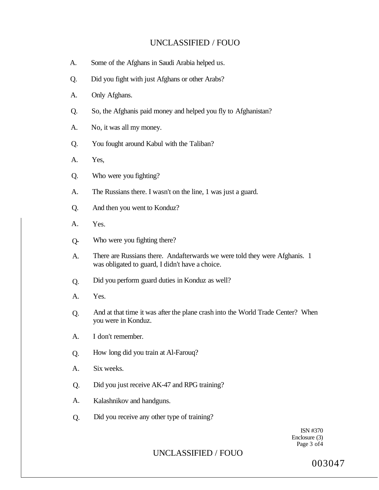- A. Some of the Afghans in Saudi Arabia helped us.
- Q. Did you fight with just Afghans or other Arabs?
- A. Only Afghans.
- Q. So, the Afghanis paid money and helped you fly to Afghanistan?
- A. No, it was all my money.
- Q. You fought around Kabul with the Taliban?
- A. Yes,
- Q. Who were you fighting?
- A. The Russians there. I wasn't on the line, 1 was just a guard.
- Q. And then you went to Konduz?
- A. Yes.
- Q- Who were you fighting there?
- A. There are Russians there. Andafterwards we were told they were Afghanis. 1 was obligated to guard, I didn't have a choice.
- Q. Did you perform guard duties in Konduz as well?
- A. Yes.
- Q. And at that time it was after the plane crash into the World Trade Center? When you were in Konduz.
- A. I don't remember.
- Q. How long did you train at Al-Farouq?
- A. Six weeks.
- Q. Did you just receive AK-47 and RPG training?
- A. Kalashnikov and handguns.
- Q. Did you receive any other type of training?

ISN #370 Enclosure (3) Page 3 of 4

# UNCLASSIFIED / FOUO

003047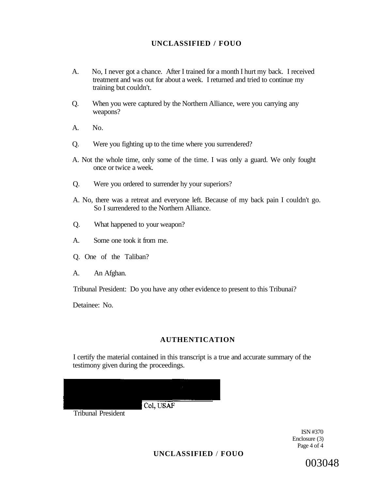- A. No, I never got a chance. After I trained for a month I hurt my back. I received treatment and was out for about a week. I returned and tried to continue my training but couldn't.
- Q. When you were captured by the Northern Alliance, were you carrying any weapons?
- A. No.
- Q. Were you fighting up to the time where you surrendered?
- A. Not the whole time, only some of the time. I was only a guard. We only fought once or twice a week.
- Q. Were you ordered to surrender hy your superiors?
- A. No, there was a retreat and everyone left. Because of my back pain I couldn't go. So I surrendered to the Northern Alliance.
- Q. What happened to your weapon?
- A. Some one took it from me.
- Q. One of the Taliban?
- A. An Afghan.

Tribunal President: Do you have any other evidence to present to this Tribunai?

Detainee: No.

# **AUTHENTICATION**

I certify the material contained in this transcript is a true and accurate summary of the testimony given during the proceedings.

Col, USAF

Tribunal President

ISN #370 Enclosure (3) Page 4 of 4

**UNCLASSIFIED** / **FOUO** 

003048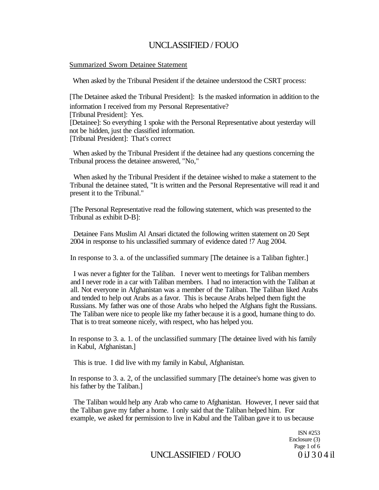### Summarized Sworn Detainee Statement

When asked by the Tribunal President if the detainee understood the CSRT process:

[The Detainee asked the Tribunal President]: Is the masked information in addition to the information I received from my Personal Representative? [Tribunal President]: Yes. [Detainee]: So everything 1 spoke with the Personal Representative about yesterday will not be hidden, just the classified information. [Tribunal President]: That's correct

When asked by the Tribunal President if the detainee had any questions concerning the Tribunal process the detainee answered, "No,"

When asked hy the Tribunal President if the detainee wished to make a statement to the Tribunal the detainee stated, "It is written and the Personal Representative will read it and present it to the Tribunal."

[The Personal Representative read the following statement, which was presented to the Tribunal as exhibit D-B]:

Detainee Fans Muslim Al Ansari dictated the following written statement on 20 Sept 2004 in response to his unclassified summary of evidence dated !7 Aug 2004.

In response to 3. a. of the unclassified summary [The detainee is a Taliban fighter.]

I was never a fighter for the Taliban. I never went to meetings for Taliban members and I never rode in a car with Taliban members. I had no interaction with the Taliban at all. Not everyone in Afghanistan was a member of the Taliban. The Taliban liked Arabs and tended to help out Arabs as a favor. This is because Arabs helped them fight the Russians. My father was one of those Arabs who helped the Afghans fight the Russians. The Taliban were nice to people like my father because it is a good, humane thing to do. That is to treat someone nicely, with respect, who has helped you.

In response to 3. a. 1. of the unclassified summary [The detainee lived with his family in Kabul, Afghanistan.]

This is true. I did live with my family in Kabul, Afghanistan.

In response to 3. a. 2, of the unclassified summary [The detainee's home was given to his father by the Taliban.]

The Taliban would help any Arab who came to Afghanistan. However, I never said that the Taliban gave my father a home. I only said that the Taliban helped him. For example, we asked for permission to live in Kabul and the Taliban gave it to us because

> ISN #253 Enclosure (3) Page 1 of 6

UNCLASSIFIED / FOUO  $0 iJ 3 0 4 iI$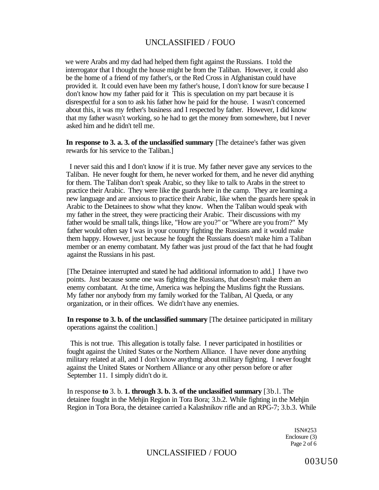we were Arabs and my dad had helped them fight against the Russians. I told the interrogator that I thought the house might be from the Taliban. However, it could also be the home of a friend of my father's, or the Red Cross in Afghanistan could have provided it. It could even have been my father's house, I don't know for sure because I don't know how my father paid for it This is speculation on my part because it is disrespectful for a son to ask his father how he paid for the house. I wasn't concerned about this, it was my fether's business and I respected by father. However, I did know that my father wasn't working, so he had to get the money from somewhere, but I never asked him and he didn't tell me.

**In response to 3. a. 3. of the unclassified summary** [The detainee's father was given rewards for his service to the Taliban.]

I never said this and I don't know if it is true. My father never gave any services to the Taliban. He never fought for them, he never worked for them, and he never did anything for them. The Taliban don't speak Arabic, so they like to talk to Arabs in the street to practice their Arabic. They were like the guards here in the camp. They are learning a new language and are anxious to practice their Arabic, like when the guards here speak in Arabic to the Detainees to show what they know. When the Taliban would speak with my father in the street, they were practicing their Arabic. Their discussions with my father would be small talk, things like, "How are you?" or "Where are you from?" My father would often say I was in your country fighting the Russians and it would make them happy. However, just because he fought the Russians doesn't make him a Taliban member or an enemy combatant. My father was just proud of the fact that he had fought against the Russians in his past.

[The Detainee interrupted and stated he had additional information to add.] I have two points. Just because some one was fighting the Russians, that doesn't make them an enemy combatant. At the time, America was helping the Muslims fight the Russians. My father nor anybody from my family worked for the Taliban, Al Queda, or any organization, or in their offices. We didn't have any enemies.

**In response to 3. b. of the unclassified summary** [The detainee participated in military operations against the coalition.]

This is not true. This allegation is totally false. I never participated in hostilities or fought against the United States or the Northern Alliance. I have never done anything military related at all, and I don't know anythmg about military fighting. I never fought against the United States or Northern Alliance or any other person before or after September 11. I simply didn't do it.

In response **to** 3. b. **1. through 3. b. 3. of the unclassified summary** [3b.l. The detainee fought in the Mehjin Region in Tora Bora; 3.b.2. While fighting in the Mehjin Region in Tora Bora, the detainee carried a Kalashnikov rifle and an RPG-7; 3.b.3. While

> ISN#253 Enclosure (3) Page 2 of 6

# UNCLASSIFIED / FOUO

003U50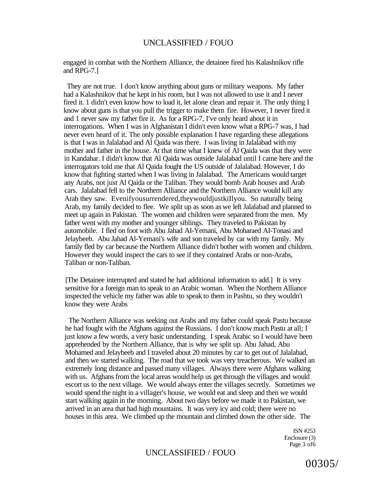engaged in combat with the Northern Alliance, the detainee fired his Kalashnikov rifle and RPG-7.]

They are not true. I don't know anything about guns or military weapons. My father had a Kalashnikov that he kept in his room, but I was not allowed to use it and I never fired it. 1 didn't even know how to load it, let alone clean and repair it. The only thing I know about guns is that you pull the trigger to make them fire. However, I never fired it and 1 never saw my father fire it. As for a RPG-7, I've only heard about it in interrogations. When I was in Afghanistan I didn't even know what a RPG-7 was, I had never even heard of it. The only possible explanation I have regarding these allegations is that I was in Jalalabad and Al Qaida was there. I was living in Jalalabad with my mother and father in the house. At that time what I knew of Al Qaida was that they were in Kandahar. I didn't know that Al Qaida was outside Jalalabad until I came here and the interrogators told me that Al Qaida fought the US outside of Jalalabad. However, I do know that fighting started when I was living in Jalalabad. The Americans would target any Arabs, not just Al Qaida or the Taliban. They would bomb Arab houses and Arab cars. Jalalabad fell to the Northern Alliance and the Northern Alliance would kill any Arab they saw. Evenifyousurrendered,theywouldjustkiIlyou. So naturally being Arab, my family decided to flee. We split up as soon as we left Jalalabad and planned to meet up again in Pakistan. The women and children were separated from the men. My father went with my mother and younger siblings. They traveled to Pakistan by automobile. I fled on foot with Abu Jahad AI-Yemani, Abu Moharaed AI-Tonasi and Jelaybeeb. Abu Jahad Al-Yemani's wife and son traveled by car with my family. My family fled by car because the Northern Alliance didn't bother with women and children. However they would inspect the cars to see if they contained Arabs or non-Arabs, Taliban or non-Taliban.

[The Detainee interrupted and stated he had additional information to add.] It is very sensitive for a foreign man to speak to an Arabic woman. When the Northern Alliance inspected the vehicle my father was able to speak to them in Pashtu, so they wouldn't know they were Arabs

The Northern Alliance was seeking out Arabs and my father could speak Pastu because he had fought with the Afghans against the Russians. I don't know much Pastu at all; I just know a few words, a very basic understanding. I speak Arabic so I would have been apprehended by the Northern Alliance, that is why we split up. Abu Jahad, Abu Mohamed and Jelaybeeb and I traveled about 20 minutes by car to get out of Jalalabad, and then we started walking. The road that we took was very treacherous. We walked an extremely long distance and passed many villages. Always there were Afghans walking with us. Afghans from the local areas would help us get through the villages and would escort us to the next village. We would always enter the villages secretly. Sometimes we would spend the night in a villager's house, we would eat and sleep and then we would start walking again in the morning. About two days before we made it to Pakistan, we arrived in an area that had high mountains. It was very icy and cold; there were no houses in this area. We climbed up the mountain and climbed down the other side. The

> ISN #253 Enclosure (3) Page 3 of6

### UNCLASSIFIED / FOUO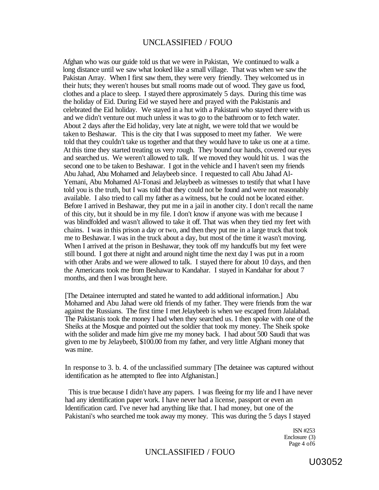Afghan who was our guide told us that we were in Pakistan, We continued to walk a long distance until we saw what looked like a small village. That was when we saw the Pakistan Array. When I first saw them, they were very friendly. They welcomed us in their huts; they weren't houses but small rooms made out of wood. They gave us food, clothes and a place to sleep. I stayed there approximately 5 days. During this time was the holiday of Eid. During Eid we stayed here and prayed with the Pakistanis and celebrated the Eid holiday. We stayed in a hut with a Pakistani who stayed there with us and we didn't venture out much unless it was to go to the bathroom or to fetch water. About 2 days after the Eid holiday, very late at night, we were told that we would be taken to Beshawar. This is the city that I was supposed to meet my father. We were told that they couldn't take us together and that they would have to take us one at a time. At this time they started treating us very rough. They bound our hands, covered our eyes and searched us. We weren't allowed to talk. If we moved they would hit us. 1 was the second one to be taken to Beshawar. I got in the vehicle and I haven't seen my friends Abu Jahad, Abu Mohamed and Jelaybeeb since. I requested to call Abu Jahad Al-Yemani, Abu Mohamed Al-Tonasi and Jelaybeeb as witnesses to testify that what I have told you is the truth, but I was told tbat they could not be found and were not reasonably available. I also tried to call my father as a witness, but he could not be located either. Before I arrived in Beshawar, they put me in a jail in another city. I don't recall the name of this city, but it should be in my file. I don't know if anyone was with me because I was blindfolded and wasn't allowed to take it off. That was when they tied my feet with chains. I was in this prison a day or two, and then they put me in a large truck that took me to Beshawar. I was in the truck about a day, but most of the time it wasn't moving. When I arrived at the prison in Beshawar, they took off my handcuffs but my feet were still bound. I got there at night and around night time the next day I was put in a room with other Arabs and we were allowed to talk. I stayed there for about 10 days, and then the Americans took me from Beshawar to Kandahar. I stayed in Kandahar for about 7 months, and then I was brought here.

[The Detainee interrupted and stated he wanted to add additional information.] Abu Mohamed and Abu Jahad were old friends of my father. They were friends from the war against the Russians. The first time I met Jelaybeeb is when we escaped from Jalalabad. The Pakistanis took the money I had when they searched us. I then spoke with one of the Sheiks at the Mosque and pointed out the soldier that took my money. The Sheik spoke with the solider and made him give me my money back. I had about 500 Saudi that was given to me by Jelaybeeb, \$100.00 from my father, and very little Afghani money that was mine.

In response to 3. b. 4. of the unclassified summary [The detainee was captured without identification as he attempted to flee into Afghanistan.]

This is true because I didn't have any papers. I was fleeing for my life and I have never had any identification paper work. I have never had a license, passport or even an Identification card. I've never had anything like that. I had money, but one of the Pakistani's who searched me took away my money. This was during the 5 days I stayed

> ISN #253 Enclosure (3) Page 4 of6

# UNCLASSIFIED / FOUO

U03052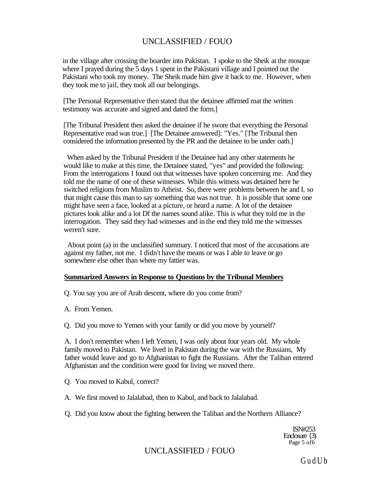in the village after crossing the boarder into Pakistan. I spoke to the Sheik at the mosque where I prayed during the 5 days 1 spent in the Pakistani village and I pointed out the Pakistani who took my money. The Sheik made him give it back to me. However, when they took me to jail, they took all our belongings.

[The Personal Representative then stated that the detainee affirmed mat the written testimony was accurate and signed and dated the form.]

[The Tribunal President then asked the detainee if he swore that everything the Personal Representative read was true.] [The Detainee answered]: "Yes." [The Tribunal then considered the information presented by the PR and the detainee to be under oath.]

When asked by the Tribunal President if the Detainee had any other statements he would like to make at this time, the Detainee stated, "yes" and provided the following: From the interrogations I found out that witnesses have spoken concerning me. And they told me the name of one of these witnesses. While this witness was detained here he switched religions from Muslim to Atheist. So, there were problems between he and I, so that might cause this man to say something that was not true. It is possible that some one might have seen a face, looked at a picture, or heard a name. A lot of the detainee pictures look alike and a lot Df the names sound alike. This is what they told me in the interrogation. They said they had witnesses and in the end they told me the witnesses weren't sure.

About point (a) in the unclassified summary. I noticed that most of the accusations are against my father, not me. I didn't have the means or was I able to leave or go somewhere else other than where my fattier was.

### **Summarized Answers in Response to Questions by the Tribunal Members**

Q. You say you are of Arab descent, where do you come from?

A. From Yemen.

Q. Did you move to Yemen with your family or did you move by yourself?

A. I don't remember when I left Yemen, I was only about four years old. My whole family moved to Pakistan. We lived in Pakistan during the war with the Russians, My father would leave and go to Afghanistan to fight the Russians. After the Taliban entered Afghanistan and the condition were good for living we moved there.

- Q. You moved to Kabul, correct?
- A. We first moved to Jalalabad, then to Kabul, and back to Jalalabad.
- Q. Did you know about the fighting between the Taliban and the Northern Alliance?

ISN#253 Enclosure {3) Page 5 of 6

# UNCLASSIFIED / FOUO

GudUb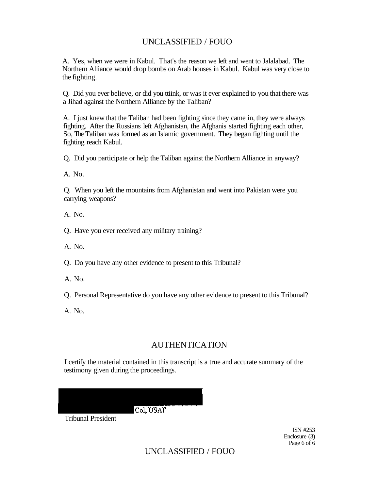A. Yes, when we were in Kabul. That's the reason we left and went to Jalalabad. The Northern Alliance would drop bombs on Arab houses in Kabul. Kabul was very close to the fighting.

Q. Did you ever believe, or did you ttiink, or was it ever explained to you that there was a Jihad against the Northern Alliance by the Taliban?

A. I just knew that the Taliban had been fighting since they came in, they were always fighting. After the Russians left Afghanistan, the Afghanis started fighting each other, So, The Taliban was formed as an Islamic government. They began fighting until the fighting reach Kabul.

Q. Did you participate or help the Taliban against the Northern Alliance in anyway?

A. No.

Q. When you left the mountains from Afghanistan and went into Pakistan were you carrying weapons?

A. No.

Q. Have you ever received any military training?

A. No.

Q. Do you have any other evidence to present to this Tribunal?

- A. No.
- Q. Personal Representative do you have any other evidence to present to this Tribunal?

A. No.

# AUTHENTICATION

I certify the material contained in this transcript is a true and accurate summary of the testimony given during the proceedings.

Col. USAF

Tribunal President

ISN #253 Enclosure (3) Page 6 of 6

UNCLASSIFIED / FOUO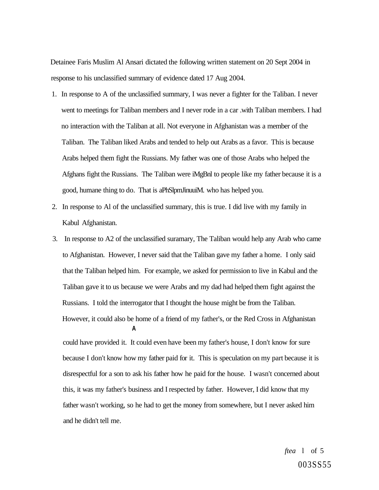Detainee Faris Muslim Al Ansari dictated the following written statement on 20 Sept 2004 in response to his unclassified summary of evidence dated 17 Aug 2004.

- 1. In response to A of the unclassified summary, I was never a fighter for the Taliban. I never went to meetings for Taliban members and I never rode in a car .with Taliban members. I had no interaction with the Taliban at all. Not everyone in Afghanistan was a member of the Taliban. The Taliban liked Arabs and tended to help out Arabs as a favor. This is because Arabs helped them fight the Russians. My father was one of those Arabs who helped the Afghans fight the Russians. The Taliban were iMgBnl to people like my father because it is a good, humane thing to do. That is aPhSlpmJinuuiM. who has helped you.
- 2. In response to Al of the unclassified summary, this is true. I did live with my family in Kabul Afghanistan.
- 3. In response to A2 of the unclassified suramary, The Taliban would help any Arab who came to Afghanistan. However, I never said that the Taliban gave my father a home. I only said that the Taliban helped him. For example, we asked for permission to live in Kabul and the Taliban gave it to us because we were Arabs and my dad had helped them fight against the Russians. I told the interrogator that I thought the house might be from the Taliban. However, it could also be home of a friend of my father's, or the Red Cross in Afghanistan **A**

could have provided it. It could even have been my father's house, I don't know for sure because I don't know how my father paid for it. This is speculation on my part because it is disrespectful for a son to ask his father how he paid for the house. I wasn't concerned about this, it was my father's business and I respected by father. However, I did know that my father wasn't working, so he had to get the money from somewhere, but I never asked him and he didn't tell me.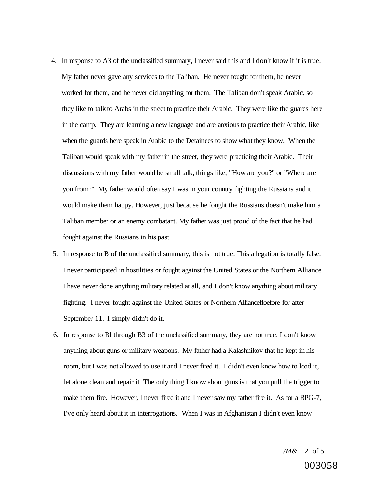- 4. In response to A3 of the unclassified summary, I never said this and I don't know if it is true. My father never gave any services to the Taliban. He never fought for them, he never worked for them, and he never did anything for them. The Taliban don't speak Arabic, so they like to talk to Arabs in the street to practice their Arabic. They were like the guards here in the camp. They are learning a new language and are anxious to practice their Arabic, like when the guards here speak in Arabic to the Detainees to show what they know, When the Taliban would speak with my father in the street, they were practicing their Arabic. Their discussions with my father would be small talk, things like, "How are you?" or "Where are you from?" My father would often say I was in your country fighting the Russians and it would make them happy. However, just because he fought the Russians doesn't make him a Taliban member or an enemy combatant. My father was just proud of the fact that he had fought against the Russians in his past.
- 5. In response to B of the unclassified summary, this is not true. This allegation is totally false. I never participated in hostilities or fought against the United States or the Northern Alliance. I have never done anything military related at all, and I don't know anything about military \_ fighting. I never fought against the United States or Northern Alliancefloefore for after September 11. I simply didn't do it.
- 6. In response to Bl through B3 of the unclassified summary, they are not true. I don't know anything about guns or military weapons. My father had a Kalashnikov that he kept in his room, but I was not allowed to use it and I never fired it. I didn't even know how to load it, let alone clean and repair it The only thing I know about guns is that you pull the trigger to make them fire. However, I never fired it and I never saw my father fire it. As for a RPG-7, I've only heard about it in interrogations. When I was in Afghanistan I didn't even know

*/M&* 2 of 5 003058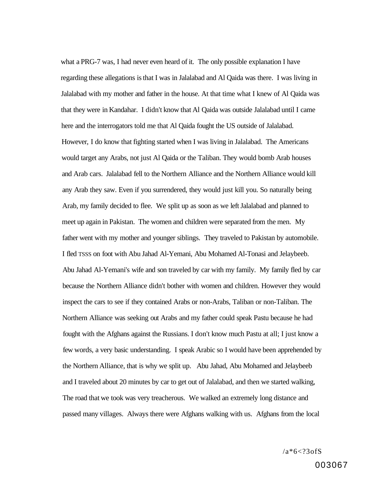what a PRG-7 was, I had never even heard of it. The only possible explanation I have regarding these allegations is that I was in Jalalabad and Al Qaida was there. I was living in Jalalabad with my mother and father in the house. At that time what I knew of Al Qaida was that they were in Kandahar. I didn't know that Al Qaida was outside Jalalabad until I came here and the interrogators told me that Al Qaida fought the US outside of Jalalabad. However, I do know that fighting started when I was living in Jalalabad. The Americans would target any Arabs, not just Al Qaida or the Taliban. They would bomb Arab houses and Arab cars. Jalalabad fell to the Northern Alliance and the Northern Alliance would kill any Arab they saw. Even if you surrendered, they would just kill you. So naturally being Arab, my family decided to flee. We split up as soon as we left Jalalabad and planned to meet up again in Pakistan. The women and children were separated from the men. My father went with my mother and younger siblings. They traveled to Pakistan by automobile. I fled TSSS on foot with Abu Jahad Al-Yemani, Abu Mohamed Al-Tonasi and Jelaybeeb. Abu Jahad Al-Yemani's wife and son traveled by car with my family. My family fled by car because the Northern Alliance didn't bother with women and children. However they would inspect the cars to see if they contained Arabs or non-Arabs, Taliban or non-Taliban. The Northern Alliance was seeking out Arabs and my father could speak Pastu because he had fought with the Afghans against the Russians. I don't know much Pastu at all; I just know a few words, a very basic understanding. I speak Arabic so I would have been apprehended by the Northern Alliance, that is why we split up. Abu Jahad, Abu Mohamed and Jelaybeeb and I traveled about 20 minutes by car to get out of Jalalabad, and then we started walking, The road that we took was very treacherous. We walked an extremely long distance and passed many villages. Always there were Afghans walking with us. Afghans from the local

 $/a * 6 < ? 3 of S$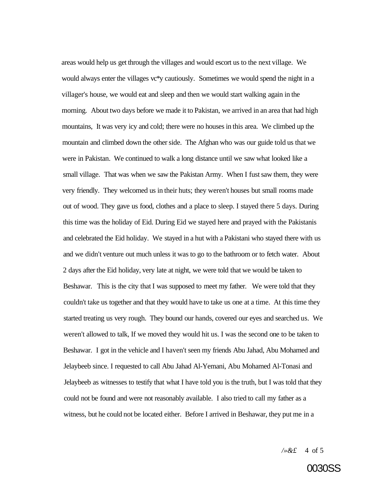areas would help us get through the villages and would escort us to the next village. We would always enter the villages vc\*y cautiously. Sometimes we would spend the night in a villager's house, we would eat and sleep and then we would start walking again in the morning. About two days before we made it to Pakistan, we arrived in an area that had high mountains, It was very icy and cold; there were no houses in this area. We climbed up the mountain and climbed down the other side. The Afghan who was our guide told us that we were in Pakistan. We continued to walk a long distance until we saw what looked like a small village. That was when we saw the Pakistan Army. When I fust saw them, they were very friendly. They welcomed us in their huts; they weren't houses but small rooms made out of wood. They gave us food, clothes and a place to sleep. I stayed there 5 days. During this time was the holiday of Eid. During Eid we stayed here and prayed with the Pakistanis and celebrated the Eid holiday. We stayed in a hut with a Pakistani who stayed there with us and we didn't venture out much unless it was to go to the bathroom or to fetch water. About 2 days after the Eid holiday, very late at night, we were told that we would be taken to Beshawar. This is the city that I was supposed to meet my father. We were told that they couldn't take us together and that they would have to take us one at a time. At this time they started treating us very rough. They bound our hands, covered our eyes and searched us. We weren't allowed to talk, If we moved they would hit us. I was the second one to be taken to Beshawar. I got in the vehicle and I haven't seen my friends Abu Jahad, Abu Mohamed and Jelaybeeb since. I requested to call Abu Jahad Al-Yemani, Abu Mohamed Al-Tonasi and Jelaybeeb as witnesses to testify that what I have told you is the truth, but I was told that they could not be found and were not reasonably available. I also tried to call my father as a witness, but he could not be located either. Before I arrived in Beshawar, they put me in a

*/»&£* 4 of 5

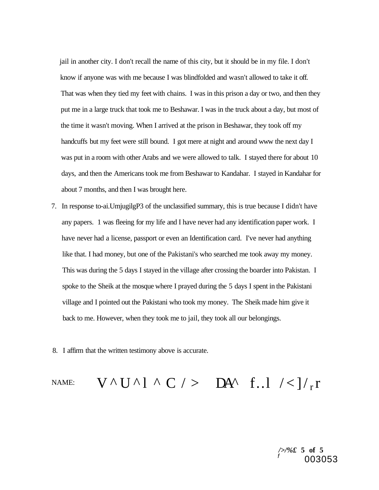jail in another city. I don't recall the name of this city, but it should be in my file. I don't know if anyone was with me because I was blindfolded and wasn't allowed to take it off. That was when they tied my feet with chains. I was in this prison a day or two, and then they put me in a large truck that took me to Beshawar. I was in the truck about a day, but most of the time it wasn't moving. When I arrived at the prison in Beshawar, they took off my handcuffs but my feet were still bound. I got mere at night and around www the next day I was put in a room with other Arabs and we were allowed to talk. I stayed there for about 10 days, and then the Americans took me from Beshawar to Kandahar. I stayed in Kandahar for about 7 months, and then I was brought here.

- 7. In response to-ai.UmjugilgP3 of the unclassified summary, this is true because I didn't have any papers. 1 was fleeing for my life and I have never had any identification paper work. I have never had a license, passport or even an Identification card. I've never had anything like that. I had money, but one of the Pakistani's who searched me took away my money. This was during the 5 days I stayed in the village after crossing the boarder into Pakistan. I spoke to the Sheik at the mosque where I prayed during the 5 days I spent in the Pakistani village and I pointed out the Pakistani who took my money. The Sheik made him give it back to me. However, when they took me to jail, they took all our belongings.
- 8. I affirm that the written testimony above is accurate.

# NAME:  $V^{\wedge} U^{\wedge} 1^{\wedge} C$  / > DA^ f..l /<]/r

*/>/%£* **5 of 5**  f 003053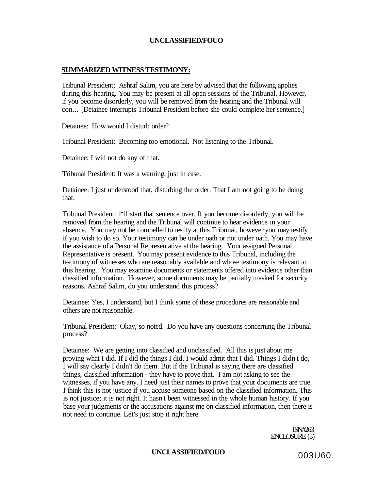### **SUMMARIZED WITNESS TESTIMONY:**

Tribunal President; Ashraf Salim, you are here by advised that the following applies during this hearing. You may be present at all open sessions of the Tribunal. However, if you become disorderly, you will be removed from the hearing and the Tribunal will con... [Detainee interrupts Tribunal President before she could complete her sentence.]

Detainee: How would I disturb order?

Tribunal President: Becoming too emotional. Not listening to the Tribunal.

Detainee: I will not do any of that.

Tribunal President: It was a warning, just in case.

Detainee: I just understood that, disturbing the order. That I am not going to be doing that.

Tribunal President: 1\*11 start that sentence over. If you become disorderly, you will be removed from the hearing and the Tribunal will continue to hear evidence in your absence. You may not be compelled to testify at this Tribunal, however you may testify if you wish to do so. Your testimony can be under oath or not under oath. You may have the assistance of a Personal Representative at the hearing. Your assigned Personal Representative is present. You may present evidence to this Tribunal, including the testimony of witnesses who are reasonably available and whose testimony is relevant to this hearing. You may examine documents or statements offered into evidence other than classified information. However, some documents may be partially masked for security reasons. Ashraf Salim, do you understand this process?

Detainee: Yes, I understand, but I think some of these procedures are reasonable and others are not reasonable.

Tribunal President: Okay, so noted. Do you have any questions concerning the Tribunal process?

Detainee: We are getting into classified and unclassified. All this is just about me proving what I did. If I did the things I did, I would admit that I did. Things I didn't do, I will say clearly I didn't do them. But if the Tribunal is saying there are classified things, classified information - they have to prove that. I am not asking to see the witnesses, if you have any. I need just their names to prove that your documents are true. I think this is not justice if you accuse someone based on the classified information. This is not justice; it is not right. It hasn't been witnessed in the whole human history. If you base your judgments or the accusations against me on classified information, then there is not need to continue. Let's just stop it right here.

> ISN#263 ENCLOSURE (3)

# UNCLASSIFIED/FOUO 003U60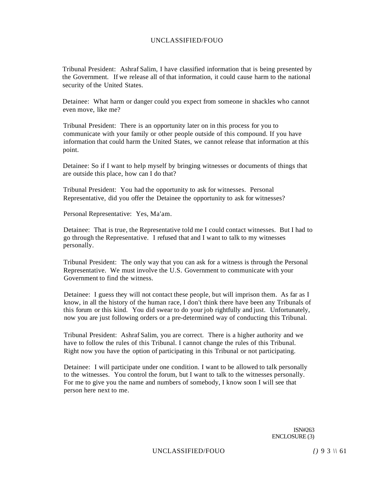Tribunal President: Ashraf Salim, I have classified information that is being presented by the Government. If we release all of that information, it could cause harm to the national security of the United States.

Detainee: What harm or danger could you expect from someone in shackles who cannot even move, like me?

Tribunal President: There is an opportunity later on in this process for you to communicate with your family or other people outside of this compound. If you have information that could harm the United States, we cannot release that information at this point.

Detainee: So if I want to help myself by bringing witnesses or documents of things that are outside this place, how can I do that?

Tribunal President: You had the opportunity to ask for witnesses. Personal Representative, did you offer the Detainee the opportunity to ask for witnesses?

Personal Representative: Yes, Ma'am.

Detainee: That is true, the Representative told me I could contact witnesses. But I had to go through the Representative. I refused that and I want to talk to my witnesses personally.

Tribunal President: The only way that you can ask for a witness is through the Personal Representative. We must involve the U.S. Government to communicate with your Government to find the witness.

Detainee: I guess they will not contact these people, but will imprison them. As far as I know, in all the history of the human race, I don't think there have been any Tribunals of this forum or this kind. You did swear to do your job rightfully and just. Unfortunately, now you are just following orders or a pre-determined way of conducting this Tribunal.

Tribunal President: Ashraf Salim, you are correct. There is a higher authority and we have to follow the rules of this Tribunal. I cannot change the rules of this Tribunal. Right now you have the option of participating in this Tribunal or not participating.

Detainee: I will participate under one condition. I want to be allowed to talk personally to the witnesses. You control the forum, but I want to talk to the witnesses personally. For me to give you the name and numbers of somebody, I know soon I will see that person here next to me.

> ISN#263 ENCLOSURE (3)

UNCLASSIFIED/FOUO *{)* 9 3 *\\* 61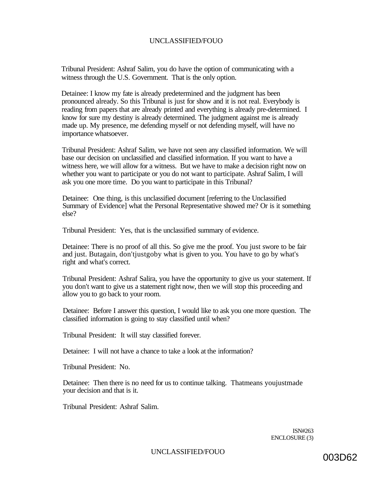Tribunal President: Ashraf Salim, you do have the option of communicating with a witness through the U.S. Government. That is the only option.

Detainee: I know my fate is already predetermined and the judgment has been pronounced already. So this Tribunal is just for show and it is not real. Everybody is reading from papers that are already printed and everything is already pre-determined. I know for sure my destiny is already determined. The judgment against me is already made up. My presence, me defending myself or not defending myself, will have no importance whatsoever.

Tribunal President: Ashraf Salim, we have not seen any classified information. We will base our decision on unclassified and classified information. If you want to have a witness here, we will allow for a witness. But we have to make a decision right now on whether you want to participate or you do not want to participate. Ashraf Salim, I will ask you one more time. Do you want to participate in this Tribunal?

Detainee: One thing, is this unclassified document [referring to the Unclassified Summary of Evidence] what the Personal Representative showed me? Or is it something else?

Tribunal President: Yes, that is the unclassified summary of evidence.

Detainee: There is no proof of all this. So give me the proof. You just swore to be fair and just. Butagain, don'tjustgoby what is given to you. You have to go by what's right and what's correct.

Tribunal President: Ashraf Salira, you have the opportunity to give us your statement. If you don't want to give us a statement right now, then we will stop this proceeding and allow you to go back to your room.

Detainee: Before I answer this question, I would like to ask you one more question. The classified information is going to stay classified until when?

Tribunal President: It will stay classified forever.

Detainee: I will not have a chance to take a look at the information?

Tribunal President: No.

Detainee: Then there is no need for us to continue talking. Thatmeans youjustmade your decision and that is it.

Tribunal President: Ashraf Salim.

ISN#263 ENCLOSURE (3)

UNCLASSIFIED/FOUO 003D62

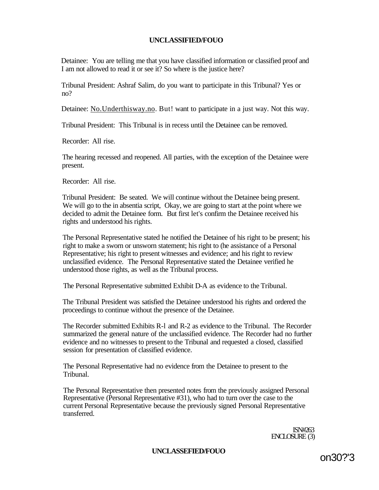Detainee: You are telling me that you have classified information or classified proof and I am not allowed to read it or see it? So where is the justice here?

Tribunal President: Ashraf Salim, do you want to participate in this Tribunal? Yes or no?

Detainee: [No.Underthisway.no.](http://No.Underthisway.no) But! want to participate in a just way. Not this way.

Tribunal President: This Tribunal is in recess until the Detainee can be removed.

Recorder: All rise.

The hearing recessed and reopened. All parties, with the exception of the Detainee were present.

Recorder: All rise.

Tribunal President: Be seated. We will continue without the Detainee being present. We will go to the in absentia script, Okay, we are going to start at the point where we decided to admit the Detainee form. But first let's confirm the Detainee received his rights and understood his rights.

The Personal Representative stated he notified the Detainee of his right to be present; his right to make a sworn or unsworn statement; his right to (he assistance of a Personal Representative; his right to present witnesses and evidence; and his right to review unclassified evidence. The Personal Representative stated the Detainee verified he understood those rights, as well as the Tribunal process.

The Personal Representative submitted Exhibit D-A as evidence to the Tribunal.

The Tribunal President was satisfied the Detainee understood his rights and ordered the proceedings to continue without the presence of the Detainee.

The Recorder submitted Exhibits R-l and R-2 as evidence to the Tribunal. The Recorder summarized the general nature of the unclassified evidence. The Recorder had no further evidence and no witnesses to present to the Tribunal and requested a closed, classified session for presentation of classified evidence.

The Personal Representative had no evidence from the Detainee to present to the Tribunal.

The Personal Representative then presented notes from the previously assigned Personal Representative (Personal Representative #31), who had to turn over the case to the current Personal Representative because the previously signed Personal Representative transferred.

> ISN#263 ENCLOSURE (3)

**UNCLASSEFIED/FOUO** 

on30?'3